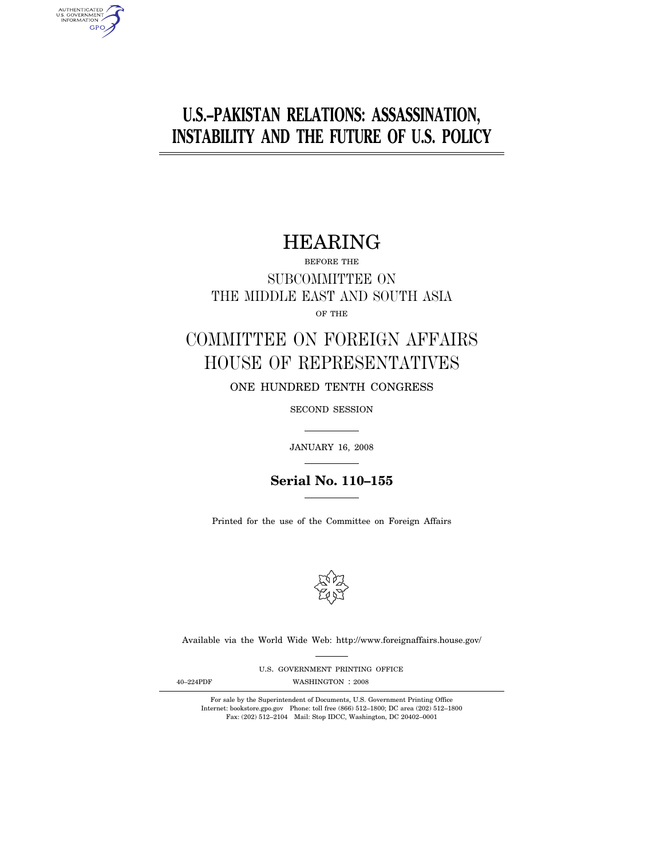## **U.S.–PAKISTAN RELATIONS: ASSASSINATION, INSTABILITY AND THE FUTURE OF U.S. POLICY**

## HEARING

BEFORE THE SUBCOMMITTEE ON THE MIDDLE EAST AND SOUTH ASIA

OF THE

# COMMITTEE ON FOREIGN AFFAIRS HOUSE OF REPRESENTATIVES

ONE HUNDRED TENTH CONGRESS

SECOND SESSION

JANUARY 16, 2008

**Serial No. 110–155**

Printed for the use of the Committee on Foreign Affairs



Available via the World Wide Web: http://www.foreignaffairs.house.gov/

U.S. GOVERNMENT PRINTING OFFICE

AUTHENTICATED<br>U.S. GOVERNMENT<br>INFORMATION **GPO** 

40-224PDF WASHINGTON : 2008

For sale by the Superintendent of Documents, U.S. Government Printing Office Internet: bookstore.gpo.gov Phone: toll free (866) 512–1800; DC area (202) 512–1800 Fax: (202) 512–2104 Mail: Stop IDCC, Washington, DC 20402–0001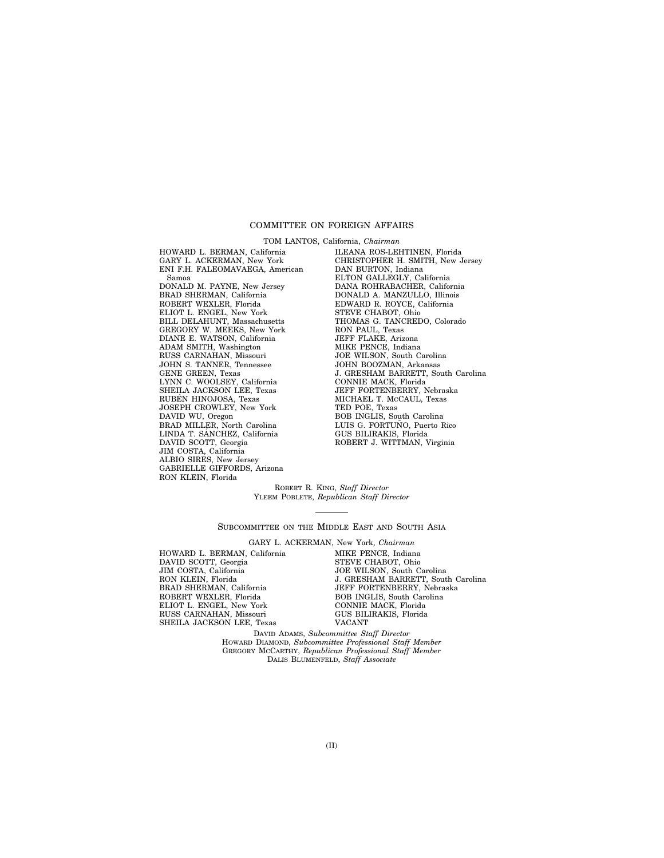### COMMITTEE ON FOREIGN AFFAIRS

TOM LANTOS, California, *Chairman* 

HOWARD L. BERMAN, California GARY L. ACKERMAN, New York ENI F.H. FALEOMAVAEGA, American Samoa DONALD M. PAYNE, New Jersey BRAD SHERMAN, California ROBERT WEXLER, Florida ELIOT L. ENGEL, New York BILL DELAHUNT, Massachusetts GREGORY W. MEEKS, New York DIANE E. WATSON, California ADAM SMITH, Washington RUSS CARNAHAN, Missouri JOHN S. TANNER, Tennessee GENE GREEN, Texas LYNN C. WOOLSEY, California SHEILA JACKSON LEE, Texas RUBÉN HINOJOSA, Texas JOSEPH CROWLEY, New York DAVID WU, Oregon BRAD MILLER, North Carolina LINDA T. SÁNCHEZ, California DAVID SCOTT, Georgia JIM COSTA, California ALBIO SIRES, New Jersey GABRIELLE GIFFORDS, Arizona RON KLEIN, Florida

ILEANA ROS-LEHTINEN, Florida CHRISTOPHER H. SMITH, New Jersey DAN BURTON, Indiana ELTON GALLEGLY, California DANA ROHRABACHER, California DONALD A. MANZULLO, Illinois EDWARD R. ROYCE, California STEVE CHABOT, Ohio THOMAS G. TANCREDO, Colorado RON PAUL, Texas JEFF FLAKE, Arizona MIKE PENCE, Indiana JOE WILSON, South Carolina JOHN BOOZMAN, Arkansas J. GRESHAM BARRETT, South Carolina CONNIE MACK, Florida JEFF FORTENBERRY, Nebraska MICHAEL T. MCCAUL, Texas TED POE, Texas BOB INGLIS, South Carolina LUIS G. FORTUÑO, Puerto Rico GUS BILIRAKIS, Florida ROBERT J. WITTMAN, Virginia

ROBERT R. KING, *Staff Director*  YLEEM POBLETE, *Republican Staff Director* 

SUBCOMMITTEE ON THE MIDDLE EAST AND SOUTH ASIA

GARY L. ACKERMAN, New York, *Chairman* 

HOWARD L. BERMAN, California DAVID SCOTT, Georgia JIM COSTA, California RON KLEIN, Florida BRAD SHERMAN, California ROBERT WEXLER, Florida ELIOT L. ENGEL, New York RUSS CARNAHAN, Missouri SHEILA JACKSON LEE, Texas

MIKE PENCE, Indiana STEVE CHABOT, Ohio JOE WILSON, South Carolina J. GRESHAM BARRETT, South Carolina JEFF FORTENBERRY, Nebraska BOB INGLIS, South Carolina CONNIE MACK, Florida GUS BILIRAKIS, Florida VACANT

DAVID ADAMS, *Subcommittee Staff Director*  HOWARD DIAMOND, *Subcommittee Professional Staff Member*  GREGORY MCCARTHY, *Republican Professional Staff Member*  DALIS BLUMENFELD, *Staff Associate*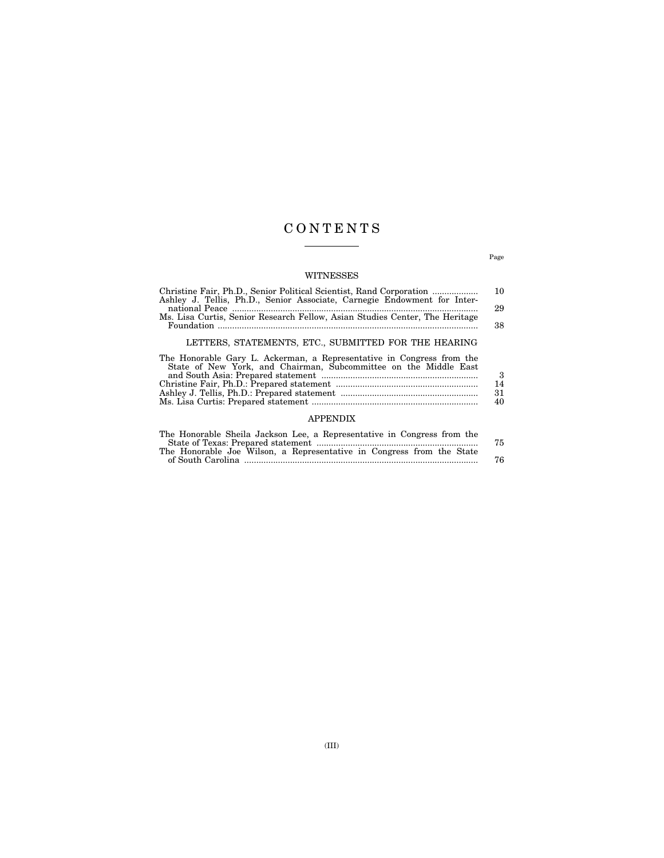## C O N T E N T S

## WITNESSES

| Christine Fair, Ph.D., Senior Political Scientist, Rand Corporation         | <b>10</b> |
|-----------------------------------------------------------------------------|-----------|
| Ashley J. Tellis, Ph.D., Senior Associate, Carnegie Endowment for Inter-    |           |
|                                                                             | 29        |
| Ms. Lisa Curtis, Senior Research Fellow, Asian Studies Center, The Heritage |           |
|                                                                             | 38        |
|                                                                             |           |
| LETTERS, STATEMENTS, ETC., SUBMITTED FOR THE HEARING                        |           |
| The Honorable Gary L. Ackerman, a Representative in Congress from the       |           |
| State of New York, and Chairman, Subcommittee on the Middle East            |           |
|                                                                             | 3         |

Christine Fair, Ph.D.: Prepared statement ........................................................... 14

## Ashley J. Tellis, Ph.D.: Prepared statement ......................................................... 31 Ms. Lisa Curtis: Prepared statement ..................................................................... 40 APPENDIX

| The Honorable Sheila Jackson Lee, a Representative in Congress from the |    |
|-------------------------------------------------------------------------|----|
|                                                                         | 75 |
| The Honorable Joe Wilson, a Representative in Congress from the State   |    |
|                                                                         | 76 |

Page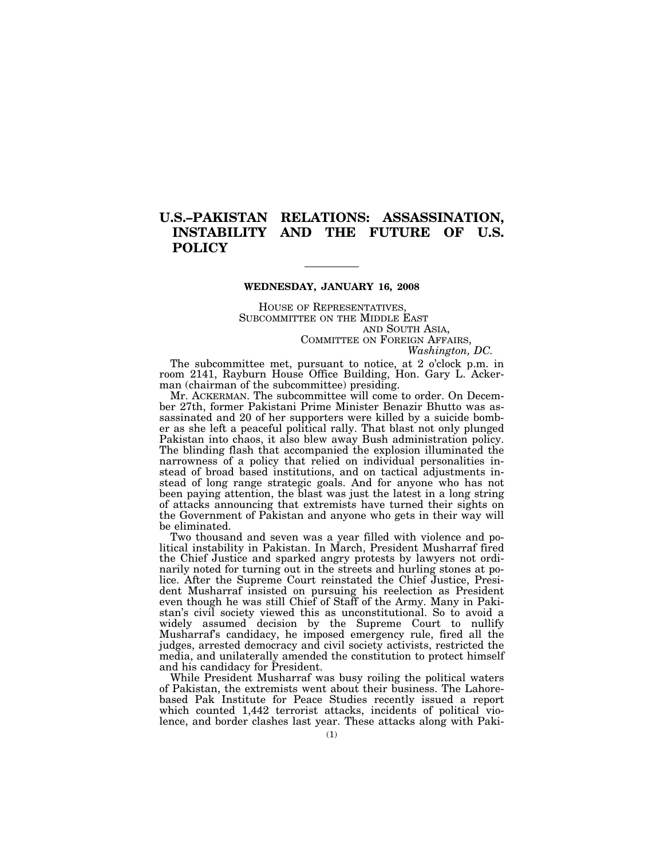## **U.S.–PAKISTAN RELATIONS: ASSASSINATION, INSTABILITY AND THE FUTURE OF U.S. POLICY**

### **WEDNESDAY, JANUARY 16, 2008**

HOUSE OF REPRESENTATIVES, SUBCOMMITTEE ON THE MIDDLE EAST AND SOUTH ASIA, COMMITTEE ON FOREIGN AFFAIRS,

*Washington, DC.* 

The subcommittee met, pursuant to notice, at 2 o'clock p.m. in room 2141, Rayburn House Office Building, Hon. Gary L. Ackerman (chairman of the subcommittee) presiding.

Mr. ACKERMAN. The subcommittee will come to order. On December 27th, former Pakistani Prime Minister Benazir Bhutto was assassinated and 20 of her supporters were killed by a suicide bomber as she left a peaceful political rally. That blast not only plunged Pakistan into chaos, it also blew away Bush administration policy. The blinding flash that accompanied the explosion illuminated the narrowness of a policy that relied on individual personalities instead of broad based institutions, and on tactical adjustments instead of long range strategic goals. And for anyone who has not been paying attention, the blast was just the latest in a long string of attacks announcing that extremists have turned their sights on the Government of Pakistan and anyone who gets in their way will be eliminated.

Two thousand and seven was a year filled with violence and political instability in Pakistan. In March, President Musharraf fired the Chief Justice and sparked angry protests by lawyers not ordinarily noted for turning out in the streets and hurling stones at police. After the Supreme Court reinstated the Chief Justice, President Musharraf insisted on pursuing his reelection as President even though he was still Chief of Staff of the Army. Many in Pakistan's civil society viewed this as unconstitutional. So to avoid a widely assumed decision by the Supreme Court to nullify Musharraf's candidacy, he imposed emergency rule, fired all the judges, arrested democracy and civil society activists, restricted the media, and unilaterally amended the constitution to protect himself and his candidacy for President.

While President Musharraf was busy roiling the political waters of Pakistan, the extremists went about their business. The Lahorebased Pak Institute for Peace Studies recently issued a report which counted 1,442 terrorist attacks, incidents of political violence, and border clashes last year. These attacks along with Paki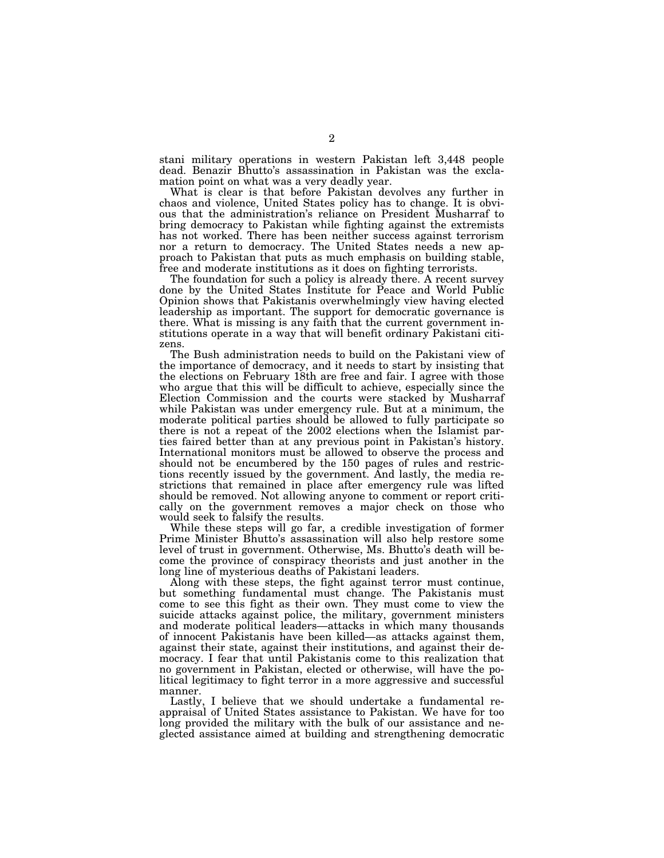stani military operations in western Pakistan left 3,448 people dead. Benazir Bhutto's assassination in Pakistan was the exclamation point on what was a very deadly year.

What is clear is that before Pakistan devolves any further in chaos and violence, United States policy has to change. It is obvious that the administration's reliance on President Musharraf to bring democracy to Pakistan while fighting against the extremists has not worked. There has been neither success against terrorism nor a return to democracy. The United States needs a new approach to Pakistan that puts as much emphasis on building stable, free and moderate institutions as it does on fighting terrorists.

The foundation for such a policy is already there. A recent survey done by the United States Institute for Peace and World Public Opinion shows that Pakistanis overwhelmingly view having elected leadership as important. The support for democratic governance is there. What is missing is any faith that the current government institutions operate in a way that will benefit ordinary Pakistani citizens.

The Bush administration needs to build on the Pakistani view of the importance of democracy, and it needs to start by insisting that the elections on February 18th are free and fair. I agree with those who argue that this will be difficult to achieve, especially since the Election Commission and the courts were stacked by Musharraf while Pakistan was under emergency rule. But at a minimum, the moderate political parties should be allowed to fully participate so there is not a repeat of the 2002 elections when the Islamist parties faired better than at any previous point in Pakistan's history. International monitors must be allowed to observe the process and should not be encumbered by the 150 pages of rules and restrictions recently issued by the government. And lastly, the media restrictions that remained in place after emergency rule was lifted should be removed. Not allowing anyone to comment or report critically on the government removes a major check on those who would seek to falsify the results.

While these steps will go far, a credible investigation of former Prime Minister Bhutto's assassination will also help restore some level of trust in government. Otherwise, Ms. Bhutto's death will become the province of conspiracy theorists and just another in the long line of mysterious deaths of Pakistani leaders.

Along with these steps, the fight against terror must continue, but something fundamental must change. The Pakistanis must come to see this fight as their own. They must come to view the suicide attacks against police, the military, government ministers and moderate political leaders—attacks in which many thousands of innocent Pakistanis have been killed—as attacks against them, against their state, against their institutions, and against their democracy. I fear that until Pakistanis come to this realization that no government in Pakistan, elected or otherwise, will have the political legitimacy to fight terror in a more aggressive and successful manner.

Lastly, I believe that we should undertake a fundamental reappraisal of United States assistance to Pakistan. We have for too long provided the military with the bulk of our assistance and neglected assistance aimed at building and strengthening democratic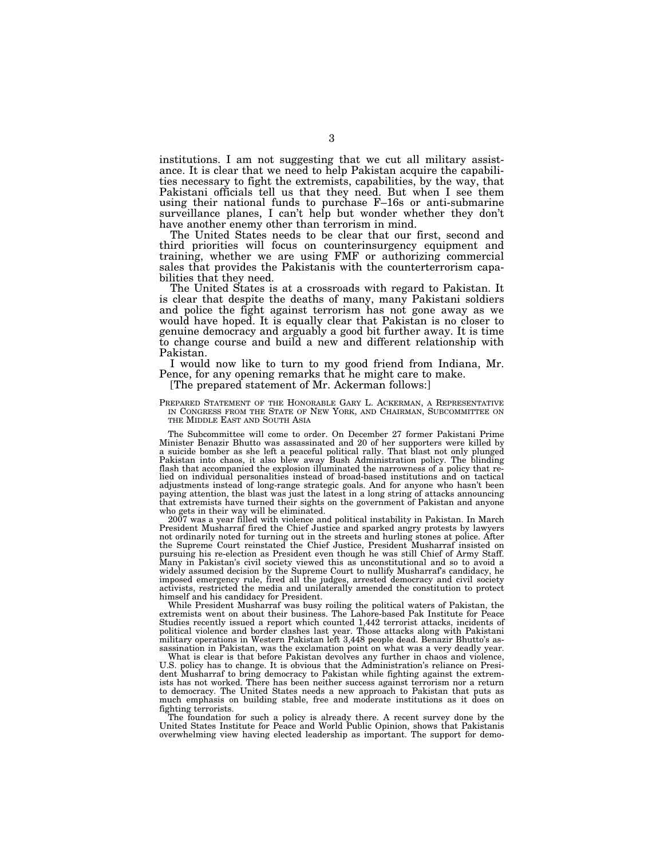institutions. I am not suggesting that we cut all military assistance. It is clear that we need to help Pakistan acquire the capabilities necessary to fight the extremists, capabilities, by the way, that Pakistani officials tell us that they need. But when I see them using their national funds to purchase F–16s or anti-submarine surveillance planes, I can't help but wonder whether they don't have another enemy other than terrorism in mind.

The United States needs to be clear that our first, second and third priorities will focus on counterinsurgency equipment and training, whether we are using FMF or authorizing commercial sales that provides the Pakistanis with the counterterrorism capabilities that they need.

The United States is at a crossroads with regard to Pakistan. It is clear that despite the deaths of many, many Pakistani soldiers and police the fight against terrorism has not gone away as we would have hoped. It is equally clear that Pakistan is no closer to genuine democracy and arguably a good bit further away. It is time to change course and build a new and different relationship with Pakistan.

I would now like to turn to my good friend from Indiana, Mr. Pence, for any opening remarks that he might care to make.

#### [The prepared statement of Mr. Ackerman follows:]

PREPARED STATEMENT OF THE HONORABLE GARY L. ACKERMAN, A REPRESENTATIVE IN CONGRESS FROM THE STATE OF NEW YORK, AND CHAIRMAN, SUBCOMMITTEE ON THE MIDDLE EAST AND SOUTH ASIA

The Subcommittee will come to order. On December 27 former Pakistani Prime Minister Benazir Bhutto was assassinated and 20 of her supporters were killed by a suicide bomber as she left a peaceful political rally. That blast not only plunged Pakistan into chaos, it also blew away Bush Administration policy. The blinding flash that accompanied the explosion illuminated the narrowness of a policy that relied on individual personalities instead of broad-based institutions and on tactical adjustments instead of long-range strategic goals. And for anyone who hasn't been paying attention, the blast was just the latest in a long string of attacks announcing that extremists have turned their sights on the government of Pakistan and anyone who gets in their way will be eliminated.

2007 was a year filled with violence and political instability in Pakistan. In March President Musharraf fired the Chief Justice and sparked angry protests by lawyers not ordinarily noted for turning out in the streets and hurling stones at police. After the Supreme Court reinstated the Chief Justice, President Musharraf insisted on pursuing his re-election as President even though he was still Chief of Army Staff. Many in Pakistan's civil society viewed this as unconstitutional and so to avoid a widely assumed decision by the Supreme Court to nullify Musharraf's candidacy, he imposed emergency rule, fired all the judges, arrested democracy and civil society activists, restricted the media and unilaterally amended the constitution to protect himself and his candidacy for President.

While President Musharraf was busy roiling the political waters of Pakistan, the extremists went on about their business. The Lahore-based Pak Institute for Peace Studies recently issued a report which counted 1,442 terrorist attacks, incidents of political violence and border clashes last year. Those attacks along with Pakistani military operations in Western Pakistan left 3,448 people dead. Benazir Bhutto's assassination in Pakistan, was the exclamation point on what was a very deadly year.

What is clear is that before Pakistan devolves any further in chaos and violence, U.S. policy has to change. It is obvious that the Administration's reliance on President Musharraf to bring democracy to Pakistan while fighting against the extremists has not worked. There has been neither success against terrorism nor a return to democracy. The United States needs a new approach to Pakistan that puts as much emphasis on building stable, free and moderate institutions as it does on fighting terrorists.

The foundation for such a policy is already there. A recent survey done by the United States Institute for Peace and World Public Opinion, shows that Pakistanis overwhelming view having elected leadership as important. The support for demo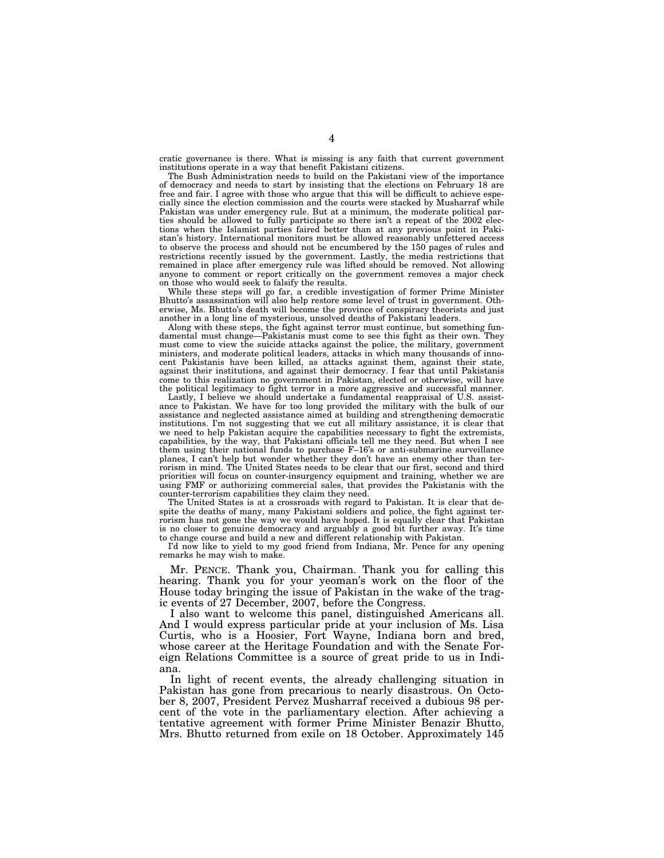cratic governance is there. What is missing is any faith that current government institutions operate in a way that benefit Pakistani citizens.

The Bush Administration needs to build on the Pakistani view of the importance of democracy and needs to start by insisting that the elections on February 18 are free and fair. I agree with those who argue that this will be difficult to achieve especially since the election commission and the courts were stacked by Musharraf while Pakistan was under emergency rule. But at a minimum, the moderate political parties should be allowed to fully participate so there isn't a repeat of the 2002 elections when the Islamist parties faired better than at any previous point in Pakistan's history. International monitors must be allowed reasonably unfettered access to observe the process and should not be encumbered by the 150 pages of rules and restrictions recently issued by the government. Lastly, the media restrictions that remained in place after emergency rule was lifted should be removed. Not allowing anyone to comment or report critically on the government removes a major check on those who would seek to falsify the results.

While these steps will go far, a credible investigation of former Prime Minister Bhutto's assassination will also help restore some level of trust in government. Otherwise, Ms. Bhutto's death will become the province of conspiracy theorists and just another in a long line of mysterious, unsolved deaths of Pakistani leaders.

Along with these steps, the fight against terror must continue, but something fundamental must change—Pakistanis must come to see this fight as their own. They must come to view the suicide attacks against the police, the military, government ministers, and moderate political leaders, attacks in which many thousands of innocent Pakistanis have been killed, as attacks against them, against their state, against their institutions, and against their democracy. I fear that until Pakistanis come to this realization no government in Pakistan, elected or otherwise, will have the political legitimacy to fight terror in a more aggressive and successful manner.

Lastly, I believe we should undertake a fundamental reappraisal of U.S. assistance to Pakistan. We have for too long provided the military with the bulk of our assistance and neglected assistance aimed at building and strengthening democratic institutions. I'm not suggesting that we cut all military assistance, it is clear that we need to help Pakistan acquire the capabilities necessary to fight the extremists, capabilities, by the way, that Pakistani officials tell me they need. But when I see them using their national funds to purchase F–16's or anti-submarine surveillance planes, I can't help but wonder whether they don't have an enemy other than terrorism in mind. The United States needs to be clear that our first, second and third priorities will focus on counter-insurgency equipment and training, whether we are using FMF or authorizing commercial sales, that provides the Pakistanis with the counter-terrorism capabilities they claim they need.

The United States is at a crossroads with regard to Pakistan. It is clear that despite the deaths of many, many Pakistani soldiers and police, the fight against terrorism has not gone the way we would have hoped. It is equally clear that Pakistan is no closer to genuine democracy and arguably a good bit further away. It's time to change course and build a new and different relationship with Pakistan.

I'd now like to yield to my good friend from Indiana, Mr. Pence for any opening remarks he may wish to make.

Mr. PENCE. Thank you, Chairman. Thank you for calling this hearing. Thank you for your yeoman's work on the floor of the House today bringing the issue of Pakistan in the wake of the tragic events of 27 December, 2007, before the Congress.

I also want to welcome this panel, distinguished Americans all. And I would express particular pride at your inclusion of Ms. Lisa Curtis, who is a Hoosier, Fort Wayne, Indiana born and bred, whose career at the Heritage Foundation and with the Senate Foreign Relations Committee is a source of great pride to us in Indiana.

In light of recent events, the already challenging situation in Pakistan has gone from precarious to nearly disastrous. On October 8, 2007, President Pervez Musharraf received a dubious 98 percent of the vote in the parliamentary election. After achieving a tentative agreement with former Prime Minister Benazir Bhutto, Mrs. Bhutto returned from exile on 18 October. Approximately 145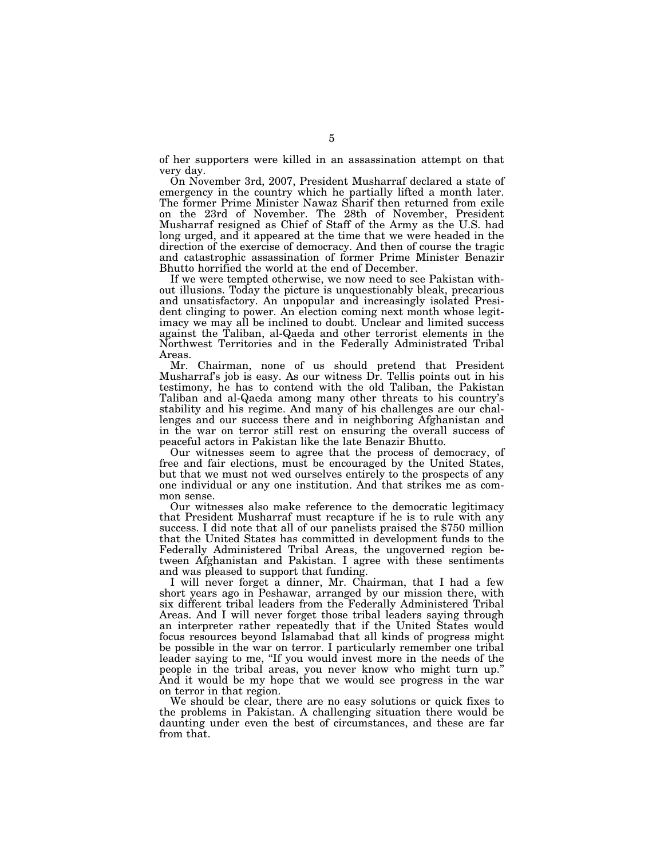of her supporters were killed in an assassination attempt on that very day.

On November 3rd, 2007, President Musharraf declared a state of emergency in the country which he partially lifted a month later. The former Prime Minister Nawaz Sharif then returned from exile on the 23rd of November. The 28th of November, President Musharraf resigned as Chief of Staff of the Army as the U.S. had long urged, and it appeared at the time that we were headed in the direction of the exercise of democracy. And then of course the tragic and catastrophic assassination of former Prime Minister Benazir Bhutto horrified the world at the end of December.

If we were tempted otherwise, we now need to see Pakistan without illusions. Today the picture is unquestionably bleak, precarious and unsatisfactory. An unpopular and increasingly isolated President clinging to power. An election coming next month whose legitimacy we may all be inclined to doubt. Unclear and limited success against the Taliban, al-Qaeda and other terrorist elements in the Northwest Territories and in the Federally Administrated Tribal Areas.

Mr. Chairman, none of us should pretend that President Musharraf's job is easy. As our witness Dr. Tellis points out in his testimony, he has to contend with the old Taliban, the Pakistan Taliban and al-Qaeda among many other threats to his country's stability and his regime. And many of his challenges are our challenges and our success there and in neighboring Afghanistan and in the war on terror still rest on ensuring the overall success of peaceful actors in Pakistan like the late Benazir Bhutto.

Our witnesses seem to agree that the process of democracy, of free and fair elections, must be encouraged by the United States, but that we must not wed ourselves entirely to the prospects of any one individual or any one institution. And that strikes me as common sense.

Our witnesses also make reference to the democratic legitimacy that President Musharraf must recapture if he is to rule with any success. I did note that all of our panelists praised the \$750 million that the United States has committed in development funds to the Federally Administered Tribal Areas, the ungoverned region between Afghanistan and Pakistan. I agree with these sentiments and was pleased to support that funding.

I will never forget a dinner, Mr. Chairman, that I had a few short years ago in Peshawar, arranged by our mission there, with six different tribal leaders from the Federally Administered Tribal Areas. And I will never forget those tribal leaders saying through an interpreter rather repeatedly that if the United States would focus resources beyond Islamabad that all kinds of progress might be possible in the war on terror. I particularly remember one tribal leader saying to me, ''If you would invest more in the needs of the people in the tribal areas, you never know who might turn up.'' And it would be my hope that we would see progress in the war on terror in that region.

We should be clear, there are no easy solutions or quick fixes to the problems in Pakistan. A challenging situation there would be daunting under even the best of circumstances, and these are far from that.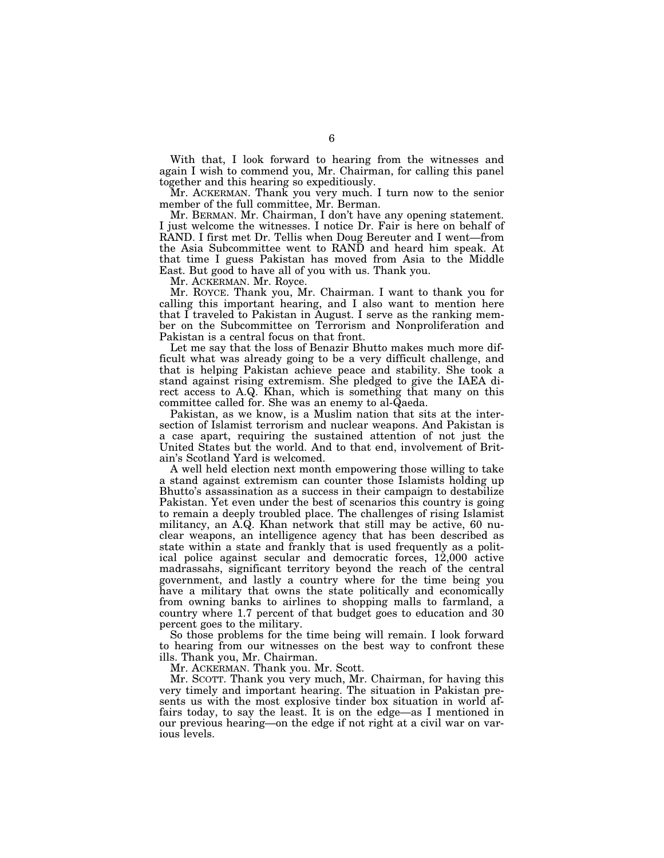With that, I look forward to hearing from the witnesses and again I wish to commend you, Mr. Chairman, for calling this panel together and this hearing so expeditiously.

Mr. ACKERMAN. Thank you very much. I turn now to the senior member of the full committee, Mr. Berman.

Mr. BERMAN. Mr. Chairman, I don't have any opening statement. I just welcome the witnesses. I notice Dr. Fair is here on behalf of RAND. I first met Dr. Tellis when Doug Bereuter and I went—from the Asia Subcommittee went to RAND and heard him speak. At that time I guess Pakistan has moved from Asia to the Middle East. But good to have all of you with us. Thank you.

Mr. ACKERMAN. Mr. Royce.

Mr. ROYCE. Thank you, Mr. Chairman. I want to thank you for calling this important hearing, and I also want to mention here that I traveled to Pakistan in August. I serve as the ranking member on the Subcommittee on Terrorism and Nonproliferation and Pakistan is a central focus on that front.

Let me say that the loss of Benazir Bhutto makes much more difficult what was already going to be a very difficult challenge, and that is helping Pakistan achieve peace and stability. She took a stand against rising extremism. She pledged to give the IAEA direct access to A.Q. Khan, which is something that many on this committee called for. She was an enemy to al-Qaeda.

Pakistan, as we know, is a Muslim nation that sits at the intersection of Islamist terrorism and nuclear weapons. And Pakistan is a case apart, requiring the sustained attention of not just the United States but the world. And to that end, involvement of Britain's Scotland Yard is welcomed.

A well held election next month empowering those willing to take a stand against extremism can counter those Islamists holding up Bhutto's assassination as a success in their campaign to destabilize Pakistan. Yet even under the best of scenarios this country is going to remain a deeply troubled place. The challenges of rising Islamist militancy, an A.Q. Khan network that still may be active, 60 nuclear weapons, an intelligence agency that has been described as state within a state and frankly that is used frequently as a political police against secular and democratic forces, 12,000 active madrassahs, significant territory beyond the reach of the central government, and lastly a country where for the time being you have a military that owns the state politically and economically from owning banks to airlines to shopping malls to farmland, a country where 1.7 percent of that budget goes to education and 30 percent goes to the military.

So those problems for the time being will remain. I look forward to hearing from our witnesses on the best way to confront these ills. Thank you, Mr. Chairman.

Mr. ACKERMAN. Thank you. Mr. Scott.

Mr. SCOTT. Thank you very much, Mr. Chairman, for having this very timely and important hearing. The situation in Pakistan presents us with the most explosive tinder box situation in world affairs today, to say the least. It is on the edge—as I mentioned in our previous hearing—on the edge if not right at a civil war on various levels.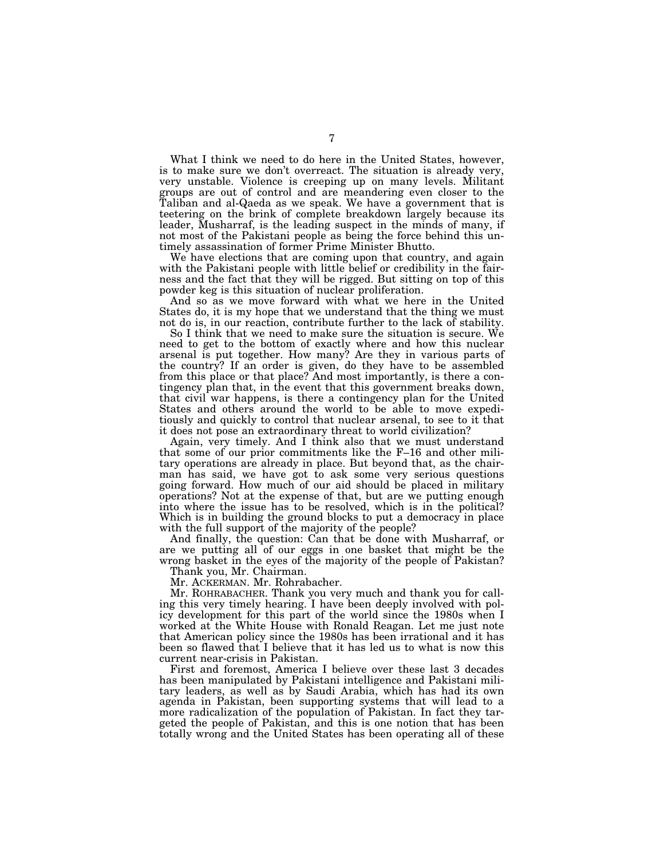What I think we need to do here in the United States, however, is to make sure we don't overreact. The situation is already very, very unstable. Violence is creeping up on many levels. Militant groups are out of control and are meandering even closer to the Taliban and al-Qaeda as we speak. We have a government that is teetering on the brink of complete breakdown largely because its leader, Musharraf, is the leading suspect in the minds of many, if not most of the Pakistani people as being the force behind this untimely assassination of former Prime Minister Bhutto.

We have elections that are coming upon that country, and again with the Pakistani people with little belief or credibility in the fairness and the fact that they will be rigged. But sitting on top of this powder keg is this situation of nuclear proliferation.

And so as we move forward with what we here in the United States do, it is my hope that we understand that the thing we must not do is, in our reaction, contribute further to the lack of stability.

So I think that we need to make sure the situation is secure. We need to get to the bottom of exactly where and how this nuclear arsenal is put together. How many? Are they in various parts of the country? If an order is given, do they have to be assembled from this place or that place? And most importantly, is there a contingency plan that, in the event that this government breaks down, that civil war happens, is there a contingency plan for the United States and others around the world to be able to move expeditiously and quickly to control that nuclear arsenal, to see to it that it does not pose an extraordinary threat to world civilization?

Again, very timely. And I think also that we must understand that some of our prior commitments like the F–16 and other military operations are already in place. But beyond that, as the chairman has said, we have got to ask some very serious questions going forward. How much of our aid should be placed in military  $\alpha$  operations? Not at the expense of that, but are we putting enough into where the issue has to be resolved, which is in the political? Which is in building the ground blocks to put a democracy in place with the full support of the majority of the people?

And finally, the question: Can that be done with Musharraf, or are we putting all of our eggs in one basket that might be the wrong basket in the eyes of the majority of the people of Pakistan?

Thank you, Mr. Chairman.

Mr. ACKERMAN. Mr. Rohrabacher.

Mr. ROHRABACHER. Thank you very much and thank you for calling this very timely hearing. I have been deeply involved with policy development for this part of the world since the 1980s when I worked at the White House with Ronald Reagan. Let me just note that American policy since the 1980s has been irrational and it has been so flawed that I believe that it has led us to what is now this current near-crisis in Pakistan.

First and foremost, America I believe over these last 3 decades has been manipulated by Pakistani intelligence and Pakistani military leaders, as well as by Saudi Arabia, which has had its own agenda in Pakistan, been supporting systems that will lead to a more radicalization of the population of Pakistan. In fact they targeted the people of Pakistan, and this is one notion that has been totally wrong and the United States has been operating all of these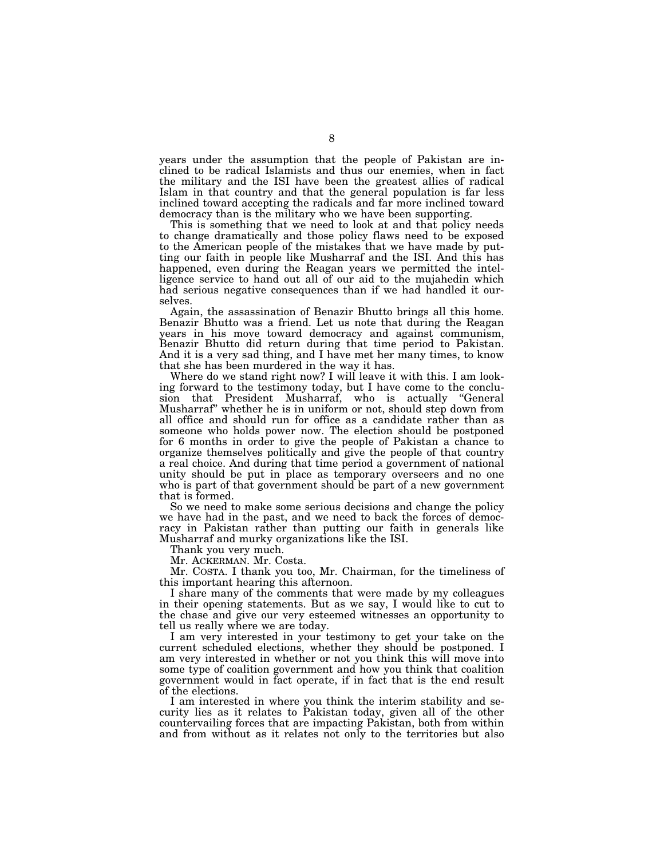years under the assumption that the people of Pakistan are inclined to be radical Islamists and thus our enemies, when in fact the military and the ISI have been the greatest allies of radical Islam in that country and that the general population is far less inclined toward accepting the radicals and far more inclined toward democracy than is the military who we have been supporting.

This is something that we need to look at and that policy needs to change dramatically and those policy flaws need to be exposed to the American people of the mistakes that we have made by putting our faith in people like Musharraf and the ISI. And this has happened, even during the Reagan years we permitted the intelligence service to hand out all of our aid to the mujahedin which had serious negative consequences than if we had handled it ourselves.

Again, the assassination of Benazir Bhutto brings all this home. Benazir Bhutto was a friend. Let us note that during the Reagan years in his move toward democracy and against communism, Benazir Bhutto did return during that time period to Pakistan. And it is a very sad thing, and I have met her many times, to know that she has been murdered in the way it has.

Where do we stand right now? I will leave it with this. I am looking forward to the testimony today, but I have come to the conclusion that President Musharraf, who is actually ''General Musharraf'' whether he is in uniform or not, should step down from all office and should run for office as a candidate rather than as someone who holds power now. The election should be postponed for 6 months in order to give the people of Pakistan a chance to organize themselves politically and give the people of that country a real choice. And during that time period a government of national unity should be put in place as temporary overseers and no one who is part of that government should be part of a new government that is formed.

So we need to make some serious decisions and change the policy we have had in the past, and we need to back the forces of democracy in Pakistan rather than putting our faith in generals like Musharraf and murky organizations like the ISI.

Thank you very much.

Mr. ACKERMAN. Mr. Costa.

Mr. COSTA. I thank you too, Mr. Chairman, for the timeliness of this important hearing this afternoon.

I share many of the comments that were made by my colleagues in their opening statements. But as we say, I would like to cut to the chase and give our very esteemed witnesses an opportunity to tell us really where we are today.

I am very interested in your testimony to get your take on the current scheduled elections, whether they should be postponed. I am very interested in whether or not you think this will move into some type of coalition government and how you think that coalition government would in fact operate, if in fact that is the end result of the elections.

I am interested in where you think the interim stability and security lies as it relates to Pakistan today, given all of the other countervailing forces that are impacting Pakistan, both from within and from without as it relates not only to the territories but also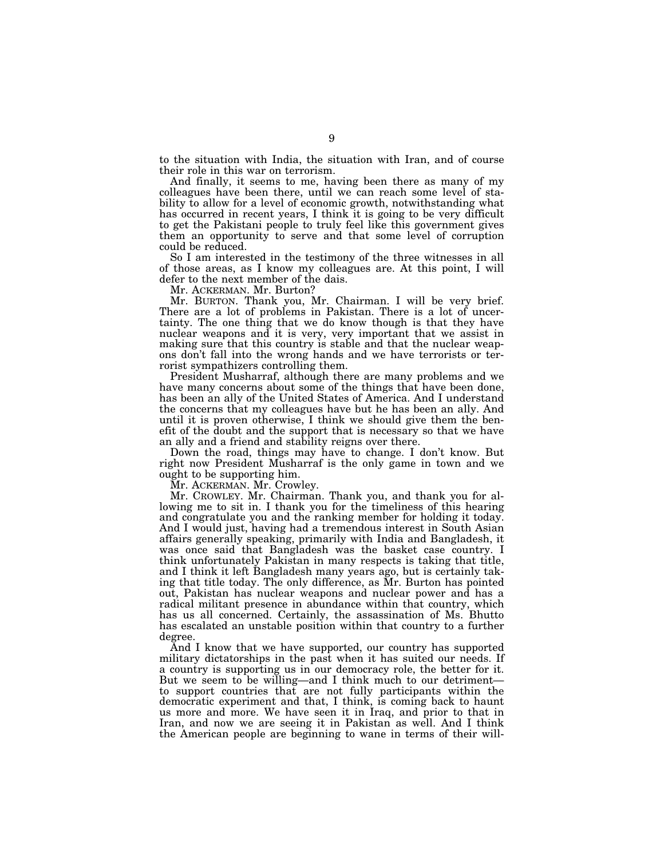to the situation with India, the situation with Iran, and of course their role in this war on terrorism.

And finally, it seems to me, having been there as many of my colleagues have been there, until we can reach some level of stability to allow for a level of economic growth, notwithstanding what has occurred in recent years, I think it is going to be very difficult to get the Pakistani people to truly feel like this government gives them an opportunity to serve and that some level of corruption could be reduced.

So I am interested in the testimony of the three witnesses in all of those areas, as I know my colleagues are. At this point, I will defer to the next member of the dais.

Mr. ACKERMAN. Mr. Burton?

Mr. BURTON. Thank you, Mr. Chairman. I will be very brief. There are a lot of problems in Pakistan. There is a lot of uncertainty. The one thing that we do know though is that they have nuclear weapons and it is very, very important that we assist in making sure that this country is stable and that the nuclear weapons don't fall into the wrong hands and we have terrorists or terrorist sympathizers controlling them.

President Musharraf, although there are many problems and we have many concerns about some of the things that have been done, has been an ally of the United States of America. And I understand the concerns that my colleagues have but he has been an ally. And until it is proven otherwise, I think we should give them the benefit of the doubt and the support that is necessary so that we have an ally and a friend and stability reigns over there.

Down the road, things may have to change. I don't know. But right now President Musharraf is the only game in town and we ought to be supporting him.

Mr. ACKERMAN. Mr. Crowley.

Mr. CROWLEY. Mr. Chairman. Thank you, and thank you for allowing me to sit in. I thank you for the timeliness of this hearing and congratulate you and the ranking member for holding it today. And I would just, having had a tremendous interest in South Asian affairs generally speaking, primarily with India and Bangladesh, it was once said that Bangladesh was the basket case country. I think unfortunately Pakistan in many respects is taking that title, and I think it left Bangladesh many years ago, but is certainly taking that title today. The only difference, as Mr. Burton has pointed out, Pakistan has nuclear weapons and nuclear power and has a radical militant presence in abundance within that country, which has us all concerned. Certainly, the assassination of Ms. Bhutto has escalated an unstable position within that country to a further degree.

And I know that we have supported, our country has supported military dictatorships in the past when it has suited our needs. If a country is supporting us in our democracy role, the better for it. But we seem to be willing—and I think much to our detriment to support countries that are not fully participants within the democratic experiment and that, I think, is coming back to haunt us more and more. We have seen it in Iraq, and prior to that in Iran, and now we are seeing it in Pakistan as well. And I think the American people are beginning to wane in terms of their will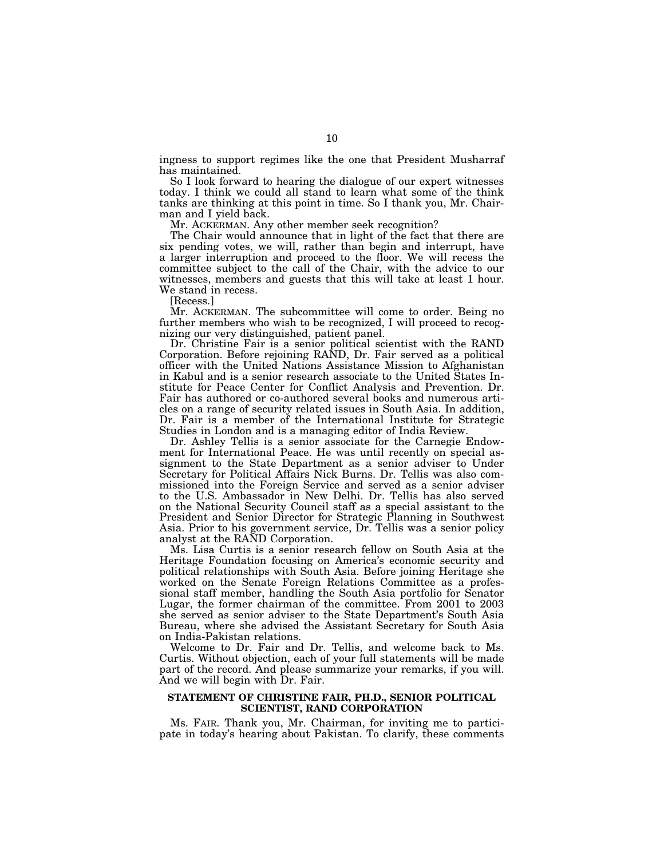ingness to support regimes like the one that President Musharraf has maintained.

So I look forward to hearing the dialogue of our expert witnesses today. I think we could all stand to learn what some of the think tanks are thinking at this point in time. So I thank you, Mr. Chairman and I yield back.

Mr. ACKERMAN. Any other member seek recognition?

The Chair would announce that in light of the fact that there are six pending votes, we will, rather than begin and interrupt, have a larger interruption and proceed to the floor. We will recess the committee subject to the call of the Chair, with the advice to our witnesses, members and guests that this will take at least 1 hour. We stand in recess.

[Recess.]

Mr. ACKERMAN. The subcommittee will come to order. Being no further members who wish to be recognized, I will proceed to recognizing our very distinguished, patient panel.

Dr. Christine Fair is a senior political scientist with the RAND Corporation. Before rejoining RAND, Dr. Fair served as a political officer with the United Nations Assistance Mission to Afghanistan in Kabul and is a senior research associate to the United States Institute for Peace Center for Conflict Analysis and Prevention. Dr. Fair has authored or co-authored several books and numerous articles on a range of security related issues in South Asia. In addition, Dr. Fair is a member of the International Institute for Strategic Studies in London and is a managing editor of India Review.

Dr. Ashley Tellis is a senior associate for the Carnegie Endowment for International Peace. He was until recently on special assignment to the State Department as a senior adviser to Under Secretary for Political Affairs Nick Burns. Dr. Tellis was also commissioned into the Foreign Service and served as a senior adviser to the U.S. Ambassador in New Delhi. Dr. Tellis has also served on the National Security Council staff as a special assistant to the President and Senior Director for Strategic Planning in Southwest Asia. Prior to his government service, Dr. Tellis was a senior policy analyst at the RAND Corporation.

Ms. Lisa Curtis is a senior research fellow on South Asia at the Heritage Foundation focusing on America's economic security and political relationships with South Asia. Before joining Heritage she worked on the Senate Foreign Relations Committee as a professional staff member, handling the South Asia portfolio for Senator Lugar, the former chairman of the committee. From 2001 to 2003 she served as senior adviser to the State Department's South Asia Bureau, where she advised the Assistant Secretary for South Asia on India-Pakistan relations.

Welcome to Dr. Fair and Dr. Tellis, and welcome back to Ms. Curtis. Without objection, each of your full statements will be made part of the record. And please summarize your remarks, if you will. And we will begin with Dr. Fair.

## **STATEMENT OF CHRISTINE FAIR, PH.D., SENIOR POLITICAL SCIENTIST, RAND CORPORATION**

Ms. FAIR. Thank you, Mr. Chairman, for inviting me to participate in today's hearing about Pakistan. To clarify, these comments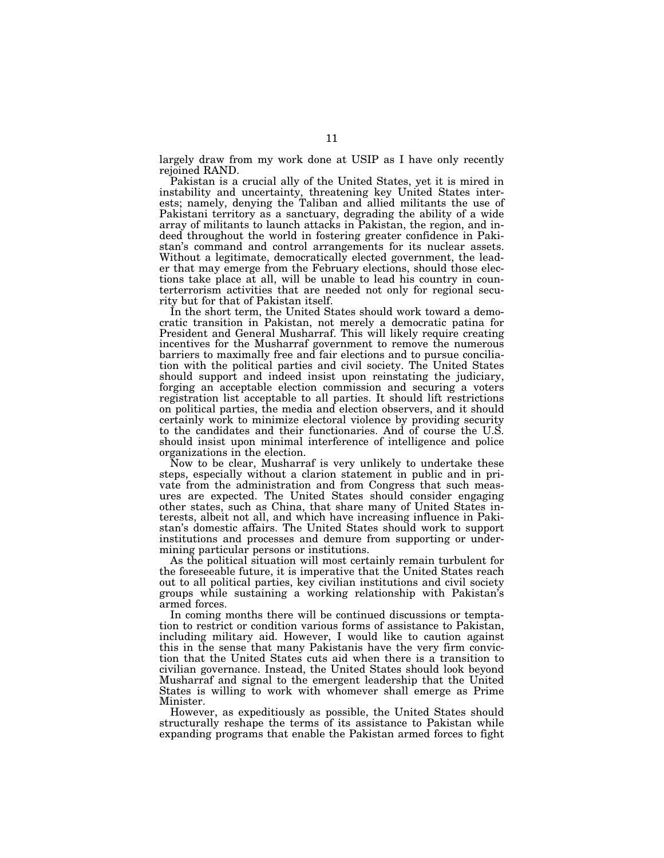largely draw from my work done at USIP as I have only recently rejoined RAND.

Pakistan is a crucial ally of the United States, yet it is mired in instability and uncertainty, threatening key United States interests; namely, denying the Taliban and allied militants the use of Pakistani territory as a sanctuary, degrading the ability of a wide array of militants to launch attacks in Pakistan, the region, and indeed throughout the world in fostering greater confidence in Pakistan's command and control arrangements for its nuclear assets. Without a legitimate, democratically elected government, the leader that may emerge from the February elections, should those elections take place at all, will be unable to lead his country in counterterrorism activities that are needed not only for regional security but for that of Pakistan itself.

In the short term, the United States should work toward a democratic transition in Pakistan, not merely a democratic patina for President and General Musharraf. This will likely require creating incentives for the Musharraf government to remove the numerous barriers to maximally free and fair elections and to pursue conciliation with the political parties and civil society. The United States should support and indeed insist upon reinstating the judiciary, forging an acceptable election commission and securing a voters registration list acceptable to all parties. It should lift restrictions on political parties, the media and election observers, and it should certainly work to minimize electoral violence by providing security to the candidates and their functionaries. And of course the U.S. should insist upon minimal interference of intelligence and police organizations in the election.

Now to be clear, Musharraf is very unlikely to undertake these steps, especially without a clarion statement in public and in private from the administration and from Congress that such measures are expected. The United States should consider engaging other states, such as China, that share many of United States interests, albeit not all, and which have increasing influence in Pakistan's domestic affairs. The United States should work to support institutions and processes and demure from supporting or undermining particular persons or institutions.

As the political situation will most certainly remain turbulent for the foreseeable future, it is imperative that the United States reach out to all political parties, key civilian institutions and civil society groups while sustaining a working relationship with Pakistan's armed forces.

In coming months there will be continued discussions or temptation to restrict or condition various forms of assistance to Pakistan, including military aid. However, I would like to caution against this in the sense that many Pakistanis have the very firm conviction that the United States cuts aid when there is a transition to civilian governance. Instead, the United States should look beyond Musharraf and signal to the emergent leadership that the United States is willing to work with whomever shall emerge as Prime Minister.

However, as expeditiously as possible, the United States should structurally reshape the terms of its assistance to Pakistan while expanding programs that enable the Pakistan armed forces to fight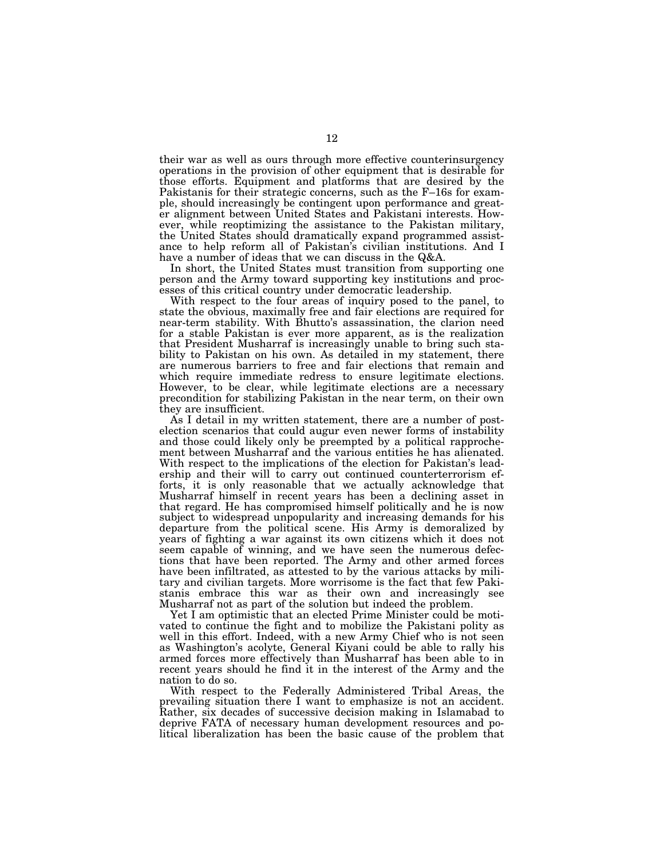their war as well as ours through more effective counterinsurgency operations in the provision of other equipment that is desirable for those efforts. Equipment and platforms that are desired by the Pakistanis for their strategic concerns, such as the F–16s for example, should increasingly be contingent upon performance and greater alignment between United States and Pakistani interests. However, while reoptimizing the assistance to the Pakistan military, the United States should dramatically expand programmed assistance to help reform all of Pakistan's civilian institutions. And I have a number of ideas that we can discuss in the Q&A.

In short, the United States must transition from supporting one person and the Army toward supporting key institutions and processes of this critical country under democratic leadership.

With respect to the four areas of inquiry posed to the panel, to state the obvious, maximally free and fair elections are required for near-term stability. With Bhutto's assassination, the clarion need for a stable Pakistan is ever more apparent, as is the realization that President Musharraf is increasingly unable to bring such stability to Pakistan on his own. As detailed in my statement, there are numerous barriers to free and fair elections that remain and which require immediate redress to ensure legitimate elections. However, to be clear, while legitimate elections are a necessary precondition for stabilizing Pakistan in the near term, on their own they are insufficient.

As I detail in my written statement, there are a number of postelection scenarios that could augur even newer forms of instability and those could likely only be preempted by a political rapprochement between Musharraf and the various entities he has alienated. With respect to the implications of the election for Pakistan's leadership and their will to carry out continued counterterrorism efforts, it is only reasonable that we actually acknowledge that Musharraf himself in recent years has been a declining asset in that regard. He has compromised himself politically and he is now subject to widespread unpopularity and increasing demands for his departure from the political scene. His Army is demoralized by years of fighting a war against its own citizens which it does not seem capable of winning, and we have seen the numerous defections that have been reported. The Army and other armed forces have been infiltrated, as attested to by the various attacks by military and civilian targets. More worrisome is the fact that few Pakistanis embrace this war as their own and increasingly see Musharraf not as part of the solution but indeed the problem.

Yet I am optimistic that an elected Prime Minister could be motivated to continue the fight and to mobilize the Pakistani polity as well in this effort. Indeed, with a new Army Chief who is not seen as Washington's acolyte, General Kiyani could be able to rally his armed forces more effectively than Musharraf has been able to in recent years should he find it in the interest of the Army and the nation to do so.

With respect to the Federally Administered Tribal Areas, the prevailing situation there I want to emphasize is not an accident. Rather, six decades of successive decision making in Islamabad to deprive FATA of necessary human development resources and political liberalization has been the basic cause of the problem that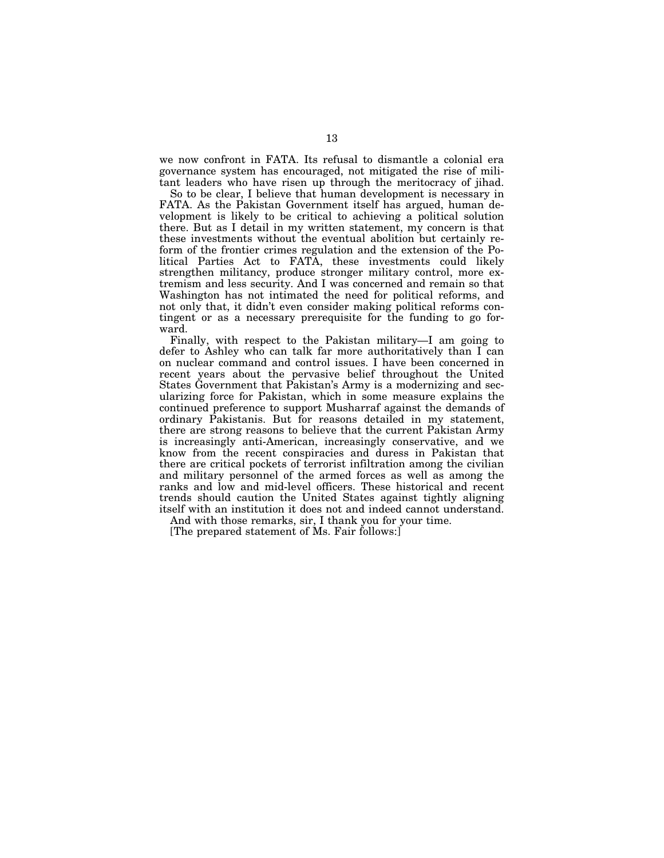we now confront in FATA. Its refusal to dismantle a colonial era governance system has encouraged, not mitigated the rise of militant leaders who have risen up through the meritocracy of jihad.

So to be clear, I believe that human development is necessary in FATA. As the Pakistan Government itself has argued, human development is likely to be critical to achieving a political solution there. But as I detail in my written statement, my concern is that these investments without the eventual abolition but certainly reform of the frontier crimes regulation and the extension of the Political Parties Act to FATA, these investments could likely strengthen militancy, produce stronger military control, more extremism and less security. And I was concerned and remain so that Washington has not intimated the need for political reforms, and not only that, it didn't even consider making political reforms contingent or as a necessary prerequisite for the funding to go forward.

Finally, with respect to the Pakistan military—I am going to defer to Ashley who can talk far more authoritatively than I can on nuclear command and control issues. I have been concerned in recent years about the pervasive belief throughout the United States Government that Pakistan's Army is a modernizing and secularizing force for Pakistan, which in some measure explains the continued preference to support Musharraf against the demands of ordinary Pakistanis. But for reasons detailed in my statement, there are strong reasons to believe that the current Pakistan Army is increasingly anti-American, increasingly conservative, and we know from the recent conspiracies and duress in Pakistan that there are critical pockets of terrorist infiltration among the civilian and military personnel of the armed forces as well as among the ranks and low and mid-level officers. These historical and recent trends should caution the United States against tightly aligning itself with an institution it does not and indeed cannot understand.

And with those remarks, sir, I thank you for your time.

[The prepared statement of Ms. Fair follows:]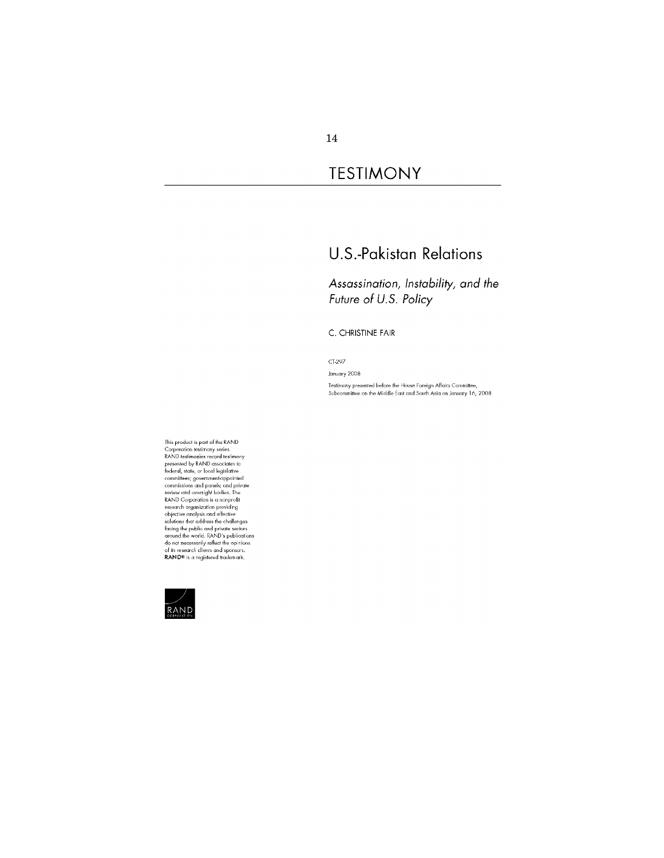## **TESTIMONY**

## **U.S.-Pakistan Relations**

Assassination, Instability, and the Future of U.S. Policy

C. CHRISTINE FAIR

CT-297

January 2008 Testimony presented before the House Foreign Affairs Committee,<br>Subcommittee on the Middle East and South Asia on January 16, 2008

This product is part of the RAND<br>Corporation testimony series.<br>RAND testimonies record testimony<br>presented by RAND associates to<br>be federal, state, or local legislative<br>committees; government-appointed<br>commissions and pens solutions find address the challenges<br>facing the public and private sectors<br>around the world. RAND's publications<br>do not necessarily reflect the opinions<br>of its research clients and sponsors.<br>**RAND®** is a registered tradem

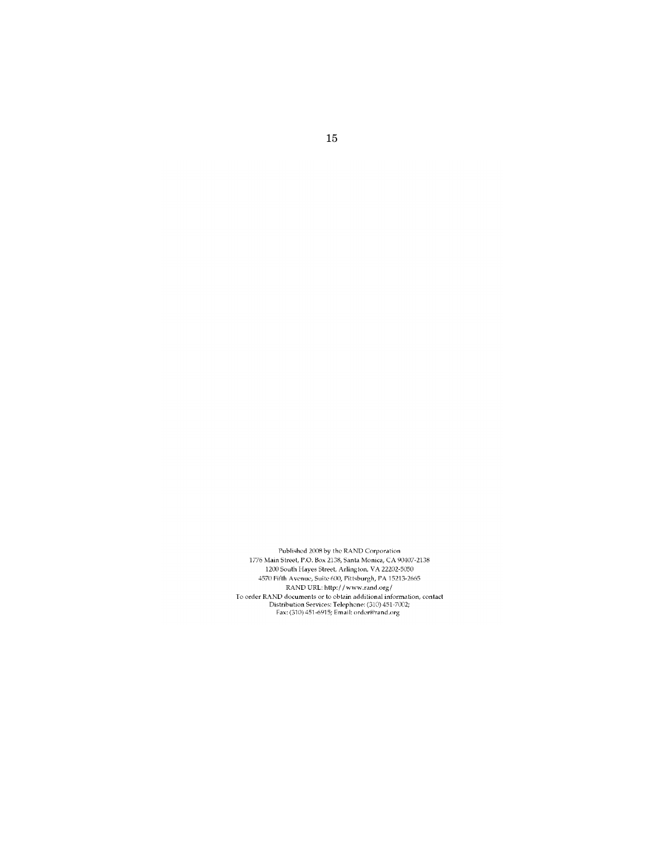Published 2008 by the RAND Corporation 1776 Main Street, P.O. Box 2138, Santa Monica, CA $90407\text{-}2138$ 1776 Main Street, P.O. Box 2138, Santa Monica, CA 90407-2138<br>1200 South Hayes Street, Arlington, VA 22202-5050<br>4570 Fifth Avenue, Suite 600, Pittsburgh, PA 15213-2665<br>RAND URL: http://www.rand.org/<br>To order RAND documents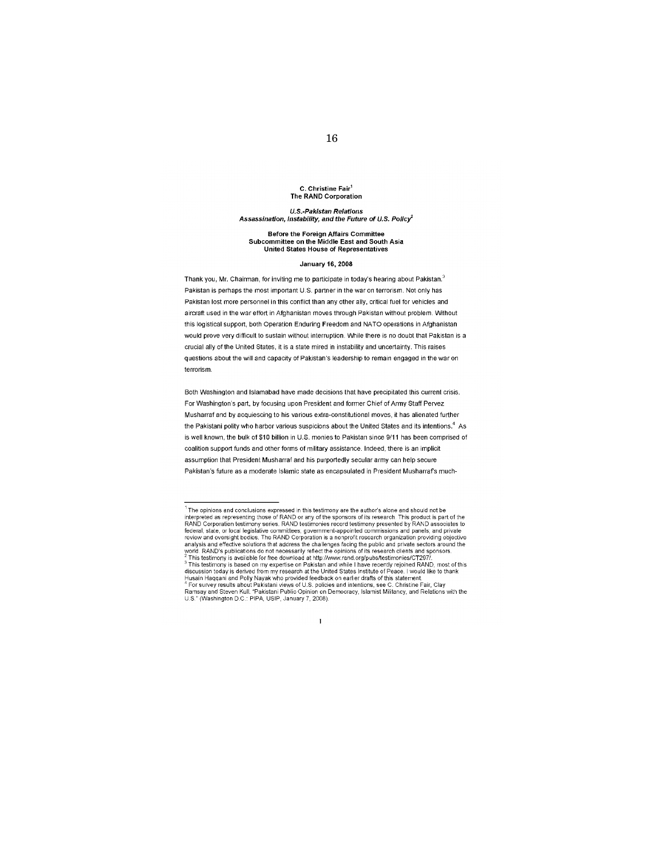#### C. Christine Fair<sup>1</sup> The RAND Corporation

#### **U.S.-Pakistan Relations** Assassination, instability, and the Future of U.S. Policy<sup>2</sup>

#### **Before the Foreign Affairs Committee** Subcommittee on the Middle East and South Asia United States House of Representatives

#### **January 16, 2008**

Thank you, Mr. Chairman, for inviting me to participate in today's hearing about Pakistan.<sup>3</sup> Pakistan is perhaps the most important U.S. partner in the war on terrorism. Not only has Pakistan lost more personnel in this conflict than any other ally, critical fuel for vehicles and aircraft used in the war effort in Afghanistan moves through Pakistan without problem. Without this logistical support, both Operation Enduring Freedom and NATO operations in Afghanistan would prove very difficult to sustain without interruption. While there is no doubt that Pakistan is a crucial ally of the United States, it is a state mired in instability and uncertainty. This raises questions about the will and capacity of Pakistan's leadership to remain engaged in the war on terrorism.

Both Washington and Islamabad have made decisions that have precipitated this current crisis. For Washington's part, by focusing upon President and former Chief of Army Staff Pervez Musharraf and by acquiescing to his various extra-constitutional moves, it has alienated further the Pakistani polity who harbor various suspicions about the United States and its intentions.<sup>4</sup> As is well known, the bulk of \$10 billion in U.S. monies to Pakistan since 9/11 has been comprised of coalition support funds and other forms of military assistance. Indeed, there is an implicit assumption that President Musharraf and his purportedly secular army can help secure Pakistan's future as a moderate Islamic state as encapsulated in President Musharraf's much-

 $^{\rm 1}$  The opinions and conclusions expressed in this testimony are the author's alone and should not be interpreted as representing those of RAND or any of the sponsors of its research. This product is part of the<br>RAND corporation testimony series. RAND testimonies record testimony presented by RAND associates to RAND Corporation testimony series. RAND testimonies record testimony presented by RAND associates to federal, state, or local legislative committees, government-appointed commissions and parise is and private review and o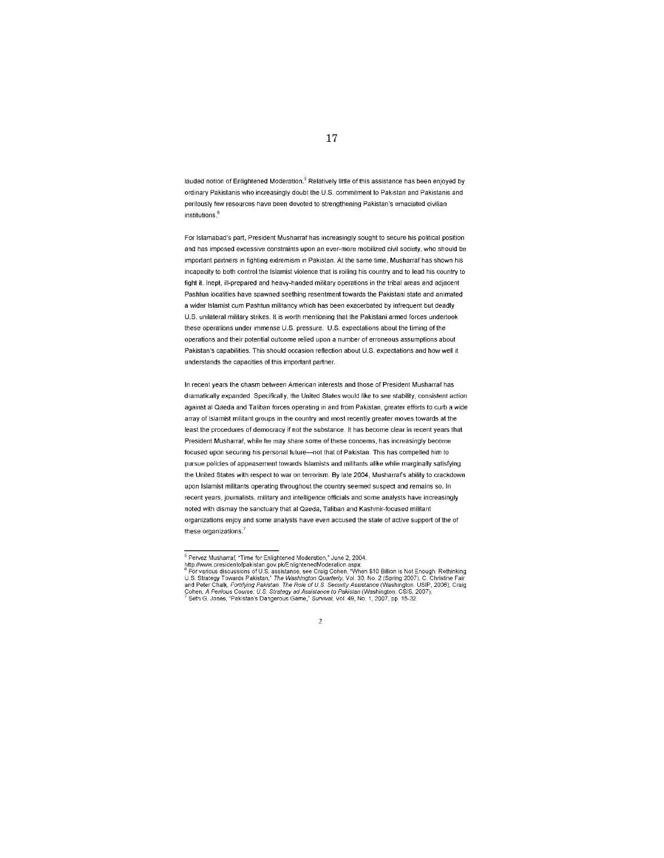lauded notion of Enlightened Moderation.<sup>5</sup> Relatively little of this assistance has been enjoyed by ordinary Pakistanis who increasingly doubt the U.S. commitment to Pakistan and Pakistanis and perilously few resources have been devoted to strengthening Pakistan's emaciated civilian institutions.<sup>6</sup>

For Islamabad's part, President Musharraf has increasingly sought to secure his political position and has imposed excessive constraints upon an ever-more mobilized civil society, who should be important partners in fighting extremism in Pakistan. At the same time, Musharraf has shown his incapacity to both control the Islamist violence that is roiling his country and to lead his country to fight it. Inept, ill-prepared and heavy-handed military operations in the tribal areas and adjacent Pashtun localities have spawned seething resentment towards the Pakistani state and animated a wider Islamist cum Pashtun militancy which has been exacerbated by infrequent but deadly U.S. unilateral military strikes. It is worth mentioning that the Pakistani armed forces undertook these operations under immense U.S. pressure. U.S. expectations about the timing of the operations and their potential outcome relied upon a number of erroneous assumptions about Pakistan's capabilities. This should occasion reflection about U.S. expectations and how well it understands the capacities of this important partner.

In recent years the chasm between American interests and those of President Musharraf has dramatically expanded. Specifically, the United States would like to see stability, consistent action against al Qaeda and Taliban forces operating in and from Pakistan, greater efforts to curb a wide array of Islamist militant groups in the country and most recently greater moves towards at the least the procedures of democracy if not the substance. It has become clear in recent years that President Musharraf, while he may share some of these concems, has increasingly become focused upon securing his personal future-not that of Pakistan. This has compelled him to pursue policies of appeasement towards Islamists and militants alike while marginally satisfying the United States with respect to war on terrorism. By late 2004, Musharraf's ability to crackdown upon Islamist militants operating throughout the country seemed suspect and remains so. In recent years, journalists, military and intelligence officials and some analysts have increasingly noted with dismay the sanctuary that al Qaeda, Taliban and Kashmir-focused militant organizations enjoy and some analysts have even accused the state of active support of the of these organizations.<sup>7</sup>

 $\overline{2}$ 

<sup>&</sup>lt;sup>5</sup> Pervez Musharraf, "Time for Enlightened Moderation," June 2, 2004.

Prevez Muslianta, Time in Emigriciental wolverlator), valiez 2004.<br>
Attp://www.presidentofpakistan.gov.pk/EnlightenedModeration.aspx.<br>
<sup>8</sup> For various discussions of U.S. assistance, see Craig Cohen, "When \$10 Billion is N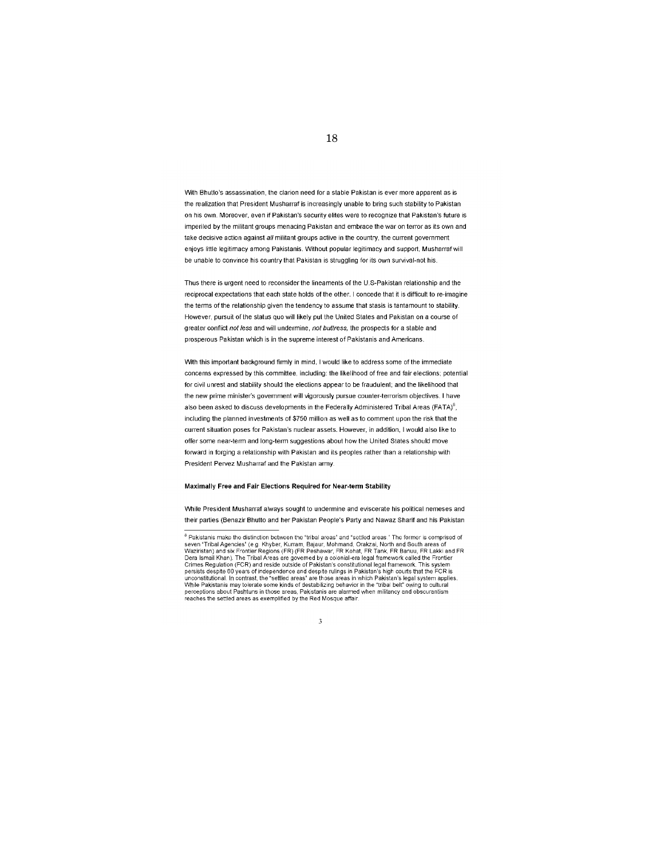With Bhutto's assassination, the clarion need for a stable Pakistan is ever more apparent as is the realization that President Musharraf is increasingly unable to bring such stability to Pakistan on his own. Moreover, even if Pakistan's security elites were to recognize that Pakistan's future is imperiled by the militant groups menacing Pakistan and embrace the war on terror as its own and take decisive action against all militant groups active in the country, the current government enjoys little legitimacy among Pakistanis. Without popular legitimacy and support, Musharraf will be unable to convince his country that Pakistan is struggling for its own survival-not his.

Thus there is urgent need to reconsider the lineaments of the U.S-Pakistan relationship and the reciprocal expectations that each state holds of the other. I concede that it is difficult to re-imagine the terms of the relationship given the tendency to assume that stasis is tantamount to stability. However, pursuit of the status quo will likely put the United States and Pakistan on a course of greater conflict not less and will undermine, not buttress, the prospects for a stable and prosperous Pakistan which is in the supreme interest of Pakistanis and Americans.

With this important background firmly in mind. I would like to address some of the immediate concerns expressed by this committee, including: the likelihood of free and fair elections; potential for civil unrest and stability should the elections appear to be fraudulent; and the likelihood that the new prime minister's government will vigorously pursue counter-terrorism objectives. I have also been asked to discuss developments in the Federally Administered Tribal Areas (FATA)<sup>8</sup>. including the planned investments of \$750 million as well as to comment upon the risk that the current situation poses for Pakistan's nuclear assets. However, in addition, I would also like to offer some near-term and long-term suggestions about how the United States should move forward in forging a relationship with Pakistan and its peoples rather than a relationship with President Pervez Musharraf and the Pakistan army.

#### Maximally Free and Fair Elections Required for Near-term Stability

While President Musharraf always sought to undermine and eviscerate his political nemeses and their parties (Benazir Bhutto and her Pakistan People's Party and Nawaz Sharif and his Pakistan

#### 3

 ${}^{8}$  Pakistanis make the distinction between the "tribal areas" and "settled areas." The former is comprised of seven "Tribal Agencies" (e.g. Khyber, Kurram, Bajaur, Mohmand, Orakzai, North and South areas of<br>Waziristan) and six Frontier Regions (FR) (FR Peshawar, FR Kohat, FR Tank, FR Banuu, FR Lakki and FR<br>Dera Ismail Khan). The T Crimes Regulation (FCR) and reside outside of Pakistan's constitutional legal framework. This system Discussion of the periodic and despite rulings in Pakistan's high courts that the FCR is<br>unconstitutional. In contrast, the "settled areas" are those areas in which Pakistan's legal system applies. While Pakistanis may tolerate some kinds of destabilizing behavior in the "tribal belt" owing to cultural<br>perceptions about Pashtuns in those areas, Pakistanis are alarmed when militancy and obscurantism reaches the settled areas as exemplified by the Red Mosque affair.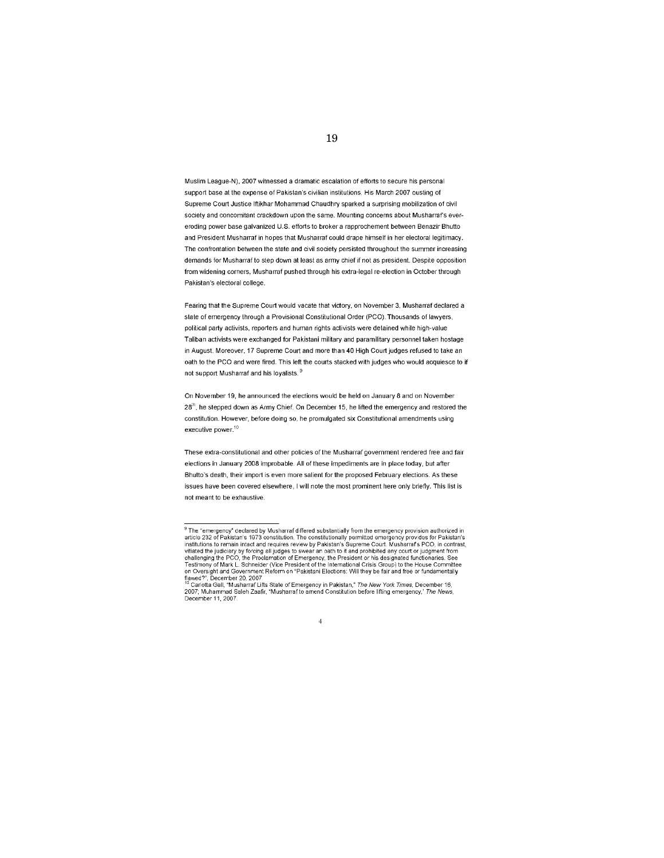Muslim League-N), 2007 witnessed a dramatic escalation of efforts to secure his personal support base at the expense of Pakistan's civilian institutions. His March 2007 ousting of Supreme Court Justice Iftikhar Mohammad Chaudhry sparked a surprising mobilization of civil society and concomitant crackdown upon the same. Mounting concerns about Musharraf's evereroding power base galvanized U.S. efforts to broker a rapprochement between Benazir Bhutto and President Musharraf in hopes that Musharraf could drape himself in her electoral legitimacy. The confrontation between the state and civil society persisted throughout the summer increasing demands for Musharraf to step down at least as army chief if not as president. Despite opposition from widening corners, Musharraf pushed through his extra-legal re-election in October through Pakistan's electoral college.

Fearing that the Supreme Court would vacate that victory, on November 3, Musharraf declared a state of emergency through a Provisional Constitutional Order (PCO). Thousands of lawyers, political party activists, reporters and human rights activists were detained while high-value Taliban activists were exchanged for Pakistani military and paramilitary personnel taken hostage in August. Moreover, 17 Supreme Court and more than 40 High Court judges refused to take an oath to the PCO and were fired. This left the courts stacked with judges who would acquiesce to if not support Musharraf and his lovalists<sup>9</sup>

On November 19, he announced the elections would be held on January 8 and on November 28<sup>th</sup>, he stepped down as Army Chief. On December 15, he lifted the emergency and restored the constitution. However, before doing so, he promulgated six Constitutional amendments using executive power.<sup>10</sup>

These extra-constitutional and other policies of the Musharraf government rendered free and fair elections in January 2008 improbable. All of these impediments are in place today, but after Bhutto's death, their import is even more salient for the proposed February elections. As these issues have been covered elsewhere, I will note the most prominent here only briefly. This list is not meant to be exhaustive.

## $\overline{4}$

<sup>-&</sup>lt;br>
The "emergency" declared by Musharraf differed substantially from the emergency provision authorized in<br>
article 232 of Pakistan's 1973 constitution. The constitutionally permitted emergency provides for Pakistan's<br>
ins interest the judiciary by forcing all judges to swear an oath to it and prohibited any court or judgment from<br>challenging the PCO, the Proclamation of Emergency, the President or his designated functionaries. See<br>Testimony on Oversight and Government Reform on "Pakistani Elections: Will they be fair and free or fundamentally<br>In Oversight and Government Reform on "Pakistani Elections: Will they be fair and free or fundamentally flawed?

<sup>16</sup> Cariotta Gall, "Musharraf Lifts State of Emergency in Pakistan," The New York Times, December 16, 2007; Muhammad Saleh Zaafir, "Musharraf Lifts State of announced Constitution before lifting emergency," The News, December 11, 2007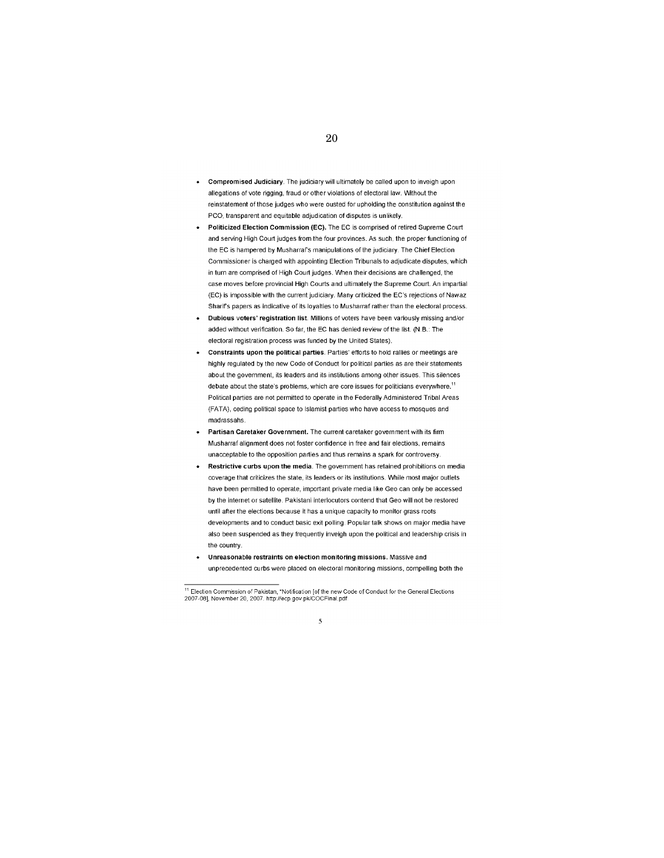- Compromised Judiciary. The judiciary will ultimately be called upon to inveigh upon allegations of vote rigging, fraud or other violations of electoral law. Without the reinstatement of those judges who were ousted for upholding the constitution against the PCO, transparent and equitable adjudication of disputes is unlikely.
- Politicized Election Commission (EC). The EC is comprised of retired Supreme Court and serving High Court judges from the four provinces. As such, the proper functioning of the EC is hampered by Musharraf's manipulations of the judiciary. The Chief Election Commissioner is charged with appointing Election Tribunals to adjudicate disputes, which in turn are comprised of High Court judges. When their decisions are challenged, the case moves before provincial High Courts and ultimately the Supreme Court. An impartial (EC) is impossible with the current judiciary. Many criticized the EC's rejections of Nawaz Sharif's papers as indicative of its loyalties to Musharraf rather than the electoral process.
- Dubious voters' registration list. Millions of voters have been variously missing and/or added without verification. So far, the EC has denied review of the list. (N.B.: The electoral registration process was funded by the United States).
- Constraints upon the political parties. Parties' efforts to hold rallies or meetings are highly regulated by the new Code of Conduct for political parties as are their statements about the government, its leaders and its institutions among other issues. This silences debate about the state's problems, which are core issues for politicians everywhere.<sup>11</sup> Political parties are not permitted to operate in the Federally Administered Tribal Areas (FATA), ceding political space to Islamist parties who have access to mosques and madrassahs.
- Partisan Caretaker Government. The current caretaker government with its firm Musharraf alignment does not foster confidence in free and fair elections, remains unacceptable to the opposition parties and thus remains a spark for controversy.
- Restrictive curbs upon the media. The government has retained prohibitions on media coverage that criticizes the state, its leaders or its institutions. While most major outlets have been permitted to operate, important private media like Geo can only be accessed by the internet or satellite. Pakistani interlocutors contend that Geo will not be restored until after the elections because it has a unique capacity to monitor grass roots developments and to conduct basic exit polling. Popular talk shows on major media have also been suspended as they frequently inveigh upon the political and leadership crisis in the country.
- Unreasonable restraints on election monitoring missions. Massive and unprecedented curbs were placed on electoral monitoring missions, compelling both the

<sup>&</sup>lt;sup>11</sup> Election Commission of Pakistan, "Notification [of the new Code of Conduct for the General Elections<br>2007-08], November 20, 2007. http://ecp.gov.pk/COCFinal.pdf.

<sup>5</sup>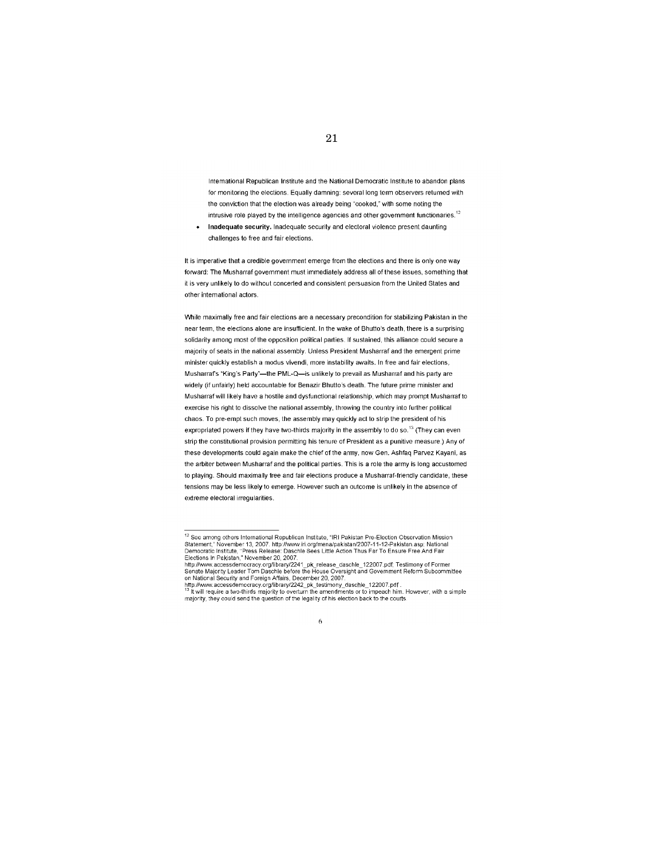International Republican Institute and the National Democratic Institute to abandon plans for monitoring the elections. Equally damning: several long term observers returned with the conviction that the election was already being "cooked," with some noting the intrusive role played by the intelligence agencies and other government functionaries.<sup>12</sup>

 $\ddot{\phantom{0}}$ Inadequate security. Inadequate security and electoral violence present daunting challenges to free and fair elections.

It is imperative that a credible government emerge from the elections and there is only one way forward: The Musharraf government must immediately address all of these issues, something that it is very unlikely to do without concerted and consistent persuasion from the United States and other international actors.

While maximally free and fair elections are a necessary precondition for stabilizing Pakistan in the near term, the elections alone are insufficient. In the wake of Bhutto's death, there is a surprising solidarity among most of the opposition political parties. If sustained, this alliance could secure a majority of seats in the national assembly. Unless President Musharraf and the emergent prime minister quickly establish a modus vivendi, more instability awaits. In free and fair elections, Musharraf's "King's Party"-the PML-Q-is unlikely to prevail as Musharraf and his party are widely (if unfairly) held accountable for Benazir Bhutto's death. The future prime minister and Musharraf will likely have a hostile and dysfunctional relationship, which may prompt Musharraf to exercise his right to dissolve the national assembly, throwing the country into further political chaos. To pre-empt such moves, the assembly may quickly act to strip the president of his expropriated powers if they have two-thirds majority in the assembly to do so.<sup>13</sup> (They can even strip the constitutional provision permitting his tenure of President as a punitive measure.) Any of these developments could again make the chief of the army, now Gen. Ashfaq Parvez Kayani, as the arbiter between Musharraf and the political parties. This is a role the army is long accustomed to playing. Should maximally free and fair elections produce a Musharraf-friendly candidate, these tensions may be less likely to emerge. However such an outcome is unlikely in the absence of extreme electoral irregularities.

<sup>&</sup>lt;sup>12</sup> See among others International Republican Institute, "IRI Pakistan Pre-Election Observation Mission<br>Statement," November 13, 2007. http://www.iri.org/mena/pakistan/2007-11-12-Pakistan.asp; National<br>Democratic Institut

Elections of Former<br>http://www.accessdemocracy.org/library/2241\_pk\_release\_daschle\_122007.pdf; Testimony of Former<br>Senate Majority Leader Tom Daschle before the House Oversight and Government Reform Subcommi<br>on National Se mmittee

on via the technology and victors of the technology of the technology and the technology of the technology of the technology of the technology of the surface of the technology of the surface of the technology of the techno him. However, with a simple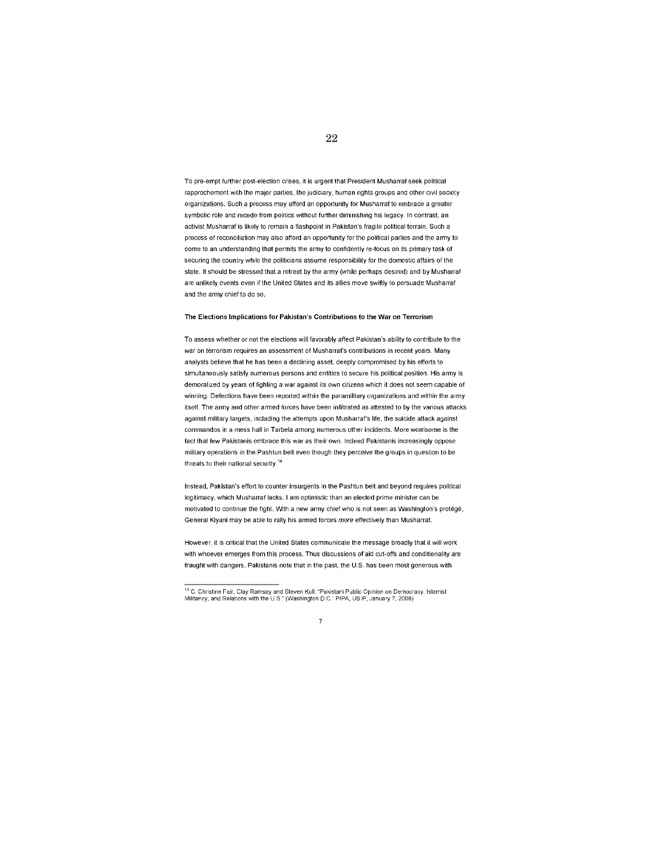To pre-empt further post-election crises, it is urgent that President Musharraf seek political rapprochement with the major parties, the judiciary, human rights groups and other civil society organizations. Such a process may afford an opportunity for Musharraf to embrace a greater symbolic role and recede from politics without further diminishing his legacy. In contrast, an activist Musharraf is likely to remain a flashpoint in Pakistan's fragile political terrain. Such a process of reconciliation may also afford an opportunity for the political parties and the army to come to an understanding that permits the army to confidently re-focus on its primary task of securing the country while the politicians assume responsibility for the domestic affairs of the state. It should be stressed that a retreat by the army (while perhaps desired) and by Musharraf are unlikely events even if the United States and its allies move swiftly to persuade Musharraf and the army chief to do so.

22

#### The Elections Implications for Pakistan's Contributions to the War on Terrorism

To assess whether or not the elections will favorably affect Pakistan's ability to contribute to the war on terrorism requires an assessment of Musharraf's contributions in recent years. Many analysts believe that he has been a declining asset, deeply compromised by his efforts to simultaneously satisfy numerous persons and entities to secure his political position. His armv is demoralized by years of fighting a war against its own citizens which it does not seem capable of winning. Defections have been reported within the paramilitary organizations and within the army itself. The army and other armed forces have been infiltrated as attested to by the various attacks against military targets, including the attempts upon Musharraf's life, the suicide attack against commandos in a mess hall in Tarbela among numerous other incidents. More worrisome is the fact that few Pakistanis embrace this war as their own. Indeed Pakistanis increasingly oppose military operations in the Pashtun belt even though they perceive the groups in question to be threats to their national security.<sup>14</sup>

Instead, Pakistan's effort to counter insurgents in the Pashtun belt and beyond requires political legitimacy, which Musharraf lacks. I am optimistic than an elected prime minister can be motivated to continue the fight. With a new army chief who is not seen as Washington's protégé, General Kiyani may be able to rally his armed forces more effectively than Musharraf.

However, it is critical that the United States communicate the message broadly that it will work with whoever emerges from this process. Thus discussions of aid cut-offs and conditionality are fraught with dangers. Pakistanis note that in the past, the U.S. has been most generous with

<sup>&</sup>lt;sup>14</sup> C. Christine Fair, Clay Ramsay and Steven Kull. "Pakistani Public Opinion on Democracy, Islamist<br>Militancy, and Relations with the U.S." (Washington D.C.: PIPA, USIP, January 7, 2008).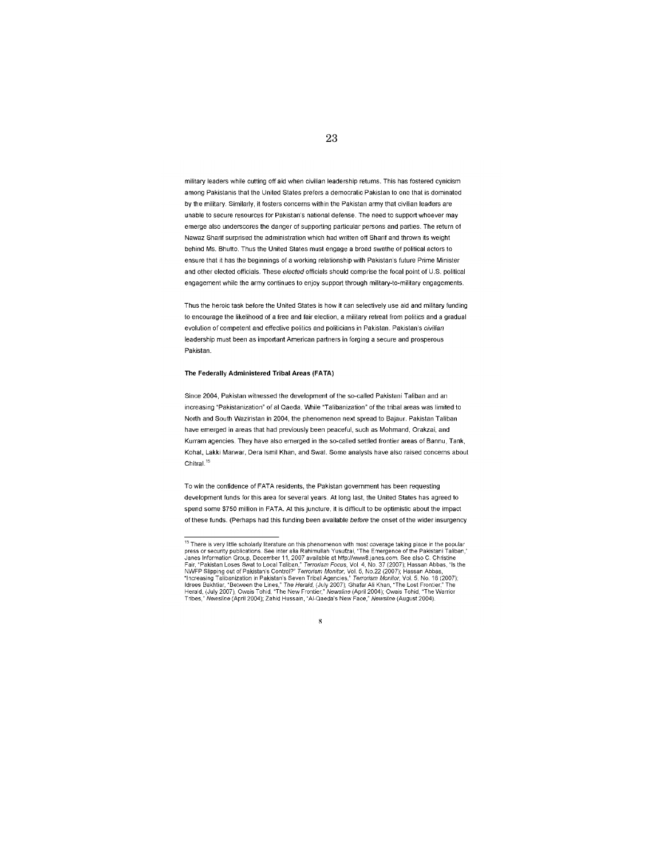military leaders while cutting off aid when civilian leadership retums. This has fostered cynicism among Pakistanis that the United States prefers a democratic Pakistan to one that is dominated by the military. Similarly, it fosters concerns within the Pakistan army that civilian leaders are unable to secure resources for Pakistan's national defense. The need to support whoever may emerge also underscores the danger of supporting particular persons and parties. The return of Nawaz Sharif surprised the administration which had written off Sharif and thrown its weight behind Ms. Bhutto. Thus the United States must engage a broad swathe of political actors to ensure that it has the beginnings of a working relationship with Pakistan's future Prime Minister and other elected officials. These elected officials should comprise the focal point of U.S. political engagement while the army continues to enjoy support through military-to-military engagements.

Thus the heroic task before the United States is how it can selectively use aid and military funding to encourage the likelihood of a free and fair election, a military retreat from politics and a gradual evolution of competent and effective politics and politicians in Pakistan. Pakistan's civilian leadership must been as important American partners in forging a secure and prosperous Pakistan

#### The Federally Administered Tribal Areas (FATA)

Since 2004. Pakistan witnessed the development of the so-called Pakistani Taliban and an increasing "Pakistanization" of al Qaeda, While "Talibanization" of the tribal areas was limited to North and South Waziristan in 2004, the phenomenon next spread to Bajaur. Pakistan Taliban have emerged in areas that had previously been peaceful, such as Mohmand, Orakzai, and Kurram agencies. They have also emerged in the so-called settled frontier areas of Bannu, Tank, Kohat, Lakki Marwar, Dera Ismil Khan, and Swat. Some analysts have also raised concerns about Chitral.<sup>15</sup>

To win the confidence of FATA residents, the Pakistan government has been requesting development funds for this area for several years. At long last, the United States has agreed to spend some \$750 million in FATA. At this juncture, it is difficult to be optimistic about the impact of these funds. (Perhaps had this funding been available before the onset of the wider insurgency

#### 8

<sup>&</sup>lt;sup>15</sup> There is very little scholarly literature on this phenomenon with most coverage taking place in the popular "There is very little scholarly literature on this phenomenon with most coverage taking place in the popular<br>press or security publications. See inter alla Rahimullah Yusufzai, "The Emergence of the Pakistani Taliban,"<br>Jan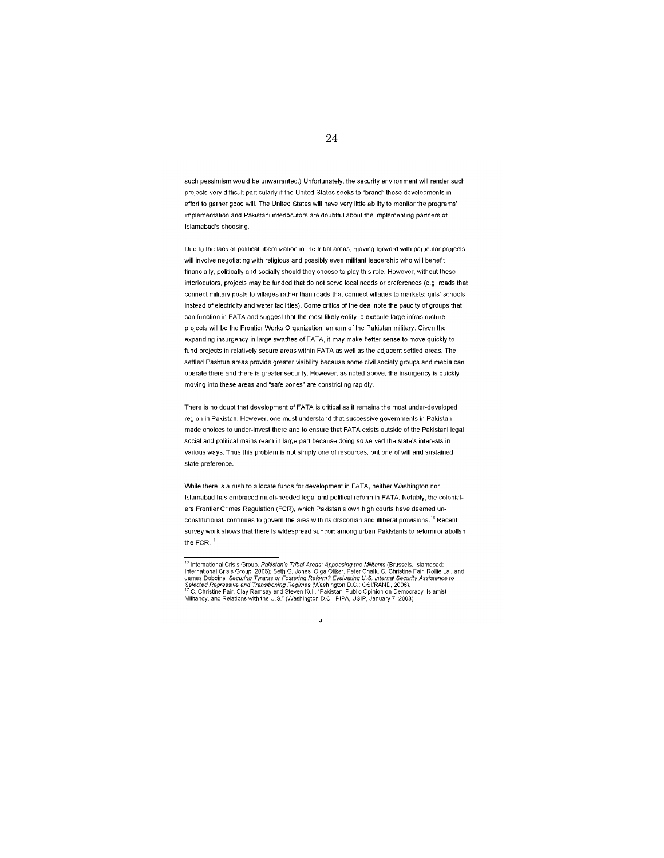such pessimism would be unwarranted.) Unfortunately, the security environment will render such projects very difficult particularly if the United States seeks to "brand" those developments in effort to garner good will. The United States will have very little ability to monitor the programs' implementation and Pakistani interlocutors are doubtful about the implementing partners of Islamabad's choosing

Due to the lack of political liberalization in the tribal areas, moving forward with particular projects will involve negotiating with religious and possibly even militant leadership who will benefit financially, politically and socially should they choose to play this role. However, without these interlocutors, projects may be funded that do not serve local needs or preferences (e.g. roads that connect military posts to villages rather than roads that connect villages to markets; girls' schools instead of electricity and water facilities). Some critics of the deal note the paucity of groups that can function in FATA and suggest that the most likely entity to execute large infrastructure projects will be the Frontier Works Organization, an arm of the Pakistan military. Given the expanding insurgency in large swathes of FATA, it may make better sense to move quickly to fund projects in relatively secure areas within FATA as well as the adjacent settled areas. The settled Pashtun areas provide greater visibility because some civil society groups and media can operate there and there is greater security. However, as noted above, the insurgency is quickly moving into these areas and "safe zones" are constricting rapidly.

There is no doubt that development of FATA is critical as it remains the most under-developed region in Pakistan. However, one must understand that successive governments in Pakistan made choices to under-invest there and to ensure that FATA exists outside of the Pakistani legal, social and political mainstream in large part because doing so served the state's interests in various ways. Thus this problem is not simply one of resources, but one of will and sustained state preference.

While there is a rush to allocate funds for development in FATA, neither Washington nor Islamabad has embraced much-needed legal and political reform in FATA. Notably, the colonialera Frontier Crimes Regulation (FCR), which Pakistan's own high courts have deemed unconstitutional, continues to govern the area with its draconian and illiberal provisions.<sup>16</sup> Recent survey work shows that there is widespread support among urban Pakistanis to reform or abolish the FCR. $17$ 

#### 9

<sup>&</sup>lt;sup>18</sup> International Crisis Group, *Pakistan's Tribal Areas: Appeasing the Militants* (Brussels, Islamabad: International Crisis Group, 2006); Seth G. Jones, Olga Oliker, Peter Chalk, C. Christine Fair, Rollie Lal, and James Selected Repressive and Transitioning Regimes (Washington D.C.: OSI/RAND, 2006).<br>
Selected Repressive and Transitioning Regimes (Washington D.C.: OSI/RAND, 2006).<br>
<sup>17</sup> C. Christine Fair, Clay Ramsay and Steven Kull. "Paki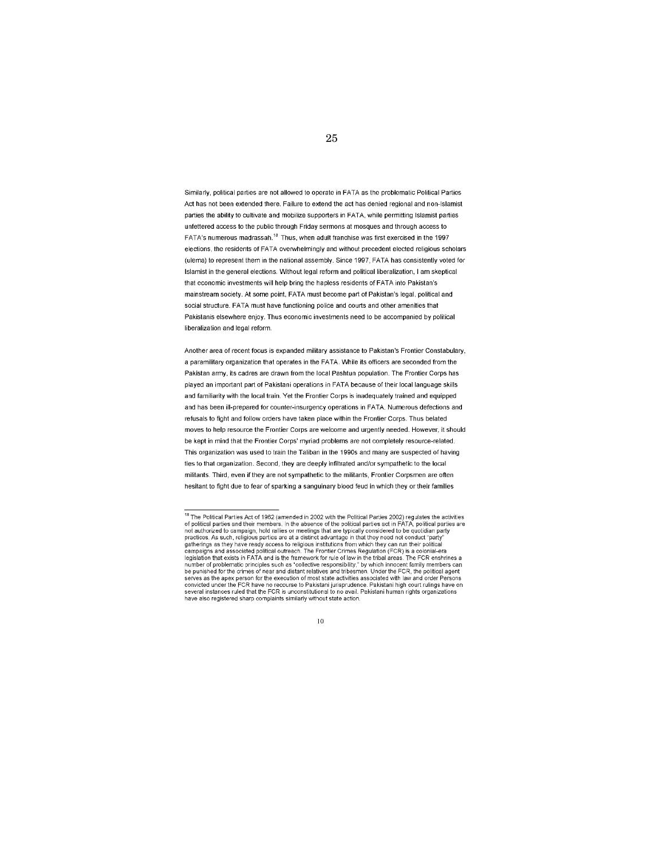Similarly, political parties are not allowed to operate in FATA as the problematic Political Parties Act has not been extended there. Failure to extend the act has denied regional and non-Islamist parties the ability to cultivate and mobilize supporters in FATA, while permitting Islamist parties unfettered access to the public through Friday sermons at mosques and through access to FATA's numerous madrassah.<sup>18</sup> Thus, when adult franchise was first exercised in the 1997 elections, the residents of FATA overwhelmingly and without precedent elected religious scholars (ulema) to represent them in the national assembly. Since 1997, FATA has consistently voted for Islamist in the general elections. Without legal reform and political liberalization, I am skeptical that economic investments will help bring the hapless residents of FATA into Pakistan's mainstream society. At some point, FATA must become part of Pakistan's legal, political and social structure. FATA must have functioning police and courts and other amenities that Pakistanis elsewhere enjoy. Thus economic investments need to be accompanied by political liberalization and legal reform.

Another area of recent focus is expanded military assistance to Pakistan's Frontier Constabulary, a paramilitary organization that operates in the FATA. While its officers are seconded from the Pakistan army, its cadres are drawn from the local Pashtun population. The Frontier Corps has played an important part of Pakistani operations in FATA because of their local language skills and familiarity with the local train. Yet the Frontier Corps is inadequately trained and equipped and has been ill-prepared for counter-insurgency operations in FATA. Numerous defections and refusals to fight and follow orders have taken place within the Frontier Corps. Thus belated moves to help resource the Frontier Corps are welcome and urgently needed. However, it should be kept in mind that the Frontier Corps' myriad problems are not completely resource-related. This organization was used to train the Taliban in the 1990s and many are suspected of having ties to that organization. Second, they are deeply infiltrated and/or sympathetic to the local militants. Third, even if they are not sympathetic to the militants, Frontier Corpsmen are often hesitant to fight due to fear of sparking a sanguinary blood feud in which they or their families

#### $10$

<sup>&</sup>lt;sup>18</sup> The Political Parties Act of 1962 (amended in 2002 with the Political Parties 2002) regulates the activities<br>of political parties and their members. In the absence of the political parties act in FATA, political parti of authorized to campaign, hold rallies or meetings that are typically considered to be quotidian party practices. As such, religious parties are at a distinct advantage in that they need not conduct "party" gatherings as gammains and associated political outreach. The Frontier Crimes Regulation (FCR) is a colonial-era<br>legislation that exists in FATA and is the framework for rule of law in the tribal areas. The FCR enshrines a<br>number of pro be punished for the crimes of near and distant relatives and tribustmen. Under the FCR, the political agent<br>serves as the apex person for the execution of most state activities associated with law and order Persons convicted under the FCR have no recourse to Pakistani jurisprudence. Pakistani high court rulings have on<br>several instances ruled that the FCR is unconstitutional to no avail. Pakistani human rights organizations have also registered sharp complaints similarly without state action.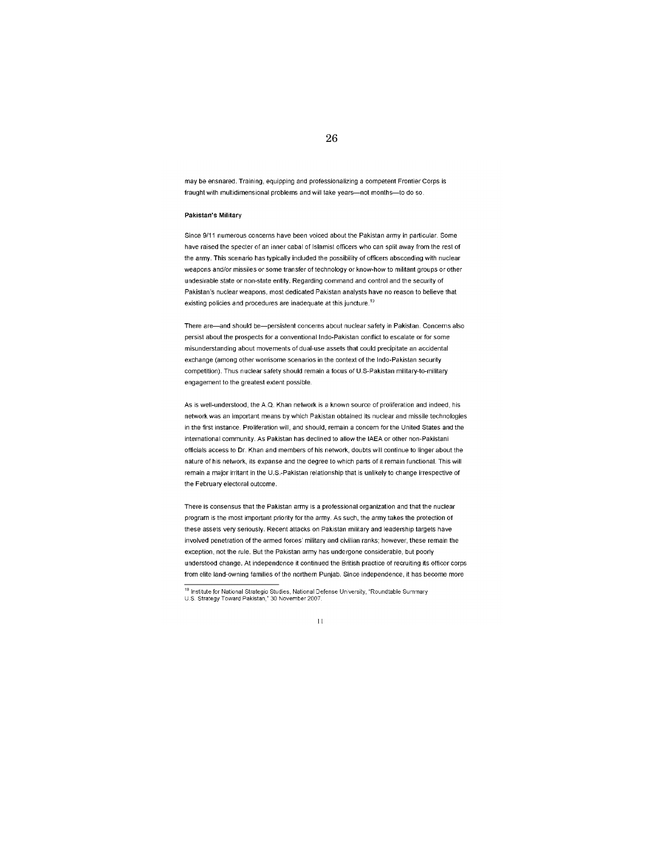may be ensnared. Training, equipping and professionalizing a competent Frontier Corps is fraught with multidimensional problems and will take years-not months-to do so.

#### Pakistan's Military

Since 9/11 numerous concerns have been voiced about the Pakistan army in particular. Some have raised the specter of an inner cabal of Islamist officers who can split away from the rest of the army. This scenario has typically included the possibility of officers absconding with nuclear weapons and/or missiles or some transfer of technology or know-how to militant groups or other undesirable state or non-state entity. Regarding command and control and the security of Pakistan's nuclear weapons, most dedicated Pakistan analysts have no reason to believe that existing policies and procedures are inadequate at this juncture.<sup>19</sup>

There are-and should be-persistent concerns about nuclear safety in Pakistan. Concerns also persist about the prospects for a conventional Indo-Pakistan conflict to escalate or for some misunderstanding about movements of dual-use assets that could precipitate an accidental exchange (among other worrisome scenarios in the context of the Indo-Pakistan security competition). Thus nuclear safety should remain a focus of U.S-Pakistan military-to-military engagement to the greatest extent possible.

As is well-understood, the A.Q. Khan network is a known source of proliferation and indeed, his network was an important means by which Pakistan obtained its nuclear and missile technologies in the first instance. Proliferation will and should remain a concern for the United States and the international community. As Pakistan has declined to allow the IAEA or other non-Pakistani officials access to Dr. Khan and members of his network, doubts will continue to linger about the nature of his network, its expanse and the degree to which parts of it remain functional. This will remain a major irritant in the U.S.-Pakistan relationship that is unlikely to change irrespective of the February electoral outcome.

There is consensus that the Pakistan army is a professional organization and that the nuclear program is the most important priority for the army. As such, the army takes the protection of these assets very seriously. Recent attacks on Pakistan military and leadership targets have involved penetration of the armed forces' military and civilian ranks; however, these remain the exception, not the rule. But the Pakistan army has undergone considerable, but poorly understood change. At independence it continued the British practice of recruiting its officer corps from elite land-owning families of the northern Punjab. Since independence, it has become more

<sup>&</sup>lt;sup>19</sup> Institute for National Strategic Studies, National Defense University, "Roundtable Summary U.S. Strategy Toward Pakistan," 30 November 2007.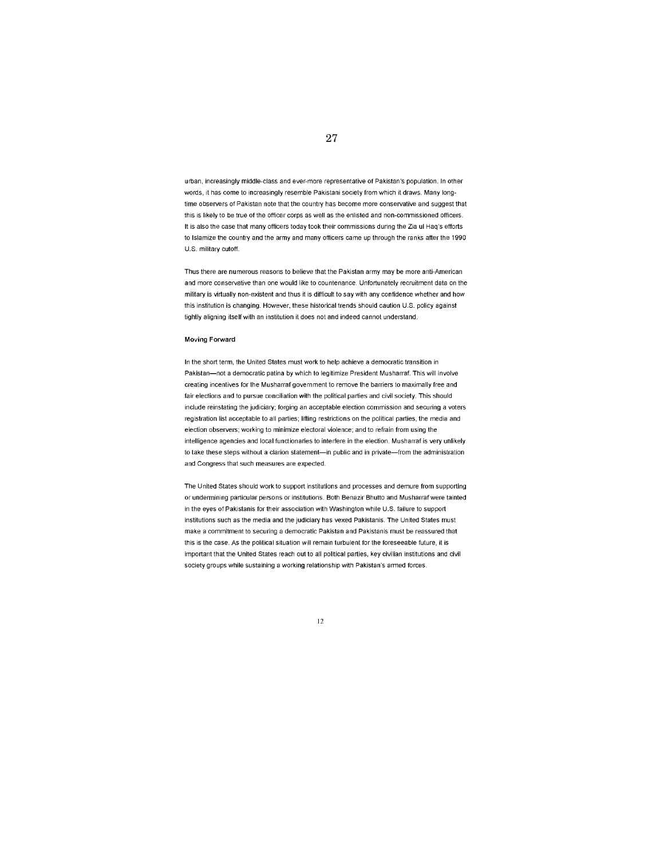urban, increasingly middle-class and ever-more representative of Pakistan's population. In other words, it has come to increasingly resemble Pakistani society from which it draws. Many longtime observers of Pakistan note that the country has become more conservative and suggest that this is likely to be true of the officer corps as well as the enlisted and non-commissioned officers. It is also the case that many officers today took their commissions during the Zia ul Haq's efforts to Islamize the country and the army and many officers came up through the ranks after the 1990 U.S. military cutoff.

Thus there are numerous reasons to believe that the Pakistan army may be more anti-American and more conservative than one would like to countenance. Unfortunately recruitment data on the military is virtually non-existent and thus it is difficult to say with any confidence whether and how this institution is changing. However, these historical trends should caution U.S. policy against tightly aligning itself with an institution it does not and indeed cannot understand.

#### **Moving Forward**

In the short term, the United States must work to help achieve a democratic transition in Pakistan-not a democratic patina by which to legitimize President Musharraf. This will involve creating incentives for the Musharraf government to remove the barriers to maximally free and fair elections and to pursue conciliation with the political parties and civil society. This should include reinstating the judiciary; forging an acceptable election commission and securing a voters registration list acceptable to all parties; lifting restrictions on the political parties, the media and election observers; working to minimize electoral violence; and to refrain from using the intelligence agencies and local functionaries to interfere in the election. Musharraf is very unlikely to take these steps without a clarion statement-in public and in private-from the administration and Congress that such measures are expected.

The United States should work to support institutions and processes and demure from supporting or undermining particular persons or institutions. Both Benazir Bhutto and Musharraf were tainted in the eyes of Pakistanis for their association with Washington while U.S. failure to support institutions such as the media and the judiciary has vexed Pakistanis. The United States must make a commitment to securing a democratic Pakistan and Pakistanis must be reassured that this is the case. As the political situation will remain turbulent for the foreseeable future, it is important that the United States reach out to all political parties, key civilian institutions and civil society groups while sustaining a working relationship with Pakistan's armed forces.

#### $12$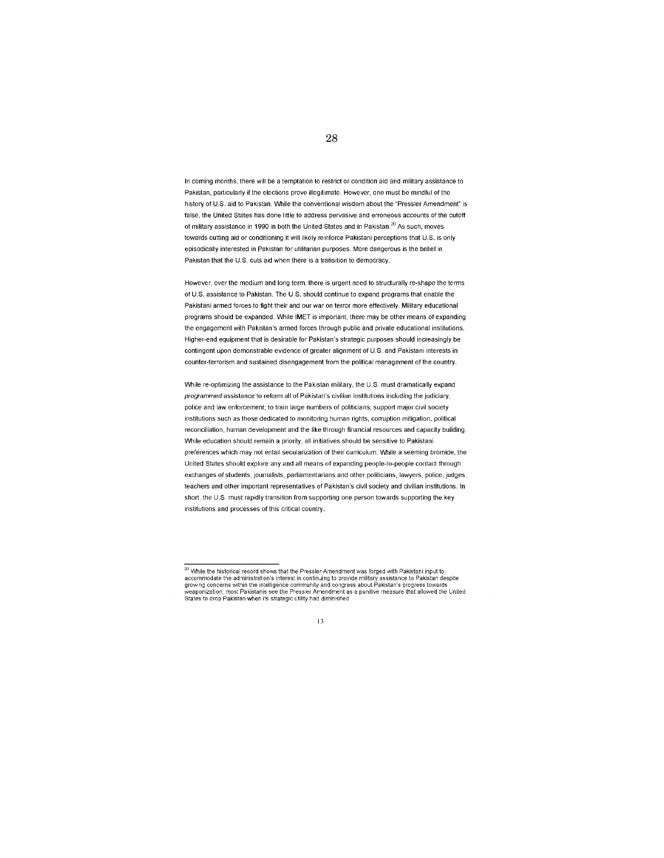In coming months, there will be a temptation to restrict or condition aid and military assistance to Pakistan, particularly if the elections prove illegitimate. However, one must be mindful of the history of U.S. aid to Pakistan. While the conventional wisdom about the "Pressler Amendment" is false, the United States has done little to address pervasive and erroneous accounts of the cutoff of military assistance in 1990 in both the United States and in Pakistan.<sup>20</sup> As such, moves towards cutting aid or conditioning it will likely reinforce Pakistani perceptions that U.S. is only episodically interested in Pakistan for utilitarian purposes. More dangerous is the belief in Pakistan that the U.S. cuts aid when there is a transition to democracy.

However, over the medium and long term, there is urgent need to structurally re-shape the terms of U.S. assistance to Pakistan. The U.S. should continue to expand programs that enable the Pakistani armed forces to fight their and our war on terror more effectively. Military educational programs should be expanded. While IMET is important, there may be other means of expanding the engagement with Pakistan's armed forces through public and private educational institutions. Higher-end equipment that is desirable for Pakistan's strategic purposes should increasingly be contingent upon demonstrable evidence of greater alignment of U.S. and Pakistani interests in counter-terrorism and sustained disengagement from the political management of the country.

While re-optimizing the assistance to the Pakistan military, the U.S. must dramatically expand programmed assistance to reform all of Pakistan's civilian institutions including the judiciary, police and law enforcement; to train large numbers of politicians; support major civil society institutions such as those dedicated to monitoring human rights, corruption mitigation, political reconciliation, human development and the like through financial resources and capacity building. While education should remain a priority, all initiatives should be sensitive to Pakistani preferences which may not entail secularization of their curriculum. While a seeming bromide, the United States should explore any and all means of expanding people-to-people contact through exchanges of students, journalists, parliamentarians and other politicians, lawyers, police, judges, teachers and other important representatives of Pakistan's civil society and civilian institutions. In short, the U.S. must rapidly transition from supporting one person towards supporting the key institutions and processes of this critical country.

#### 13

<sup>&</sup>lt;sup>20</sup> While the historical record shows that the Pressler Amendment was forged with Pakistani input to From model the administration's interest in continuing to provide military assistance to Pakistan despite<br>growing concerns within the intelligence community and congress about Pakistan's progress towards<br>weaponization, mos States to drop Pakistan when its strategic utility had diminished.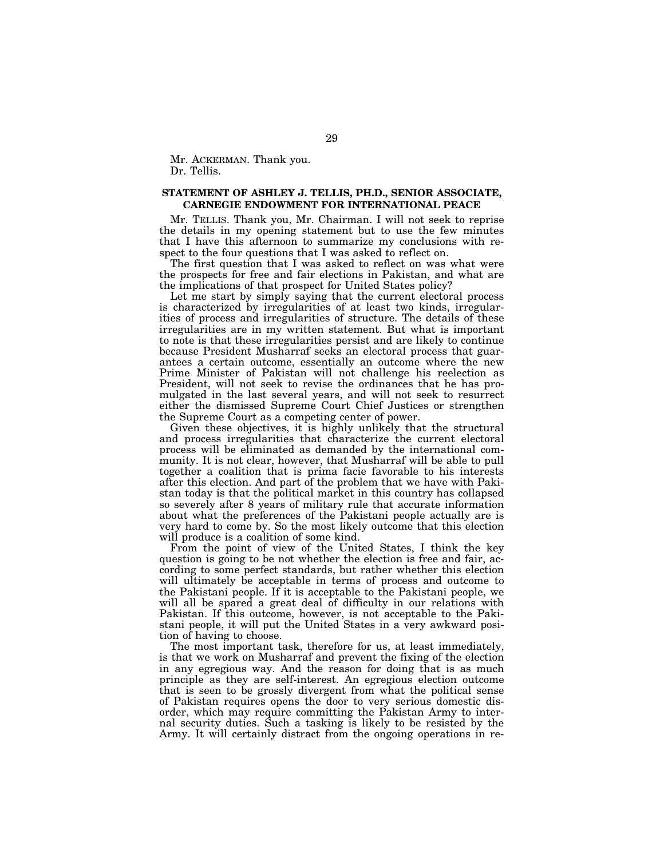Mr. ACKERMAN. Thank you. Dr. Tellis.

## **STATEMENT OF ASHLEY J. TELLIS, PH.D., SENIOR ASSOCIATE, CARNEGIE ENDOWMENT FOR INTERNATIONAL PEACE**

Mr. TELLIS. Thank you, Mr. Chairman. I will not seek to reprise the details in my opening statement but to use the few minutes that I have this afternoon to summarize my conclusions with respect to the four questions that I was asked to reflect on.

The first question that I was asked to reflect on was what were the prospects for free and fair elections in Pakistan, and what are the implications of that prospect for United States policy?

Let me start by simply saying that the current electoral process is characterized by irregularities of at least two kinds, irregularities of process and irregularities of structure. The details of these irregularities are in my written statement. But what is important to note is that these irregularities persist and are likely to continue because President Musharraf seeks an electoral process that guarantees a certain outcome, essentially an outcome where the new Prime Minister of Pakistan will not challenge his reelection as President, will not seek to revise the ordinances that he has promulgated in the last several years, and will not seek to resurrect either the dismissed Supreme Court Chief Justices or strengthen the Supreme Court as a competing center of power.

Given these objectives, it is highly unlikely that the structural and process irregularities that characterize the current electoral process will be eliminated as demanded by the international community. It is not clear, however, that Musharraf will be able to pull together a coalition that is prima facie favorable to his interests after this election. And part of the problem that we have with Pakistan today is that the political market in this country has collapsed so severely after 8 years of military rule that accurate information about what the preferences of the Pakistani people actually are is very hard to come by. So the most likely outcome that this election will produce is a coalition of some kind.

From the point of view of the United States, I think the key question is going to be not whether the election is free and fair, according to some perfect standards, but rather whether this election will ultimately be acceptable in terms of process and outcome to the Pakistani people. If it is acceptable to the Pakistani people, we will all be spared a great deal of difficulty in our relations with Pakistan. If this outcome, however, is not acceptable to the Pakistani people, it will put the United States in a very awkward position of having to choose.

The most important task, therefore for us, at least immediately, is that we work on Musharraf and prevent the fixing of the election in any egregious way. And the reason for doing that is as much principle as they are self-interest. An egregious election outcome that is seen to be grossly divergent from what the political sense of Pakistan requires opens the door to very serious domestic disorder, which may require committing the Pakistan Army to internal security duties. Such a tasking is likely to be resisted by the Army. It will certainly distract from the ongoing operations in re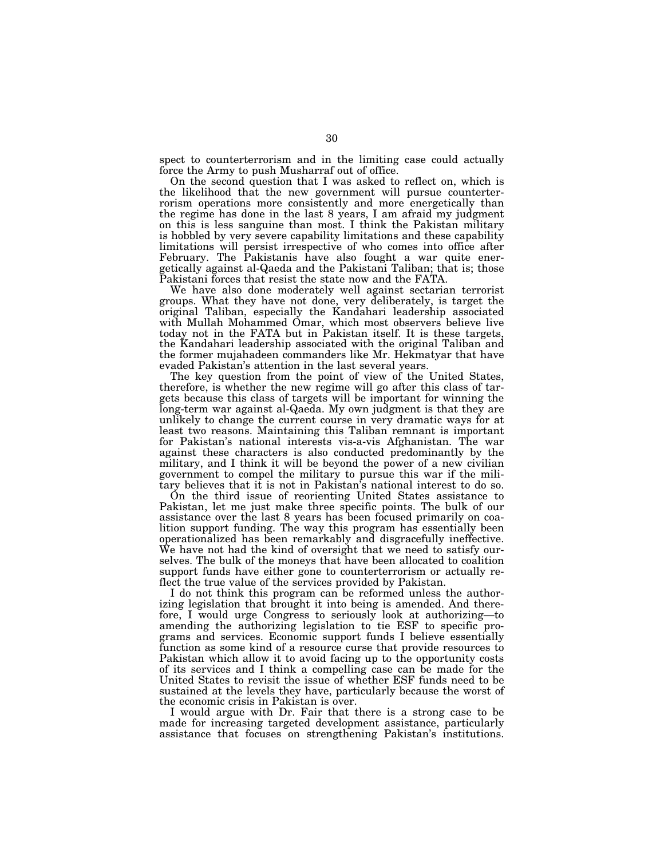spect to counterterrorism and in the limiting case could actually force the Army to push Musharraf out of office.

On the second question that I was asked to reflect on, which is the likelihood that the new government will pursue counterterrorism operations more consistently and more energetically than the regime has done in the last 8 years, I am afraid my judgment on this is less sanguine than most. I think the Pakistan military is hobbled by very severe capability limitations and these capability limitations will persist irrespective of who comes into office after February. The Pakistanis have also fought a war quite energetically against al-Qaeda and the Pakistani Taliban; that is; those Pakistani forces that resist the state now and the FATA.

We have also done moderately well against sectarian terrorist groups. What they have not done, very deliberately, is target the original Taliban, especially the Kandahari leadership associated with Mullah Mohammed Omar, which most observers believe live today not in the FATA but in Pakistan itself. It is these targets, the Kandahari leadership associated with the original Taliban and the former mujahadeen commanders like Mr. Hekmatyar that have evaded Pakistan's attention in the last several years.

The key question from the point of view of the United States, therefore, is whether the new regime will go after this class of targets because this class of targets will be important for winning the long-term war against al-Qaeda. My own judgment is that they are unlikely to change the current course in very dramatic ways for at least two reasons. Maintaining this Taliban remnant is important for Pakistan's national interests vis-a-vis Afghanistan. The war against these characters is also conducted predominantly by the military, and I think it will be beyond the power of a new civilian government to compel the military to pursue this war if the military believes that it is not in Pakistan's national interest to do so.

On the third issue of reorienting United States assistance to Pakistan, let me just make three specific points. The bulk of our assistance over the last 8 years has been focused primarily on coalition support funding. The way this program has essentially been operationalized has been remarkably and disgracefully ineffective. We have not had the kind of oversight that we need to satisfy ourselves. The bulk of the moneys that have been allocated to coalition support funds have either gone to counterterrorism or actually reflect the true value of the services provided by Pakistan.

I do not think this program can be reformed unless the authorizing legislation that brought it into being is amended. And therefore, I would urge Congress to seriously look at authorizing—to amending the authorizing legislation to tie ESF to specific programs and services. Economic support funds I believe essentially function as some kind of a resource curse that provide resources to Pakistan which allow it to avoid facing up to the opportunity costs of its services and I think a compelling case can be made for the United States to revisit the issue of whether ESF funds need to be sustained at the levels they have, particularly because the worst of the economic crisis in Pakistan is over.

I would argue with Dr. Fair that there is a strong case to be made for increasing targeted development assistance, particularly assistance that focuses on strengthening Pakistan's institutions.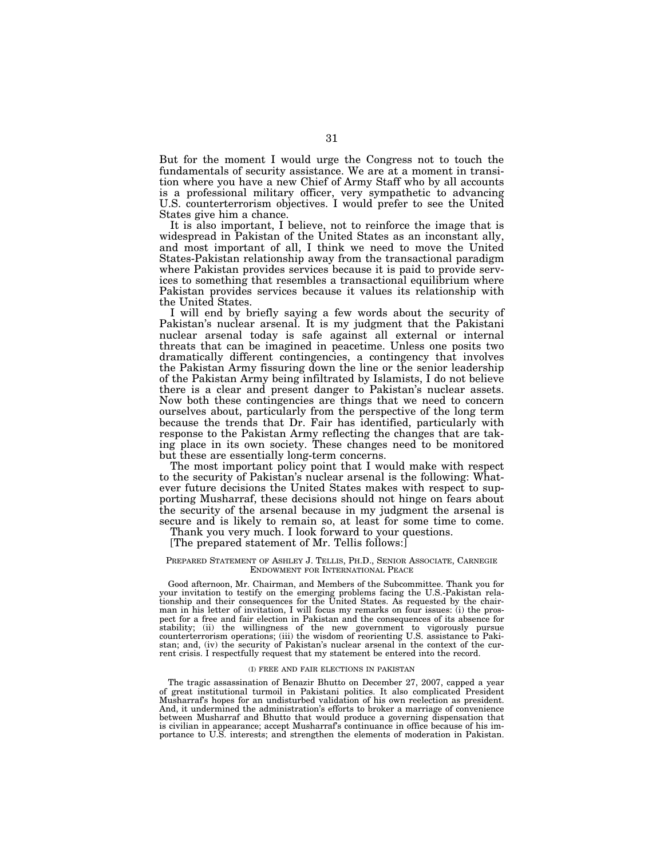But for the moment I would urge the Congress not to touch the fundamentals of security assistance. We are at a moment in transition where you have a new Chief of Army Staff who by all accounts is a professional military officer, very sympathetic to advancing U.S. counterterrorism objectives. I would prefer to see the United States give him a chance.

It is also important, I believe, not to reinforce the image that is widespread in Pakistan of the United States as an inconstant ally, and most important of all, I think we need to move the United States-Pakistan relationship away from the transactional paradigm where Pakistan provides services because it is paid to provide services to something that resembles a transactional equilibrium where Pakistan provides services because it values its relationship with the United States.

I will end by briefly saying a few words about the security of Pakistan's nuclear arsenal. It is my judgment that the Pakistani nuclear arsenal today is safe against all external or internal threats that can be imagined in peacetime. Unless one posits two dramatically different contingencies, a contingency that involves the Pakistan Army fissuring down the line or the senior leadership of the Pakistan Army being infiltrated by Islamists, I do not believe there is a clear and present danger to Pakistan's nuclear assets. Now both these contingencies are things that we need to concern ourselves about, particularly from the perspective of the long term because the trends that Dr. Fair has identified, particularly with response to the Pakistan Army reflecting the changes that are taking place in its own society. These changes need to be monitored but these are essentially long-term concerns.

The most important policy point that I would make with respect to the security of Pakistan's nuclear arsenal is the following: Whatever future decisions the United States makes with respect to supporting Musharraf, these decisions should not hinge on fears about the security of the arsenal because in my judgment the arsenal is secure and is likely to remain so, at least for some time to come.

Thank you very much. I look forward to your questions.

## [The prepared statement of Mr. Tellis follows:]

#### PREPARED STATEMENT OF ASHLEY J. TELLIS, PH.D., SENIOR ASSOCIATE, CARNEGIE ENDOWMENT FOR INTERNATIONAL PEACE

Good afternoon, Mr. Chairman, and Members of the Subcommittee. Thank you for your invitation to testify on the emerging problems facing the U.S.-Pakistan relationship and their consequences for the United States. As requested by the chairman in his letter of invitation, I will focus my remarks on four issues: (i) the prospect for a free and fair election in Pakistan and the consequences of its absence for stability; (ii) the willingness of the new government to vigorously pursue counterterrorism operations; (iii) the wisdom of reorienting U.S. assistance to Pakistan; and, (iv) the security of Pakistan's nuclear arsenal in the context of the current crisis. I respectfully request that my statement be entered into the record.

#### (I) FREE AND FAIR ELECTIONS IN PAKISTAN

The tragic assassination of Benazir Bhutto on December 27, 2007, capped a year of great institutional turmoil in Pakistani politics. It also complicated President Musharraf's hopes for an undisturbed validation of his own reelection as president. And, it undermined the administration's efforts to broker a marriage of convenience between Musharraf and Bhutto that would produce a governing dispensation that is civilian in appearance; accept Musharraf's continuance in office because of his importance to U.S. interests; and strengthen the elements of moderation in Pakistan.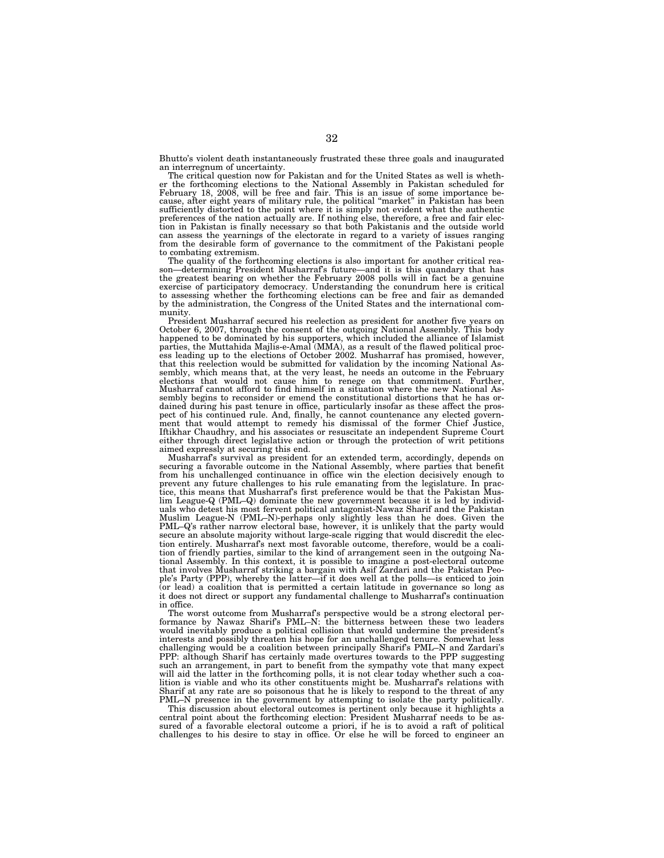Bhutto's violent death instantaneously frustrated these three goals and inaugurated an interregnum of uncertainty. The critical question now for Pakistan and for the United States as well is wheth-

er the forthcoming elections to the National Assembly in Pakistan scheduled for February 18, 2008, will be free and fair. This is an issue of some importance because, after eight years of military rule, the political "market" in Pakistan has been sufficiently distorted to the point where it is simply not evident what the authentic preferences of the nation actually are. If nothing else, therefore, a free and fair election in Pakistan is finally necessary so that both Pakistanis and the outside world can assess the yearnings of the electorate in regard to a variety of issues ranging from the desirable form of governance to the commitment of the Pakistani people to combating extremism.

The quality of the forthcoming elections is also important for another critical reason—determining President Musharraf's future—and it is this quandary that has the greatest bearing on whether the February 2008 polls will in fact be a genuine exercise of participatory democracy. Understanding the conundrum here is critical to assessing whether the forthcoming elections can be free and fair as demanded by the administration, the Congress of the United States and the international community.

President Musharraf secured his reelection as president for another five years on October 6, 2007, through the consent of the outgoing National Assembly. This body happened to be dominated by his supporters, which included the alliance of Islamist parties, the Muttahida Majlis-e-Amal (MMA), as a result of the flawed political process leading up to the elections of October 2002. Musharraf has promised, however, that this reelection would be submitted for validation by the incoming National Assembly, which means that, at the very least, he needs an outcome in the February elections that would not cause him to renege on that commitment. Further, Musharraf cannot afford to find himself in a situation where the new National Assembly begins to reconsider or emend the constitutional distortions that he has ordained during his past tenure in office, particularly insofar as these affect the prospect of his continued rule. And, finally, he cannot countenance any elected govern-ment that would attempt to remedy his dismissal of the former Chief Justice, Iftikhar Chaudhry, and his associates or resuscitate an independent Supreme Court either through direct legislative action or through the protection of writ petitions aimed expressly at securing this end.

Musharraf's survival as president for an extended term, accordingly, depends on securing a favorable outcome in the National Assembly, where parties that benefit from his unchallenged continuance in office win the election decisively enough to prevent any future challenges to his rule emanating from the legislature. In practice, this means that Musharraf's first preference would be that the Pakistan Muslim League-Q (PML–Q) dominate the new government because it is led by individuals who detest his most fervent political antagonist-Nawaz Sharif and the Pakistan Muslim League-N (PML–N)-perhaps only slightly less than he does. Given the PML–Q's rather narrow electoral base, however, it is unlikely that the party would secure an absolute majority without large-scale rigging that would discredit the election entirely. Musharraf's next most favorable outcome, therefore, would be a coalition of friendly parties, similar to the kind of arrangement seen in the outgoing National Assembly. In this context, it is possible to imagine a post-electoral outcome that involves Musharraf striking a bargain with Asif Zardari and the Pakistan People's Party (PPP), whereby the latter—if it does well at the polls—is enticed to join (or lead) a coalition that is permitted a certain latitude in governance so long as it does not direct or support any fundamental challenge to Musharraf's continuation in office.

The worst outcome from Musharraf's perspective would be a strong electoral performance by Nawaz Sharif's PML–N: the bitterness between these two leaders would inevitably produce a political collision that would undermine the president's interests and possibly threaten his hope for an unchallenged tenure. Somewhat less challenging would be a coalition between principally Sharif's PML–N and Zardari's PPP: although Sharif has certainly made overtures towards to the PPP suggesting such an arrangement, in part to benefit from the sympathy vote that many expect will aid the latter in the forthcoming polls, it is not clear today whether such a coalition is viable and who its other constituents might be. Musharraf's relations with Sharif at any rate are so poisonous that he is likely to respond to the threat of any PML–N presence in the government by attempting to isolate the party politically.

This discussion about electoral outcomes is pertinent only because it highlights a central point about the forthcoming election: President Musharraf needs to be assured of a favorable electoral outcome a priori, if he is to avoid a raft of political challenges to his desire to stay in office. Or else he will be forced to engineer an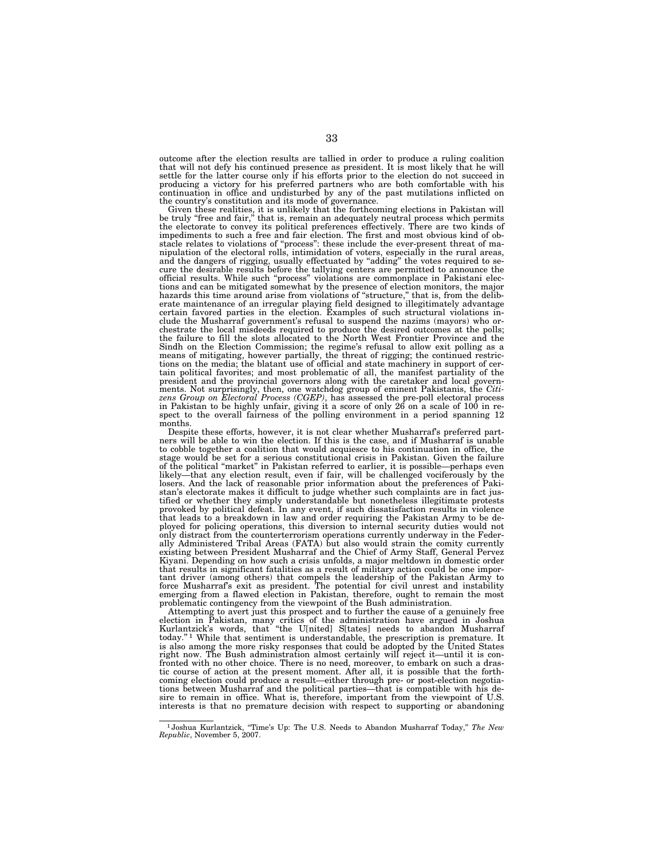outcome after the election results are tallied in order to produce a ruling coalition that will not defy his continued presence as president. It is most likely that he will settle for the latter course only if his efforts prior to the election do not succeed in producing a victory for his preferred partners who are both comfortable with his continuation in office and undisturbed by any of the past mutilations inflicted on the country's constitution and its mode of governance.

Given these realities, it is unlikely that the forthcoming elections in Pakistan will be truly "free and fair," that is, remain an adequately neutral process which permits the electorate to convey its political preferences effectively. There are two kinds of impediments to such a free and fair election. The first and most obvious kind of obstacle relates to violations of ''process'': these include the ever-present threat of manipulation of the electoral rolls, intimidation of voters, especially in the rural areas, and the dangers of rigging, usually effectuated by ''adding'' the votes required to secure the desirable results before the tallying centers are permitted to announce the official results. While such ''process'' violations are commonplace in Pakistani elections and can be mitigated somewhat by the presence of election monitors, the major hazards this time around arise from violations of ''structure,'' that is, from the deliberate maintenance of an irregular playing field designed to illegitimately advantage certain favored parties in the election. Examples of such structural violations include the Musharraf government's refusal to suspend the nazims (mayors) who orchestrate the local misdeeds required to produce the desired outcomes at the polls; the failure to fill the slots allocated to the North West Frontier Province and the Sindh on the Election Commission; the regime's refusal to allow exit polling as a means of mitigating, however partially, the threat of rigging; the continued restric-tions on the media; the blatant use of official and state machinery in support of certain political favorites; and most problematic of all, the manifest partiality of the president and the provincial governors along with the caretaker and local governments. Not surprisingly, then, one watchdog group of eminent Pakistanis, the *Citi-zens Group on Electoral Process (CGEP)*, has assessed the pre-poll electoral process in Pakistan to be highly unfair, giving it a score of only 26 on a scale of 100 in re-spect to the overall fairness of the polling environment in a period spanning 12 months.

Despite these efforts, however, it is not clear whether Musharraf's preferred partners will be able to win the election. If this is the case, and if Musharraf is unable to cobble together a coalition that would acquiesce to his continuation in office, the stage would be set for a serious constitutional crisis in Pakistan. Given the failure of the political ''market'' in Pakistan referred to earlier, it is possible—perhaps even likely—that any election result, even if fair, will be challenged vociferously by the losers. And the lack of reasonable prior information about the preferences of Pakistan's electorate makes it difficult to judge whether such complaints are in fact justified or whether they simply understandable but nonetheless illegitimate protests provoked by political defeat. In any event, if such dissatisfaction results in violence that leads to a breakdown in law and order requiring the Pakistan Army to be deployed for policing operations, this diversion to internal security duties would not only distract from the counterterrorism operations currently underway in the Feder-ally Administered Tribal Areas (FATA) but also would strain the comity currently existing between President Musharraf and the Chief of Army Staff, General Pervez Kiyani. Depending on how such a crisis unfolds, a major meltdown in domestic order that results in significant fatalities as a result of military action could be one important driver (among others) that compels the leadership of the Pakistan Army to force Musharraf's exit as president. The potential for civil unrest and instability emerging from a flawed election in Pakistan, therefore, ought to remain the most problematic contingency from the viewpoint of the Bush administration.

Attempting to avert just this prospect and to further the cause of a genuinely free<br>election in Pakistan, many critics of the administration have argued in Joshua<br>Kurlantzick's words, that "the U[nited] S[tates] needs to a today.'' 1 While that sentiment is understandable, the prescription is premature. It is also among the more risky responses that could be adopted by the United States right now. The Bush administration almost certainly will reject it—until it is confronted with no other choice. There is no need, moreover, to embark on such a drastic course of action at the present moment. After all, it is possible that the forthcoming election could produce a result—either through pre- or post-election negotiations between Musharraf and the political parties—that is compatible with his de-sire to remain in office. What is, therefore, important from the viewpoint of U.S. interests is that no premature decision with respect to supporting or abandoning

<sup>1</sup> Joshua Kurlantzick, ''Time's Up: The U.S. Needs to Abandon Musharraf Today,'' *The New Republic*, November 5, 2007.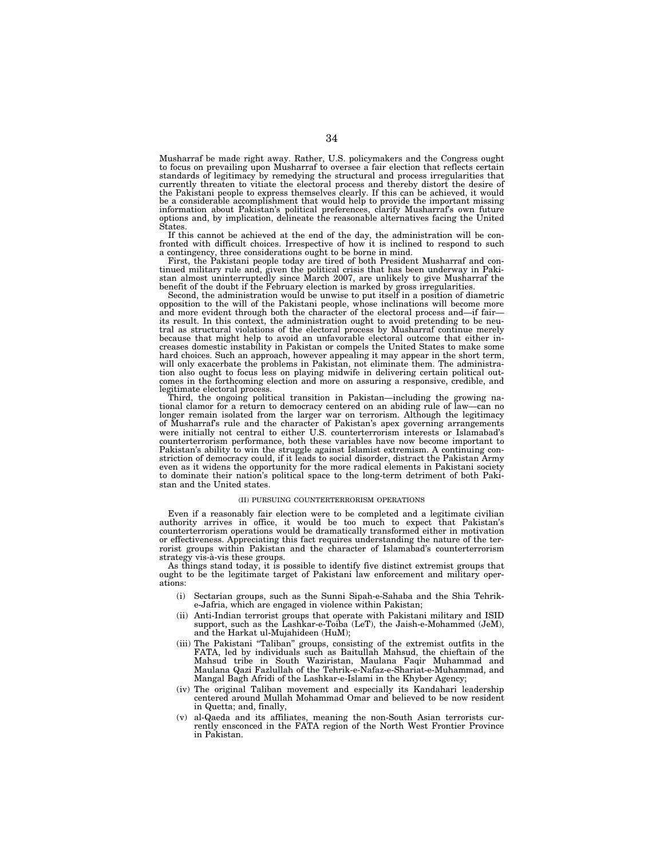Musharraf be made right away. Rather, U.S. policymakers and the Congress ought to focus on prevailing upon Musharraf to oversee a fair election that reflects certain standards of legitimacy by remedying the structural and process irregularities that currently threaten to vitiate the electoral process and thereby distort the desire of the Pakistani people to express themselves clearly. If this can be achieved, it would be a considerable accomplishment that would help to provide the important missing information about Pakistan's political preferences, clarify Musharraf's own future options and, by implication, delineate the reasonable alternatives facing the United States.

If this cannot be achieved at the end of the day, the administration will be confronted with difficult choices. Irrespective of how it is inclined to respond to such a contingency, three considerations ought to be borne in mind.

First, the Pakistani people today are tired of both President Musharraf and continued military rule and, given the political crisis that has been underway in Paki-stan almost uninterruptedly since March 2007, are unlikely to give Musharraf the benefit of the doubt if the February election is marked by gross irregularities. Second, the administration would be unwise to put itself in a position of diametric

opposition to the will of the Pakistani people, whose inclinations will become more and more evident through both the character of the electoral process and—if fair its result. In this context, the administration ought to avoid pretending to be neutral as structural violations of the electoral process by Musharraf continue merely because that might help to avoid an unfavorable electoral outcome that either in-creases domestic instability in Pakistan or compels the United States to make some hard choices. Such an approach, however appealing it may appear in the short term, will only exacerbate the problems in Pakistan, not eliminate them. The administration also ought to focus less on playing midwife in delivering certain political outcomes in the forthcoming election and more on assuring a responsive, credible, and

legitimate electoral process. Third, the ongoing political transition in Pakistan—including the growing national clamor for a return to democracy centered on an abiding rule of law—can no longer remain isolated from the larger war on terrorism. Although the legitimacy of Musharraf's rule and the character of Pakistan's apex governing arrangements were initially not central to either U.S. counterterrorism interests or Islamabad's counterterrorism performance, both these variables have now become important to Pakistan's ability to win the struggle against Islamist extremism. A continuing constriction of democracy could, if it leads to social disorder, distract the Pakistan Army even as it widens the opportunity for the more radical elements in Pakistani society to dominate their nation's political space to the long-term detriment of both Pakistan and the United states.

# (II) PURSUING COUNTERTERRORISM OPERATIONS

Even if a reasonably fair election were to be completed and a legitimate civilian authority arrives in office, it would be too much to expect that Pakistan's counterterrorism operations would be dramatically transformed either in motivation or effectiveness. Appreciating this fact requires understanding the nature of the terrorist groups within Pakistan and the character of Islamabad's counterterrorism strategy vis-à-vis these groups.

As things stand today, it is possible to identify five distinct extremist groups that ought to be the legitimate target of Pakistani law enforcement and military operations:

- (i) Sectarian groups, such as the Sunni Sipah-e-Sahaba and the Shia Tehrike-Jafria, which are engaged in violence within Pakistan;
- (ii) Anti-Indian terrorist groups that operate with Pakistani military and ISID support, such as the Lashkar-e-Toiba (LeT), the Jaish-e-Mohammed (JeM), and the Harkat ul-Mujahideen (HuM);
- (iii) The Pakistani "Taliban" groups, consisting of the extremist outfits in the FATA, led by individuals such as Baitullah Mahsud, the chieftain of the Mahsud tribe in South Waziristan, Maulana Faqir Muhammad and Maulana Qazi Fazlullah of the Tehrik-e-Nafaz-e-Shariat-e-Muhammad, and Mangal Bagh Afridi of the Lashkar-e-Islami in the Khyber Agency;
- (iv) The original Taliban movement and especially its Kandahari leadership centered around Mullah Mohammad Omar and believed to be now resident in Quetta; and, finally,
- (v) al-Qaeda and its affiliates, meaning the non-South Asian terrorists cur-rently ensconced in the FATA region of the North West Frontier Province in Pakistan.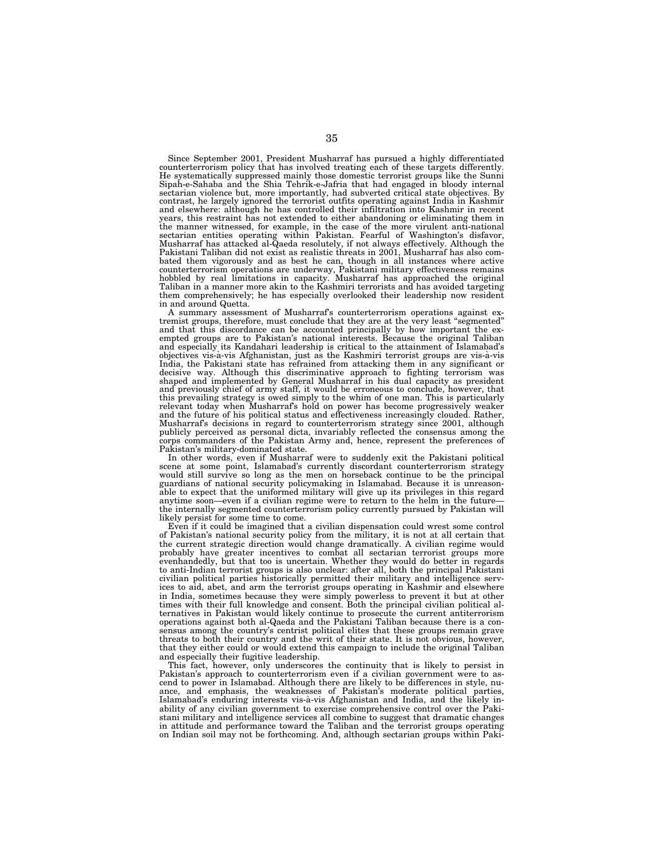Since September 2001, President Musharraf has pursued a highly differentiated counterterrorism policy that has involved treating each of these targets differently. He systematically suppressed mainly those domestic terrorist groups like the Sunni Sipah-e-Sahaba and the Shia Tehrik-e-Jafria that had engaged in bloody internal sectarian violence but, more importantly, had subverted critical state objectives. By contrast, he largely ignored the terrorist outfits operating against India in Kashmir and elsewhere: although he has controlled their infiltration into Kashmir in recent years, this restraint has not extended to either abandoning or eliminating them in the manner witnessed, for example, in the case of the more virulent anti-national<br>sectarian entities operating within Pakistan. Fearful of Washington's disfavor,<br>Musharraf has attacked al-Qaeda resolutely, if not always ef bated them vigorously and as best he can, though in all instances where active counterterrorism operations are underway, Pakistani military effectiveness remains hobbled by real limitations in capacity. Musharraf has approached the original Taliban in a manner more akin to the Kashmiri terrorists and has avoided targeting them comprehensively; he has especially overlooked their leadership now resident in and around Quetta.

A summary assessment of Musharraf's counterterrorism operations against extremist groups, therefore, must conclude that they are at the very least "segmented" and that this discordance can be accounted principally by how important the exempted groups are to Pakistan's national interests. Because the original Taliban and especially its Kandahari leadership is critical to the attainment of Islamabad's objectives vis-a`-vis Afghanistan, just as the Kashmiri terrorist groups are vis-a`-vis India, the Pakistani state has refrained from attacking them in any significant or decisive way. Although this discriminative approach to fighting terrorism was shaped and implemented by General Musharraf in his dual capacity as president and previously chief of army staff, it would be erroneous to conclude, however, that this prevailing strategy is owed simply to the whim of one man. This is particularly relevant today when Musharraf's hold on power has become progressively weaker and the future of his political status and effectiveness increasingly clouded. Rather, Musharraf's decisions in regard to counterterrorism strategy since 2001, although publicly perceived as personal dicta, invariably reflected the consensus among the corps commanders of the Pakistan Army and, hence, represent the preferences of Pakistan's military-dominated state.

In other words, even if Musharraf were to suddenly exit the Pakistani political scene at some point, Islamabad's currently discordant counterterrorism strategy would still survive so long as the men on horseback continue to be the principal guardians of national security policymaking in Islamabad. Because it is unreason-able to expect that the uniformed military will give up its privileges in this regard anytime soon—even if a civilian regime were to return to the helm in the future the internally segmented counterterrorism policy currently pursued by Pakistan will likely persist for some time to come.

Even if it could be imagined that a civilian dispensation could wrest some control of Pakistan's national security policy from the military, it is not at all certain that the current strategic direction would change dramatically. A civilian regime would probably have greater incentives to combat all sectarian terrorist groups more evenhandedly, but that too is uncertain. Whether they would do better in regards to anti-Indian terrorist groups is also unclear: after all, both the principal Pakistani civilian political parties historically permitted their military and intelligence services to aid, abet, and arm the terrorist groups operating in Kashmir and elsewhere in India, sometimes because they were simply powerless to prevent it but at other times with their full knowledge and consent. Both the principal civilian political alternatives in Pakistan would likely continue to prosecute the current antiterrorism operations against both al-Qaeda and the Pakistani Taliban because there is a consensus among the country's centrist political elites that these groups remain grave threats to both their country and the writ of their state. It is not obvious, however, that they either could or would extend this campaign to include the original Taliban and especially their fugitive leadership.

This fact, however, only underscores the continuity that is likely to persist in Pakistan's approach to counterterrorism even if a civilian government were to ascend to power in Islamabad. Although there are likely to be differences in style, nuance, and emphasis, the weaknesses of Pakistan's moderate political parties, Islamabad's enduring interests vis-a`-vis Afghanistan and India, and the likely inability of any civilian government to exercise comprehensive control over the Pakistani military and intelligence services all combine to suggest that dramatic changes in attitude and performance toward the Taliban and the terrorist groups operating on Indian soil may not be forthcoming. And, although sectarian groups within Paki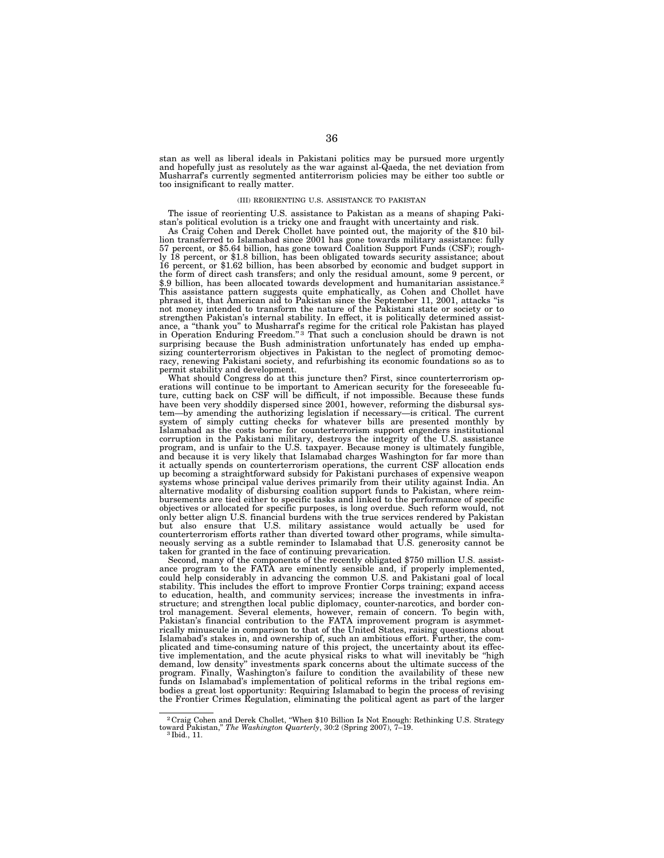stan as well as liberal ideals in Pakistani politics may be pursued more urgently and hopefully just as resolutely as the war against al-Qaeda, the net deviation from Musharraf's currently segmented antiterrorism policies may be either too subtle or too insignificant to really matter.

## (III) REORIENTING U.S. ASSISTANCE TO PAKISTAN

The issue of reorienting U.S. assistance to Pakistan as a means of shaping Pakistan's political evolution is a tricky one and fraught with uncertainty and risk.

As Craig Cohen and Derek Chollet have pointed out, the majority of the \$10 billion transferred to Islamabad since 2001 has gone towards military assistance: fully 57 percent, or \$5.64 billion, has gone toward Coalition Support Funds (CSF); roughly 18 percent, or \$1.8 billion, has been obligated towards security assistance; about 16 percent, or \$1.62 billion, has been absorbed by economic and budget support in the form of direct cash transfers; and only the residual amount, some 9 percent, or \$.9 billion, has been allocated towards development and humanitarian assistance.<sup>2</sup> This assistance pattern suggests quite emphatically, as Cohen and Chollet have phrased it, that American aid to Pakistan since the September 11, 2001, attacks ''is not money intended to transform the nature of the Pakistani state or society or to strengthen Pakistan's internal stability. In effect, it is politically determined assistance, a "thank you" to Musharraf's regime for the critical role Pakistan has played<br>in Operation Enduring Freedom."<sup>3</sup> That such a conclusion should be drawn is not surprising because the Bush administration unfortunately has ended up emphasizing counterterrorism objectives in Pakistan to the neglect of promoting democracy, renewing Pakistani society, and refurbishing its economic foundations so as to permit stability and development.

What should Congress do at this juncture then? First, since counterterrorism operations will continue to be important to American security for the foreseeable future, cutting back on CSF will be difficult, if not impossible. Because these funds have been very shoddily dispersed since 2001, however, reforming the disbursal system—by amending the authorizing legislation if necessary—is critical. The current system of simply cutting checks for whatever bills are presented monthly by Islamabad as the costs borne for counterterrorism support engenders institutional corruption in the Pakistani military, destroys the integrity of the U.S. assistance program, and is unfair to the U.S. taxpayer. Because money is ultimately fungible, and because it is very likely that Islamabad charges Washington for far more than it actually spends on counterterrorism operations, the current CSF allocation ends up becoming a straightforward subsidy for Pakistani purchases of expensive weapon systems whose principal value derives primarily from their utility against India. An alternative modality of disbursing coalition support funds to Pakistan, where reimbursements are tied either to specific tasks and linked to the performance of specific objectives or allocated for specific purposes, is long overdue. Such reform would, not only better align U.S. financial burdens with the true services rendered by Pakistan but also ensure that U.S. military assistance would actually be used for counterterrorism efforts rather than diverted toward other programs, while simultaneously serving as a subtle reminder to Islamabad that U.S. generosity cannot be taken for granted in the face of continuing prevarication.

Second, many of the components of the recently obligated \$750 million U.S. assistance program to the FATA are eminently sensible and, if properly implemented, could help considerably in advancing the common U.S. and Pakistani goal of local stability. This includes the effort to improve Frontier Corps training; expand access to education, health, and community services; increase the investments in infrastructure; and strengthen local public diplomacy, counter-narcotics, and border control management. Several elements, however, remain of concern. To begin with, Pakistan's financial contribution to the FATA improvement program is asymmetrically minuscule in comparison to that of the United States, raising questions about Islamabad's stakes in, and ownership of, such an ambitious effort. Further, the complicated and time-consuming nature of this project, the uncertainty about its effective implementation, and the acute physical risks to what will inevitably be ''high demand, low density'' investments spark concerns about the ultimate success of the program. Finally, Washington's failure to condition the availability of these new funds on Islamabad's implementation of political reforms in the tribal regions embodies a great lost opportunity: Requiring Islamabad to begin the process of revising the Frontier Crimes Regulation, eliminating the political agent as part of the larger

<sup>2</sup> Craig Cohen and Derek Chollet, ''When \$10 Billion Is Not Enough: Rethinking U.S. Strategy toward Pakistan,'' *The Washington Quarterly*, 30:2 (Spring 2007), 7–19. 3 Ibid., 11.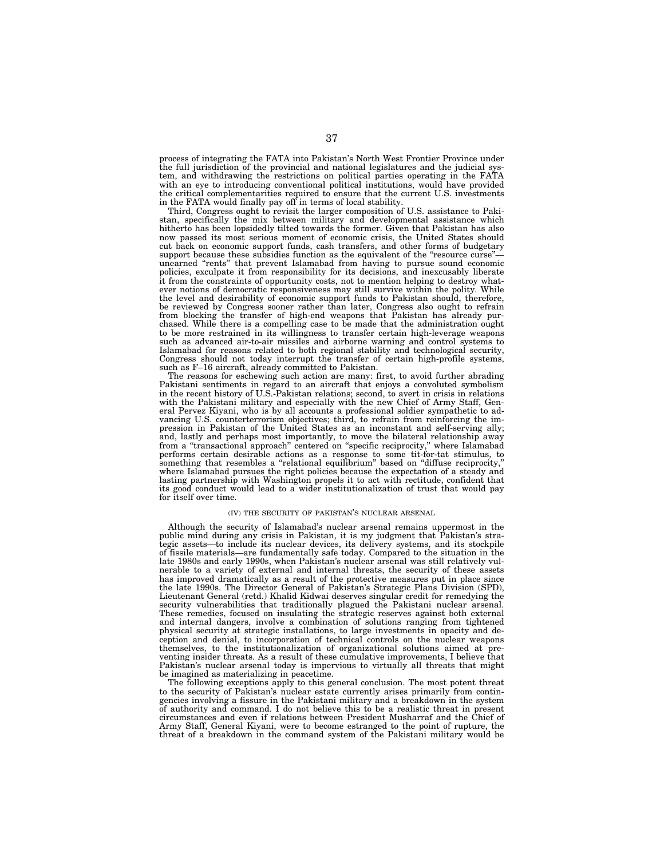process of integrating the FATA into Pakistan's North West Frontier Province under the full jurisdiction of the provincial and national legislatures and the judicial system, and withdrawing the restrictions on political parties operating in the FATA with an eye to introducing conventional political institutions, would have provided the critical complementarities required to ensure that the current U.S. investments in the FATA would finally pay off in terms of local stability.

Third, Congress ought to revisit the larger composition of U.S. assistance to Pakistan, specifically the mix between military and developmental assistance which hitherto has been lopsidedly tilted towards the former. Given that Pakistan has also now passed its most serious moment of economic crisis, the United States should cut back on economic support funds, cash transfers, and other forms of budgetary support because these subsidies function as the equivalent of the "resource curse" unearned ''rents'' that prevent Islamabad from having to pursue sound economic policies, exculpate it from responsibility for its decisions, and inexcusably liberate it from the constraints of opportunity costs, not to mention helping to destroy whatever notions of democratic responsiveness may still survive within the polity. While the level and desirability of economic support funds to Pakistan should, therefore, be reviewed by Congress sooner rather than later, Congress also ought to refrain from blocking the transfer of high-end weapons that Pakistan has already purchased. While there is a compelling case to be made that the administration ought to be more restrained in its willingness to transfer certain high-leverage weapons such as advanced air-to-air missiles and airborne warning and control systems to Islamabad for reasons related to both regional stability and technological security, Congress should not today interrupt the transfer of certain high-profile systems, such as F–16 aircraft, already committed to Pakistan.

The reasons for eschewing such action are many: first, to avoid further abrading Pakistani sentiments in regard to an aircraft that enjoys a convoluted symbolism in the recent history of U.S.-Pakistan relations; second, to avert in crisis in relations with the Pakistani military and especially with the new Chief of Army Staff, General Pervez Kiyani, who is by all accounts a professional soldier sympathetic to advancing U.S. counterterrorism objectives; third, to refrain from reinforcing the impression in Pakistan of the United States as an inconstant and self-serving ally; and, lastly and perhaps most importantly, to move the bilateral relationship away from a ''transactional approach'' centered on ''specific reciprocity,'' where Islamabad performs certain desirable actions as a response to some tit-for-tat stimulus, to something that resembles a "relational equilibrium" based on "diffuse reciprocity," where Islamabad pursues the right policies because the expectation of a steady and lasting partnership with Washington propels it to act with rectitude, confident that its good conduct would lead to a wider institutionalization of trust that would pay for itself over time.

#### (IV) THE SECURITY OF PAKISTAN'S NUCLEAR ARSENAL

Although the security of Islamabad's nuclear arsenal remains uppermost in the public mind during any crisis in Pakistan, it is my judgment that Pakistan's strategic assets—to include its nuclear devices, its delivery systems, and its stockpile of fissile materials—are fundamentally safe today. Compared to the situation in the late 1980s and early 1990s, when Pakistan's nuclear arsenal was still relatively vulnerable to a variety of external and internal threats, the security of these assets has improved dramatically as a result of the protective measures put in place since the late 1990s. The Director General of Pakistan's Strategic Plans Division (SPD), Lieutenant General (retd.) Khalid Kidwai deserves singular credit for remedying the security vulnerabilities that traditionally plagued the Pakistani nuclear arsenal. These remedies, focused on insulating the strategic reserves against both external and internal dangers, involve a combination of solutions ranging from tightened physical security at strategic installations, to large investments in opacity and deception and denial, to incorporation of technical controls on the nuclear weapons themselves, to the institutionalization of organizational solutions aimed at preventing insider threats. As a result of these cumulative improvements, I believe that Pakistan's nuclear arsenal today is impervious to virtually all threats that might be imagined as materializing in peacetime.

The following exceptions apply to this general conclusion. The most potent threat to the security of Pakistan's nuclear estate currently arises primarily from contingencies involving a fissure in the Pakistani military and a breakdown in the system of authority and command. I do not believe this to be a realistic threat in present circumstances and even if relations between President Musharraf and the Chief of Army Staff, General Kiyani, were to become estranged to the point of rupture, the threat of a breakdown in the command system of the Pakistani military would be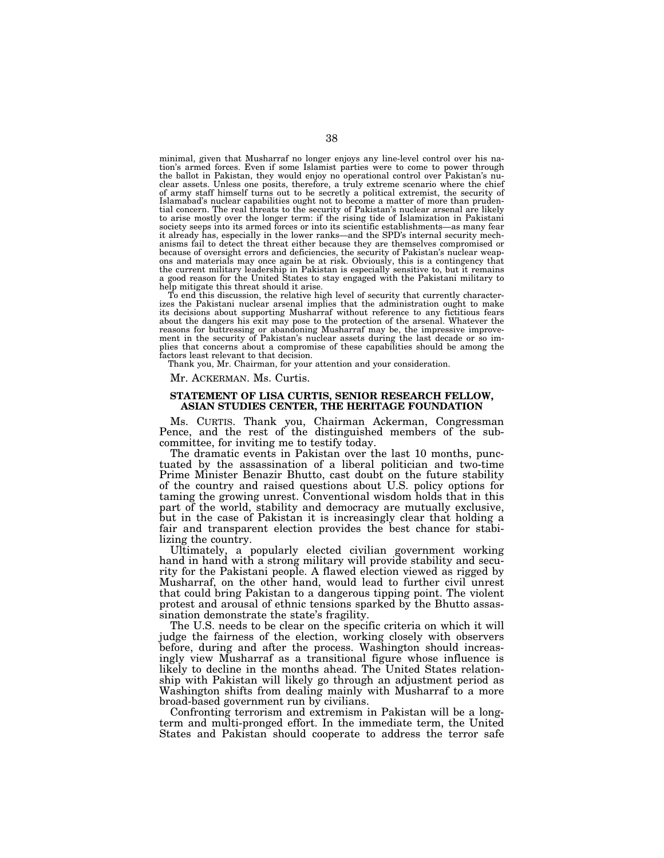minimal, given that Musharraf no longer enjoys any line-level control over his nation's armed forces. Even if some Islamist parties were to come to power through the ballot in Pakistan, they would enjoy no operational control over Pakistan's nuclear assets. Unless one posits, therefore, a truly extreme scenario where the chief of army staff himself turns out to be secretly a political extremist, the security of Islamabad's nuclear capabilities ought not to become a matter of more than prudential concern. The real threats to the security of Pakistan's nuclear arsenal are likely to arise mostly over the longer term: if the rising tide of Islamization in Pakistani society seeps into its armed forces or into its scientific establishments—as many fear it already has, especially in the lower ranks—and the SPD's internal security mech-anisms fail to detect the threat either because they are themselves compromised or because of oversight errors and deficiencies, the security of Pakistan's nuclear weapons and materials may once again be at risk. Obviously, this is a contingency that the current military leadership in Pakistan is especially sensitive to, but it remains a good reason for the United States to stay engaged with the Pakistani military to help mitigate this threat should it arise.

To end this discussion, the relative high level of security that currently characterizes the Pakistani nuclear arsenal implies that the administration ought to make its decisions about supporting Musharraf without reference to any fictitious fears about the dangers his exit may pose to the protection of the arsenal. Whatever the reasons for buttressing or abandoning Musharraf may be, the impressive improvement in the security of Pakistan's nuclear assets during the last decade or so im-plies that concerns about a compromise of these capabilities should be among the factors least relevant to that decision.

Thank you, Mr. Chairman, for your attention and your consideration.

Mr. ACKERMAN. Ms. Curtis.

# **STATEMENT OF LISA CURTIS, SENIOR RESEARCH FELLOW, ASIAN STUDIES CENTER, THE HERITAGE FOUNDATION**

Ms. CURTIS. Thank you, Chairman Ackerman, Congressman Pence, and the rest of the distinguished members of the subcommittee, for inviting me to testify today.

The dramatic events in Pakistan over the last 10 months, punctuated by the assassination of a liberal politician and two-time Prime Minister Benazir Bhutto, cast doubt on the future stability of the country and raised questions about U.S. policy options for taming the growing unrest. Conventional wisdom holds that in this part of the world, stability and democracy are mutually exclusive, but in the case of Pakistan it is increasingly clear that holding a fair and transparent election provides the best chance for stabilizing the country.

Ultimately, a popularly elected civilian government working hand in hand with a strong military will provide stability and security for the Pakistani people. A flawed election viewed as rigged by Musharraf, on the other hand, would lead to further civil unrest that could bring Pakistan to a dangerous tipping point. The violent protest and arousal of ethnic tensions sparked by the Bhutto assassination demonstrate the state's fragility.

The U.S. needs to be clear on the specific criteria on which it will judge the fairness of the election, working closely with observers before, during and after the process. Washington should increasingly view Musharraf as a transitional figure whose influence is likely to decline in the months ahead. The United States relationship with Pakistan will likely go through an adjustment period as Washington shifts from dealing mainly with Musharraf to a more broad-based government run by civilians.

Confronting terrorism and extremism in Pakistan will be a longterm and multi-pronged effort. In the immediate term, the United States and Pakistan should cooperate to address the terror safe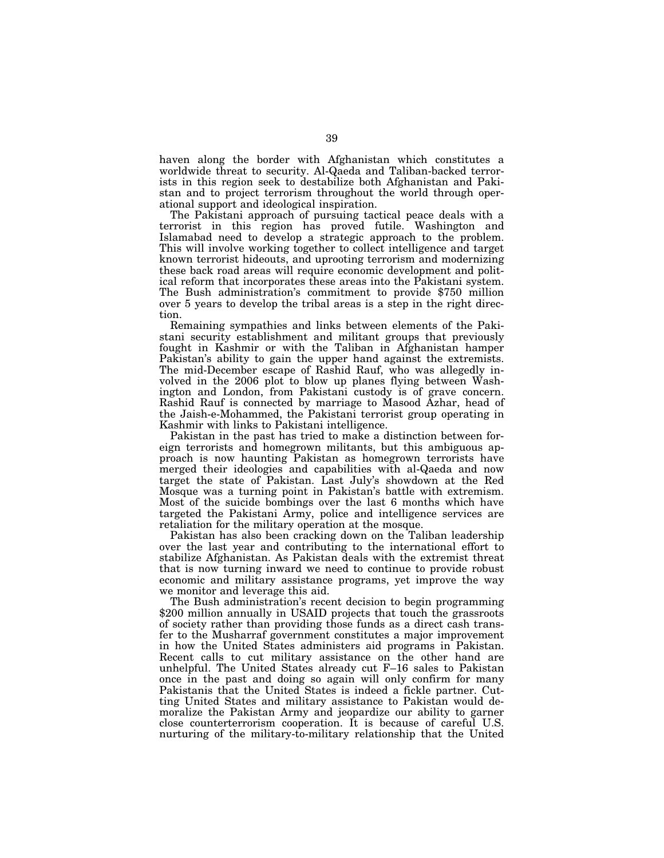haven along the border with Afghanistan which constitutes a worldwide threat to security. Al-Qaeda and Taliban-backed terrorists in this region seek to destabilize both Afghanistan and Pakistan and to project terrorism throughout the world through operational support and ideological inspiration.

The Pakistani approach of pursuing tactical peace deals with a terrorist in this region has proved futile. Washington and Islamabad need to develop a strategic approach to the problem. This will involve working together to collect intelligence and target known terrorist hideouts, and uprooting terrorism and modernizing these back road areas will require economic development and political reform that incorporates these areas into the Pakistani system. The Bush administration's commitment to provide \$750 million over 5 years to develop the tribal areas is a step in the right direction.

Remaining sympathies and links between elements of the Pakistani security establishment and militant groups that previously fought in Kashmir or with the Taliban in Afghanistan hamper Pakistan's ability to gain the upper hand against the extremists. The mid-December escape of Rashid Rauf, who was allegedly involved in the 2006 plot to blow up planes flying between Washington and London, from Pakistani custody is of grave concern. Rashid Rauf is connected by marriage to Masood Azhar, head of the Jaish-e-Mohammed, the Pakistani terrorist group operating in Kashmir with links to Pakistani intelligence.

Pakistan in the past has tried to make a distinction between foreign terrorists and homegrown militants, but this ambiguous approach is now haunting Pakistan as homegrown terrorists have merged their ideologies and capabilities with al-Qaeda and now target the state of Pakistan. Last July's showdown at the Red Mosque was a turning point in Pakistan's battle with extremism. Most of the suicide bombings over the last 6 months which have targeted the Pakistani Army, police and intelligence services are retaliation for the military operation at the mosque.

Pakistan has also been cracking down on the Taliban leadership over the last year and contributing to the international effort to stabilize Afghanistan. As Pakistan deals with the extremist threat that is now turning inward we need to continue to provide robust economic and military assistance programs, yet improve the way we monitor and leverage this aid.

The Bush administration's recent decision to begin programming \$200 million annually in USAID projects that touch the grassroots of society rather than providing those funds as a direct cash transfer to the Musharraf government constitutes a major improvement in how the United States administers aid programs in Pakistan. Recent calls to cut military assistance on the other hand are unhelpful. The United States already cut F–16 sales to Pakistan once in the past and doing so again will only confirm for many Pakistanis that the United States is indeed a fickle partner. Cutting United States and military assistance to Pakistan would demoralize the Pakistan Army and jeopardize our ability to garner close counterterrorism cooperation. It is because of careful U.S. nurturing of the military-to-military relationship that the United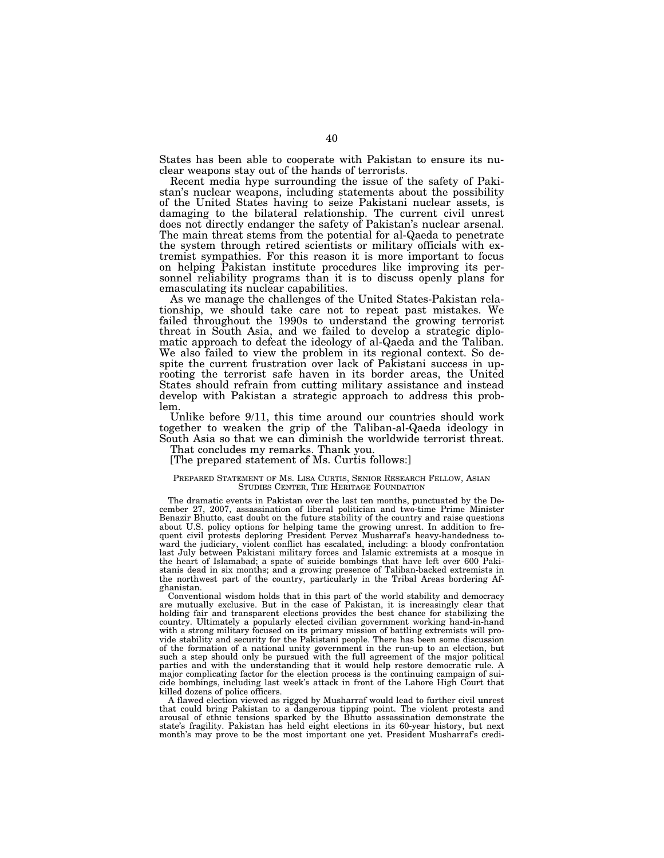States has been able to cooperate with Pakistan to ensure its nuclear weapons stay out of the hands of terrorists.

Recent media hype surrounding the issue of the safety of Pakistan's nuclear weapons, including statements about the possibility of the United States having to seize Pakistani nuclear assets, is damaging to the bilateral relationship. The current civil unrest does not directly endanger the safety of Pakistan's nuclear arsenal. The main threat stems from the potential for al-Qaeda to penetrate the system through retired scientists or military officials with extremist sympathies. For this reason it is more important to focus on helping Pakistan institute procedures like improving its personnel reliability programs than it is to discuss openly plans for emasculating its nuclear capabilities.

As we manage the challenges of the United States-Pakistan relationship, we should take care not to repeat past mistakes. We failed throughout the 1990s to understand the growing terrorist threat in South Asia, and we failed to develop a strategic diplomatic approach to defeat the ideology of al-Qaeda and the Taliban. We also failed to view the problem in its regional context. So despite the current frustration over lack of Pakistani success in uprooting the terrorist safe haven in its border areas, the United States should refrain from cutting military assistance and instead develop with Pakistan a strategic approach to address this problem.

Unlike before 9/11, this time around our countries should work together to weaken the grip of the Taliban-al-Qaeda ideology in South Asia so that we can diminish the worldwide terrorist threat.

That concludes my remarks. Thank you.

[The prepared statement of Ms. Curtis follows:]

# PREPARED STATEMENT OF MS. LISA CURTIS, SENIOR RESEARCH FELLOW, ASIAN STUDIES CENTER, THE HERITAGE FOUNDATION

The dramatic events in Pakistan over the last ten months, punctuated by the December 27, 2007, assassination of liberal politician and two-time Prime Minister Benazir Bhutto, cast doubt on the future stability of the country and raise questions about U.S. policy options for helping tame the growing unrest. In addition to frequent civil protests deploring President Pervez Musharraf's heavy-handedness toward the judiciary, violent conflict has escalated, including: a bloody confrontation last July between Pakistani military forces and Islamic extremists at a mosque in the heart of Islamabad; a spate of suicide bombings that have left over 600 Pakistanis dead in six months; and a growing presence of Taliban-backed extremists in the northwest part of the country, particularly in the Tribal Areas bordering Afghanistan.

Conventional wisdom holds that in this part of the world stability and democracy are mutually exclusive. But in the case of Pakistan, it is increasingly clear that holding fair and transparent elections provides the best chance for stabilizing the country. Ultimately a popularly elected civilian government working hand-in-hand with a strong military focused on its primary mission of battling extremists will provide stability and security for the Pakistani people. There has been some discussion of the formation of a national unity government in the run-up to an election, but such a step should only be pursued with the full agreement of the major political parties and with the understanding that it would help restore democratic rule. A major complicating factor for the election process is the continuing campaign of suicide bombings, including last week's attack in front of the Lahore High Court that killed dozens of police officers.

A flawed election viewed as rigged by Musharraf would lead to further civil unrest that could bring Pakistan to a dangerous tipping point. The violent protests and arousal of ethnic tensions sparked by the Bhutto assassination demonstrate the state's fragility. Pakistan has held eight elections in its 60-year history, but next month's may prove to be the most important one yet. President Musharraf's credi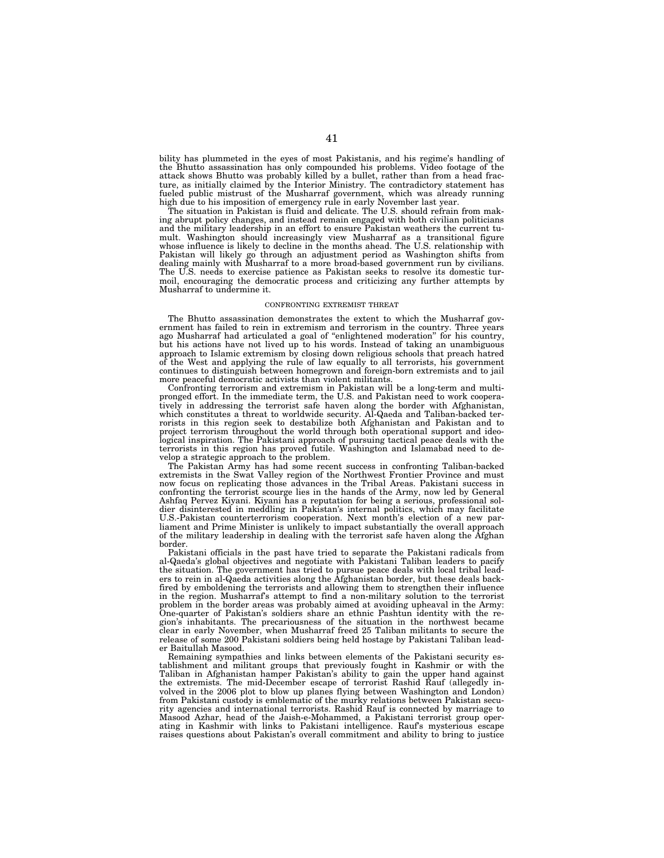bility has plummeted in the eyes of most Pakistanis, and his regime's handling of the Bhutto assassination has only compounded his problems. Video footage of the attack shows Bhutto was probably killed by a bullet, rather than from a head fracture, as initially claimed by the Interior Ministry. The contradictory statement has fueled public mistrust of the Musharraf government, which was already running high due to his imposition of emergency rule in early November last year.

The situation in Pakistan is fluid and delicate. The U.S. should refrain from making abrupt policy changes, and instead remain engaged with both civilian politicians and the military leadership in an effort to ensure Pakistan weathers the current tumult. Washington should increasingly view Musharraf as a transitional figure whose influence is likely to decline in the months ahead. The U.S. relationship with Pakistan will likely go through an adjustment period as Washington shifts from dealing mainly with Musharraf to a more broad-based government run by civilians. The U.S. needs to exercise patience as Pakistan seeks to resolve its domestic turmoil, encouraging the democratic process and criticizing any further attempts by Musharraf to undermine it.

## CONFRONTING EXTREMIST THREAT

The Bhutto assassination demonstrates the extent to which the Musharraf government has failed to rein in extremism and terrorism in the country. Three years ago Musharraf had articulated a goal of ''enlightened moderation'' for his country, but his actions have not lived up to his words. Instead of taking an unambiguous approach to Islamic extremism by closing down religious schools that preach hatred of the West and applying the rule of law equally to all terrorists, his government continues to distinguish between homegrown and foreign-born extremists and to jail more peaceful democratic activists than violent militants.

Confronting terrorism and extremism in Pakistan will be a long-term and multipronged effort. In the immediate term, the U.S. and Pakistan need to work cooperatively in addressing the terrorist safe haven along the border with Afghanistan, which constitutes a threat to worldwide security. Al-Qaeda and Taliban-backed terrorists in this region seek to destabilize both Afghanistan and Pakistan and to project terrorism throughout the world through both operational support and ideological inspiration. The Pakistani approach of pursuing tactical peace deals with the terrorists in this region has proved futile. Washington and Islamabad need to develop a strategic approach to the problem.

The Pakistan Army has had some recent success in confronting Taliban-backed extremists in the Swat Valley region of the Northwest Frontier Province and must now focus on replicating those advances in the Tribal Areas. Pakistani success in confronting the terrorist scourge lies in the hands of the Army, now led by General Ashfaq Pervez Kiyani. Kiyani has a reputation for being a serious, professional soldier disinterested in meddling in Pakistan's internal politics, which may facilitate U.S.-Pakistan counterterrorism cooperation. Next month's election of a new parliament and Prime Minister is unlikely to impact substantially the overall approach of the military leadership in dealing with the terrorist safe haven along the Afghan border.

Pakistani officials in the past have tried to separate the Pakistani radicals from al-Qaeda's global objectives and negotiate with Pakistani Taliban leaders to pacify the situation. The government has tried to pursue peace deals with local tribal leaders to rein in al-Qaeda activities along the Afghanistan border, but these deals backfired by emboldening the terrorists and allowing them to strengthen their influence in the region. Musharraf's attempt to find a non-military solution to the terrorist problem in the border areas was probably aimed at avoiding upheaval in the Army: One-quarter of Pakistan's soldiers share an ethnic Pashtun identity with the region's inhabitants. The precariousness of the situation in the northwest became clear in early November, when Musharraf freed 25 Taliban militants to secure the release of some 200 Pakistani soldiers being held hostage by Pakistani Taliban leader Baitullah Masood.

Remaining sympathies and links between elements of the Pakistani security establishment and militant groups that previously fought in Kashmir or with the Taliban in Afghanistan hamper Pakistan's ability to gain the upper hand against the extremists. The mid-December escape of terrorist Rashid Rauf (allegedly involved in the 2006 plot to blow up planes flying between Washington and London) from Pakistani custody is emblematic of the murky relations between Pakistan security agencies and international terrorists. Rashid Rauf is connected by marriage to Masood Azhar, head of the Jaish-e-Mohammed, a Pakistani terrorist group operating in Kashmir with links to Pakistani intelligence. Rauf's mysterious escape raises questions about Pakistan's overall commitment and ability to bring to justice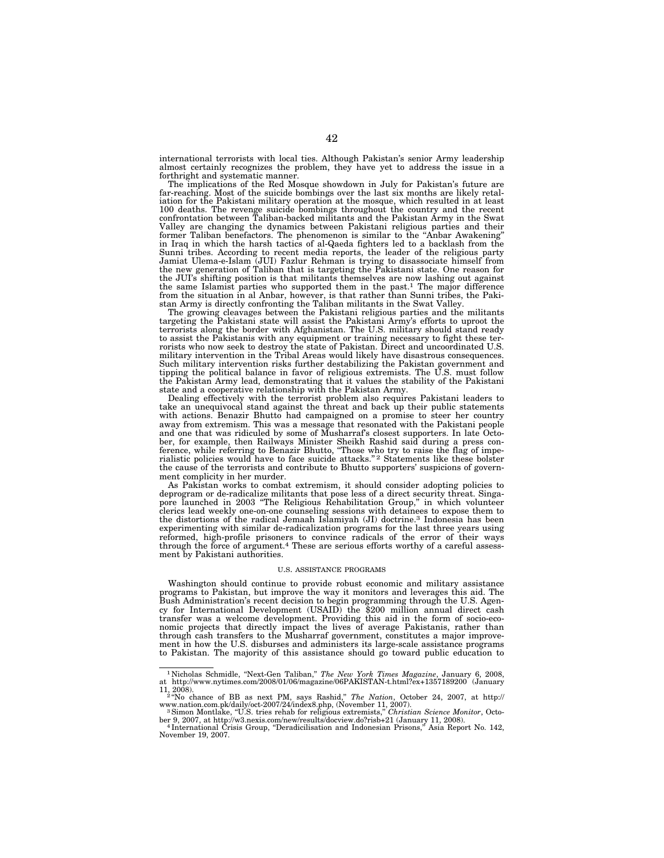international terrorists with local ties. Although Pakistan's senior Army leadership almost certainly recognizes the problem, they have yet to address the issue in a forthright and systematic manner.

The implications of the Red Mosque showdown in July for Pakistan's future are far-reaching. Most of the suicide bombings over the last six months are likely retaliation for the Pakistani military operation at the mosque, which resulted in at least<br>100 deaths. The revenge suicide bombings throughout the country and the recent<br>confrontation between Taliban-backed militants and the Pa Valley are changing the dynamics between Pakistani religious parties and their former Taliban benefactors. The phenomenon is similar to the ''Anbar Awakening'' in Iraq in which the harsh tactics of al-Qaeda fighters led to a backlash from the Sunni tribes. According to recent media reports, the leader of the religious party Jamiat Ulema-e-Islam (JUI) Fazlur Rehman is trying to disassociate himself from the new generation of Taliban that is targeting the Pakistani state. One reason for the JUI's shifting position is that militants themselves are now lashing out against the same Islamist parties who supported them in the past.<sup>1</sup> The major difference from the situation in al Anbar, however, is that rather than Sunni tribes, the Pakistan Army is directly confronting the Taliban militants in the Swat Valley.

The growing cleavages between the Pakistani religious parties and the militants targeting the Pakistani state will assist the Pakistani Army's efforts to uproot the terrorists along the border with Afghanistan. The U.S. military should stand ready to assist the Pakistanis with any equipment or training necessary to fight these ter-rorists who now seek to destroy the state of Pakistan. Direct and uncoordinated U.S. military intervention in the Tribal Areas would likely have disastrous consequences. Such military intervention risks further destabilizing the Pakistan government and tipping the political balance in favor of religious extremists. The U.S. must follow the Pakistan Army lead, demonstrating that it values the stability of the Pakistani state and a cooperative relationship with the Pakistan Army.

Dealing effectively with the terrorist problem also requires Pakistani leaders to take an unequivocal stand against the threat and back up their public statements with actions. Benazir Bhutto had campaigned on a promise to steer her country away from extremism. This was a message that resonated with the Pakistani people and one that was ridiculed by some of Musharraf's closest supporters. In late October, for example, then Railways Minister Sheikh Rashid said during a press conference, while referring to Benazir Bhutto, ''Those who try to raise the flag of imperialistic policies would have to face suicide attacks."<sup>2</sup> Statements like these bolster the cause of the terrorists and contribute to Bhutto supporters' suspicions of government complicity in her murder.

As Pakistan works to combat extremism, it should consider adopting policies to deprogram or de-radicalize militants that pose less of a direct security threat. Singapore launched in 2003 ''The Religious Rehabilitation Group,'' in which volunteer clerics lead weekly one-on-one counseling sessions with detainees to expose them to the distortions of the radical Jemaah Islamiyah (JI) doctrine.3 Indonesia has been experimenting with similar de-radicalization programs for the last three years using reformed, high-profile prisoners to convince radicals of the error of their ways through the force of argument.4 These are serious efforts worthy of a careful assessment by Pakistani authorities.

# U.S. ASSISTANCE PROGRAMS

Washington should continue to provide robust economic and military assistance programs to Pakistan, but improve the way it monitors and leverages this aid. The Bush Administration's recent decision to begin programming through the U.S. Agency for International Development (USAID) the \$200 million annual direct cash transfer was a welcome development. Providing this aid in the form of socio-economic projects that directly impact the lives of average Pakistanis, rather than through cash transfers to the Musharraf government, constitutes a major improvement in how the U.S. disburses and administers its large-scale assistance programs to Pakistan. The majority of this assistance should go toward public education to

<sup>1</sup> Nicholas Schmidle, ''Next-Gen Taliban,'' *The New York Times Magazine*, January 6, 2008, at http://www.nytimes.com/2008/01/06/magazine/06PAKISTAN-t.html?ex+1357189200 (January 11, 2008). 2 ''No chance of BB as next PM, says Rashid,'' *The Nation*, October 24, 2007, at http://

www.nation.com.pk/daily/oct-2007/24/index8.php, (November 11, 2007). 3Simon Montlake, ''U.S. tries rehab for religious extremists,'' *Christian Science Monitor*, Octo-

ber 9, 2007, at http://w3.nexis.com/new/results/docview.do?risb+21 (January 11, 2008).<br>
<sup>4</sup> International Crisis Group, "Deradicilisation and Indonesian Prisons," Asia Report No. 142,

November 19, 2007.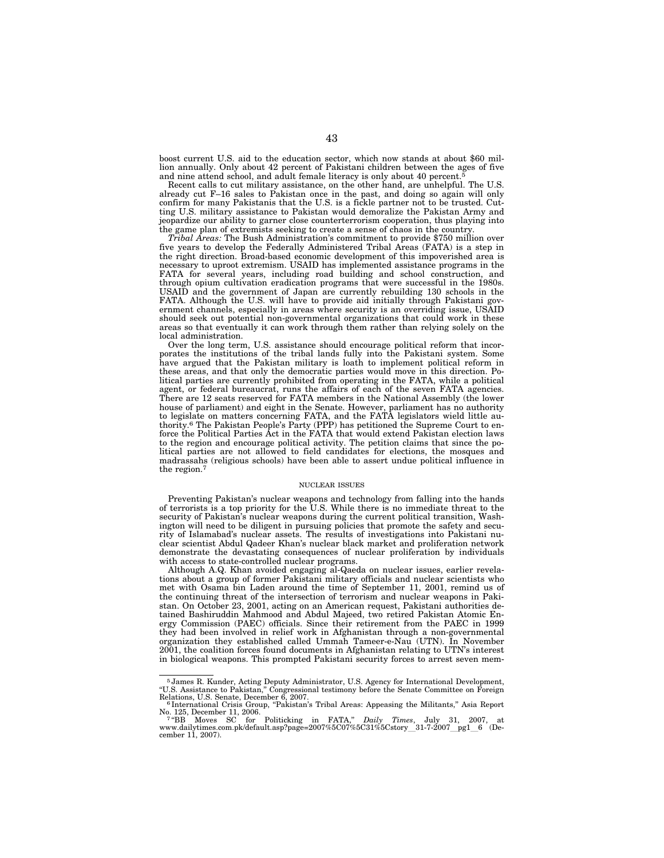boost current U.S. aid to the education sector, which now stands at about \$60 million annually. Only about 42 percent of Pakistani children between the ages of five and nine attend school, and adult female literacy is only about 40 percent.

Recent calls to cut military assistance, on the other hand, are unhelpful. The U.S. already cut F–16 sales to Pakistan once in the past, and doing so again will only confirm for many Pakistanis that the U.S. is a fickle partner not to be trusted. Cutting U.S. military assistance to Pakistan would demoralize the Pakistan Army and jeopardize our ability to garner close counterterrorism cooperation, thus playing into the game plan of extremists seeking to create a sense of chaos in the country.

*Tribal Areas:* The Bush Administration's commitment to provide \$750 million over five years to develop the Federally Administered Tribal Areas (FATA) is a step in the right direction. Broad-based economic development of this impoverished area is necessary to uproot extremism. USAID has implemented assistance programs in the FATA for several years, including road building and school construction, and through opium cultivation eradication programs that were successful in the 1980s. USAID and the government of Japan are currently rebuilding 130 schools in the FATA. Although the U.S. will have to provide aid initially through Pakistani government channels, especially in areas where security is an overriding issue, USAID should seek out potential non-governmental organizations that could work in these areas so that eventually it can work through them rather than relying solely on the local administration.

Over the long term, U.S. assistance should encourage political reform that incorporates the institutions of the tribal lands fully into the Pakistani system. Some have argued that the Pakistan military is loath to implement political reform in these areas, and that only the democratic parties would move in this direction. Political parties are currently prohibited from operating in the FATA, while a political agent, or federal bureaucrat, runs the affairs of each of the seven FATA agencies. There are 12 seats reserved for FATA members in the National Assembly (the lower house of parliament) and eight in the Senate. However, parliament has no authority to legislate on matters concerning FATA, and the FATA legislators wield little authority.6 The Pakistan People's Party (PPP) has petitioned the Supreme Court to enforce the Political Parties Act in the FATA that would extend Pakistan election laws to the region and encourage political activity. The petition claims that since the political parties are not allowed to field candidates for elections, the mosques and madrassahs (religious schools) have been able to assert undue political influence in the region.7

#### NUCLEAR ISSUES

Preventing Pakistan's nuclear weapons and technology from falling into the hands of terrorists is a top priority for the U.S. While there is no immediate threat to the security of Pakistan's nuclear weapons during the current political transition, Washington will need to be diligent in pursuing policies that promote the safety and security of Islamabad's nuclear assets. The results of investigations into Pakistani nuclear scientist Abdul Qadeer Khan's nuclear black market and proliferation network demonstrate the devastating consequences of nuclear proliferation by individuals with access to state-controlled nuclear programs.

Although A.Q. Khan avoided engaging al-Qaeda on nuclear issues, earlier revelations about a group of former Pakistani military officials and nuclear scientists who met with Osama bin Laden around the time of September 11, 2001, remind us of the continuing threat of the intersection of terrorism and nuclear weapons in Pakistan. On October 23, 2001, acting on an American request, Pakistani authorities detained Bashiruddin Mahmood and Abdul Majeed, two retired Pakistan Atomic Energy Commission (PAEC) officials. Since their retirement from the PAEC in 1999 they had been involved in relief work in Afghanistan through a non-governmental organization they established called Ummah Tameer-e-Nau (UTN). In November 2001, the coalition forces found documents in Afghanistan relating to UTN's interest in biological weapons. This prompted Pakistani security forces to arrest seven mem-

<sup>&</sup>lt;sup>5</sup> James R. Kunder, Acting Deputy Administrator, U.S. Agency for International Development, "U.S. Assistance to Pakistan," Congressional testimony before the Senate Committee on Foreign Relations, U.S. Senate, December 6

No. 125, December 11, 2006. 7 ''BB Moves SC for Politicking in FATA,'' *Daily Times*, July 31, 2007, at

www.dailytimes.com.pk/default.asp?page=2007%5C07%5C31%5Cstory\_31-7-2007\_pg1\_6 (De-<br>cember 11. 2007). cember 11, 2007).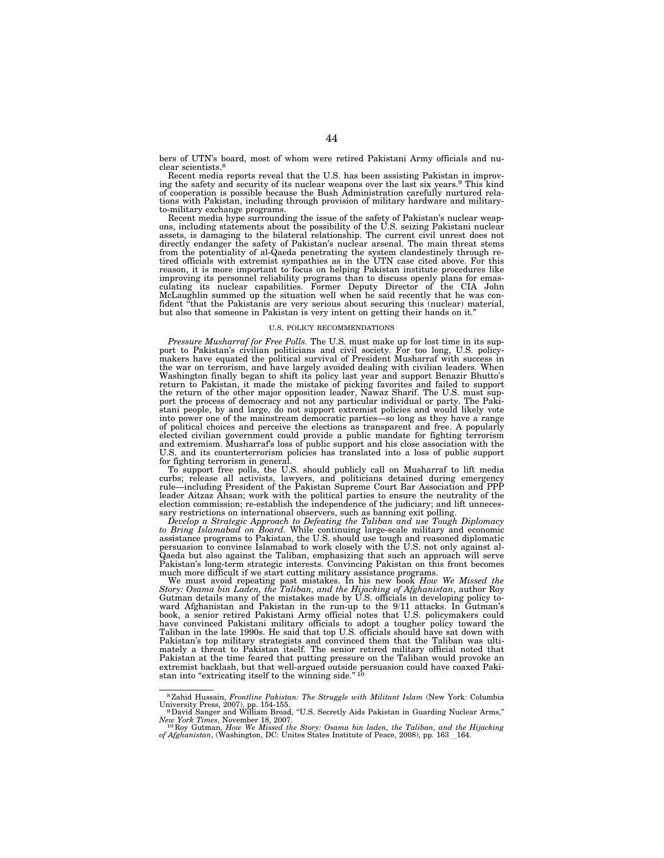bers of UTN's board, most of whom were retired Pakistani Army officials and nuclear scientists.8

Recent media reports reveal that the U.S. has been assisting Pakistan in improving the safety and security of its nuclear weapons over the last six years.9 This kind of cooperation is possible because the Bush Administration carefully nurtured relations with Pakistan, including through provision of military hardware and militaryto-military exchange programs.

Recent media hype surrounding the issue of the safety of Pakistan's nuclear weapons, including statements about the possibility of the U.S. seizing Pakistani nuclear assets, is damaging to the bilateral relationship. The current civil unrest does not directly endanger the safety of Pakistan's nuclear arsenal. The main threat stems from the potentiality of al-Qaeda penetrating the system clandestinely through re-tired officials with extremist sympathies as in the UTN case cited above. For this reason, it is more important to focus on helping Pakistan institute procedures like improving its personnel reliability programs than to discuss openly plans for emasculating its nuclear capabilities. Former Deputy Director of the CIA John McLaughlin summed up the situation well when he said recently that he was confident ''that the Pakistanis are very serious about securing this (nuclear) material, but also that someone in Pakistan is very intent on getting their hands on it.''

## U.S. POLICY RECOMMENDATIONS

*Pressure Musharraf for Free Polls.* The U.S. must make up for lost time in its support to Pakistan's civilian politicians and civil society. For too long, U.S. policy-makers have equated the political survival of President Musharraf with success in the war on terrorism, and have largely avoided dealing with civilian leaders. When Washington finally began to shift its policy last year and support Benazir Bhutto's return to Pakistan, it made the mistake of picking favorites and failed to support the return of the other major opposition leader, Nawaz Sharif. The U.S. must support the process of democracy and not any particular individual or party. The Pakistani people, by and large, do not support extremist policies and would likely vote into power one of the mainstream democratic parties—so long as they have a range of political choices and perceive the elections as transparent and free. A popularly elected civilian government could provide a public mandate for fighting terrorism and extremism. Musharraf's loss of public support and his close association with the U.S. and its counterterrorism policies has translated into a loss of public support for fighting terrorism in general.

To support free polls, the U.S. should publicly call on Musharraf to lift media curbs; release all activists, lawyers, and politicians detained during emergency rule—including President of the Pakistan Supreme Court Bar Association and PPP<br>leader Aitzaz Ahsan; work with the political parties to ensure the neutrality of the<br>election commission; re-establish the independence of the

sary restrictions on international observers, such as banning exit polling.<br>
Develop a Strategic Approach to Defeating the Taliban and use Tough Diplomacy<br>
to Bring Islamabad on Board. While continuing large-scale military Pakistan's long-term strategic interests. Convincing Pakistan on this front becomes much more difficult if we start cutting military assistance programs.

We must avoid repeating past mistakes. In his new book *How We Missed the Story: Osama bin Laden, the Taliban, and the Hijacking of Afghanistan, author Roy Gutman details many of the mistakes made by U.S. officials in deve* have convinced Pakistani military officials to adopt a tougher policy toward the Taliban in the late 1990s. He said that top U.S. officials should have sat down with Pakistan's top military strategists and convinced them that the Taliban was ultimately a threat to Pakistan itself. The senior retired military official noted that Pakistan at the time feared that putting pressure on the Taliban would provoke an extremist backlash, but that well-argued outside persuasion could have coaxed Pakistan into "extricating itself to the winning side." $10$ 

<sup>8</sup>Zahid Hussain, *Frontline Pakistan: The Struggle with Militant Islam* (New York: Columbia University Press, 2007), pp. 154-155.<br><sup>9</sup>David Sanger and William Broad, "U.S. Secretly Aids Pakistan in Guarding Nuclear Arms,"

*New York Times*, November 18, 2007. 10 Roy Gutman, *How We Missed the Story: Osama bin laden, the Taliban, and the Hijacking* 

*of Afghanistan*, (Washington, DC: Unites States Institute of Peace, 2008), pp. 163\_164.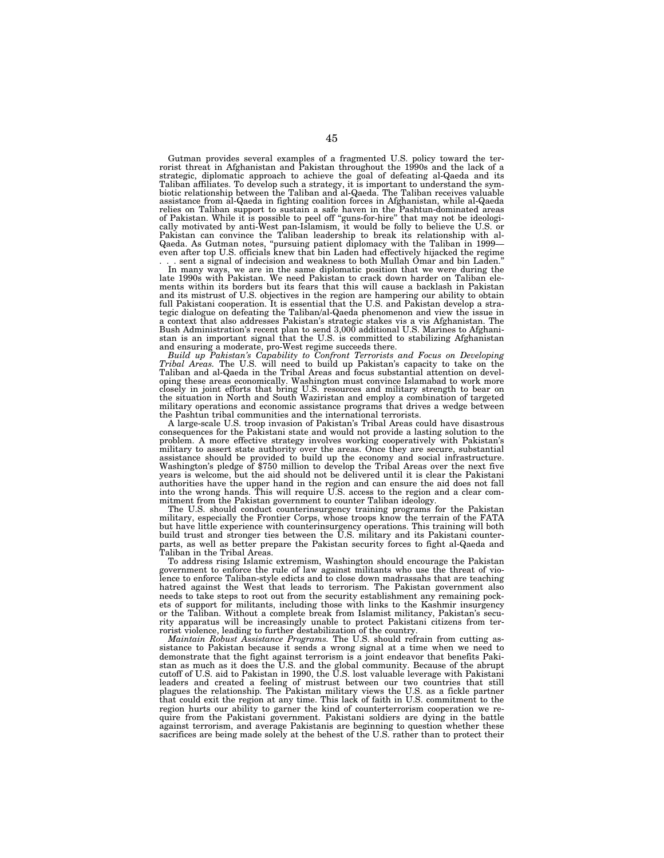Gutman provides several examples of a fragmented U.S. policy toward the ter-rorist threat in Afghanistan and Pakistan throughout the 1990s and the lack of a strategic, diplomatic approach to achieve the goal of defeating al-Qaeda and its Taliban affiliates. To develop such a strategy, it is important to understand the sym-biotic relationship between the Taliban and al-Qaeda. The Taliban receives valuable assistance from al-Qaeda in fighting coalition forces in Afghanistan, while al-Qaeda relies on Taliban support to sustain a safe haven in the Pashtun-dominated areas<br>of Pakistan. While it is possible to peel off "guns-for-hire" that may not be ideologi-<br>cally motivated by anti-West pan-Islamism, it would b

. sent a signal of indecision and weakness to both Mullah Omar and bin Laden." In many ways, we are in the same diplomatic position that we were during the late 1990s with Pakistan. We need Pakistan to crack down harder on Taliban elements within its borders but its fears that this will cause a backlash in Pakistan and its mistrust of U.S. objectives in the region are hampering our ability to obtain full Pakistani cooperation. It is essential that the U.S. and Pakistan develop a stra-tegic dialogue on defeating the Taliban/al-Qaeda phenomenon and view the issue in a context that also addresses Pakistan's strategic stakes vis a vis Afghanistan. The Bush Administration's recent plan to send 3,000 additional U.S. Marines to Afghanistan is an important signal that the U.S. is committed to stabilizing Afghanistan and ensuring a moderate, pro-West regime succeeds there.

*Build up Pakistan's Capability to Confront Terrorists and Focus on Developing Tribal Areas.* The U.S. will need to build up Pakistan's capacity to take on the Taliban and al-Qaeda in the Tribal Areas and focus substantial attention on developing these areas economically. Washington must convince Islamabad to work more closely in joint efforts that bring U.S. resources and military strength to bear on the situation in North and South Waziristan and employ a combination of targeted military operations and economic assistance programs that drives a wedge between the Pashtun tribal communities and the international terrorists.

A large-scale U.S. troop invasion of Pakistan's Tribal Areas could have disastrous consequences for the Pakistani state and would not provide a lasting solution to the problem. A more effective strategy involves working cooperatively with Pakistan's military to assert state authority over the areas. Once they are secure, substantial assistance should be provided to build up the economy and social infrastructure. Washington's pledge of \$750 million to develop the Tribal Areas over the next five years is welcome, but the aid should not be delivered until it is clear the Pakistani authorities have the upper hand in the region and can ensure the aid does not fall into the wrong hands. This will require U.S. access to the region and a clear commitment from the Pakistan government to counter Taliban ideology.

The U.S. should conduct counterinsurgency training programs for the Pakistan military, especially the Frontier Corps, whose troops know the terrain of the FATA but have little experience with counterinsurgency operations. This training will both build trust and stronger ties between the U.S. military and its Pakistani counterparts, as well as better prepare the Pakistan security forces to fight al-Qaeda and Taliban in the Tribal Areas.

To address rising Islamic extremism, Washington should encourage the Pakistan government to enforce the rule of law against militants who use the threat of violence to enforce Taliban-style edicts and to close down madrassahs that are teaching hatred against the West that leads to terrorism. The Pakistan government also needs to take steps to root out from the security establishment any remaining pockets of support for militants, including those with links to the Kashmir insurgency or the Taliban. Without a complete break from Islamist militancy, Pakistan's security apparatus will be increasingly unable to protect Pakistani citizens from terrorist violence, leading to further destabilization of the country.

*Maintain Robust Assistance Programs.* The U.S. should refrain from cutting assistance to Pakistan because it sends a wrong signal at a time when we need to demonstrate that the fight against terrorism is a joint endeavor that benefits Pakistan as much as it does the U.S. and the global community. Because of the abrupt cutoff of U.S. aid to Pakistan in 1990, the U.S. lost valuable leverage with Pakistani leaders and created a feeling of mistrust between our two countries that still plagues the relationship. The Pakistan military views the U.S. as a fickle partner that could exit the region at any time. This lack of faith in U.S. commitment to the region hurts our ability to garner the kind of counterterrorism cooperation we require from the Pakistani government. Pakistani soldiers are dying in the battle against terrorism, and average Pakistanis are beginning to question whether these sacrifices are being made solely at the behest of the U.S. rather than to protect their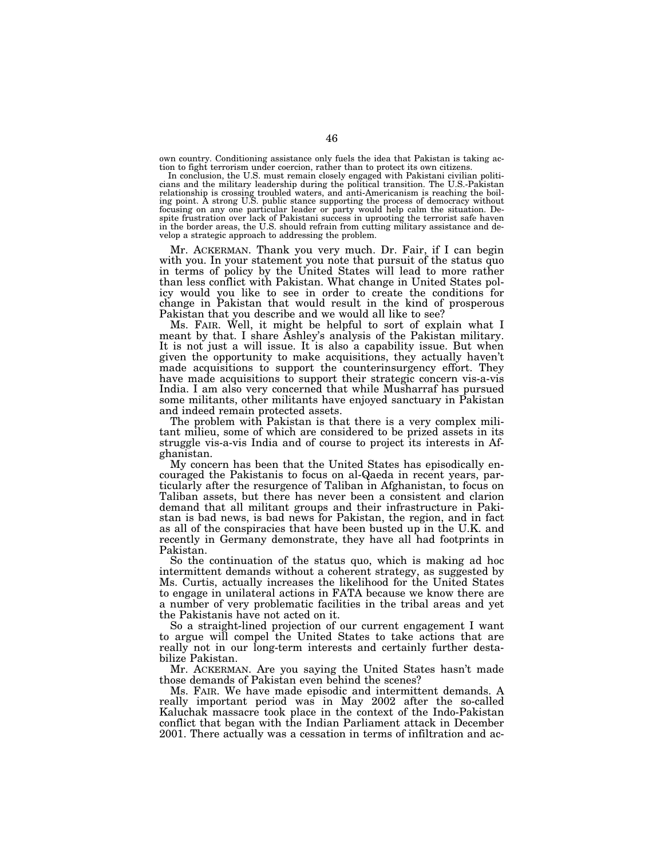own country. Conditioning assistance only fuels the idea that Pakistan is taking action to fight terrorism under coercion, rather than to protect its own citizens.

In conclusion, the U.S. must remain closely engaged with Pakistani civilian politicians and the military leadership during the political transition. The U.S.-Pakistan relationship is crossing troubled waters, and anti-Americanism is reaching the boiling point. A strong U.S. public stance supporting the process of democracy without focusing on any one particular leader or party would hel spite frustration over lack of Pakistani success in uprooting the terrorist safe haven in the border areas, the U.S. should refrain from cutting military assistance and develop a strategic approach to addressing the problem.

Mr. ACKERMAN. Thank you very much. Dr. Fair, if I can begin with you. In your statement you note that pursuit of the status quo in terms of policy by the United States will lead to more rather than less conflict with Pakistan. What change in United States policy would you like to see in order to create the conditions for change in Pakistan that would result in the kind of prosperous Pakistan that you describe and we would all like to see?

Ms. FAIR. Well, it might be helpful to sort of explain what I meant by that. I share Ashley's analysis of the Pakistan military. It is not just a will issue. It is also a capability issue. But when given the opportunity to make acquisitions, they actually haven't made acquisitions to support the counterinsurgency effort. They have made acquisitions to support their strategic concern vis-a-vis India. I am also very concerned that while Musharraf has pursued some militants, other militants have enjoyed sanctuary in Pakistan and indeed remain protected assets.

The problem with Pakistan is that there is a very complex militant milieu, some of which are considered to be prized assets in its struggle vis-a-vis India and of course to project its interests in Afghanistan.

My concern has been that the United States has episodically encouraged the Pakistanis to focus on al-Qaeda in recent years, particularly after the resurgence of Taliban in Afghanistan, to focus on Taliban assets, but there has never been a consistent and clarion demand that all militant groups and their infrastructure in Pakistan is bad news, is bad news for Pakistan, the region, and in fact as all of the conspiracies that have been busted up in the U.K. and recently in Germany demonstrate, they have all had footprints in Pakistan.

So the continuation of the status quo, which is making ad hoc intermittent demands without a coherent strategy, as suggested by Ms. Curtis, actually increases the likelihood for the United States to engage in unilateral actions in FATA because we know there are a number of very problematic facilities in the tribal areas and yet the Pakistanis have not acted on it.

So a straight-lined projection of our current engagement I want to argue will compel the United States to take actions that are really not in our long-term interests and certainly further destabilize Pakistan.

Mr. ACKERMAN. Are you saying the United States hasn't made those demands of Pakistan even behind the scenes?

Ms. FAIR. We have made episodic and intermittent demands. A really important period was in May 2002 after the so-called Kaluchak massacre took place in the context of the Indo-Pakistan conflict that began with the Indian Parliament attack in December 2001. There actually was a cessation in terms of infiltration and ac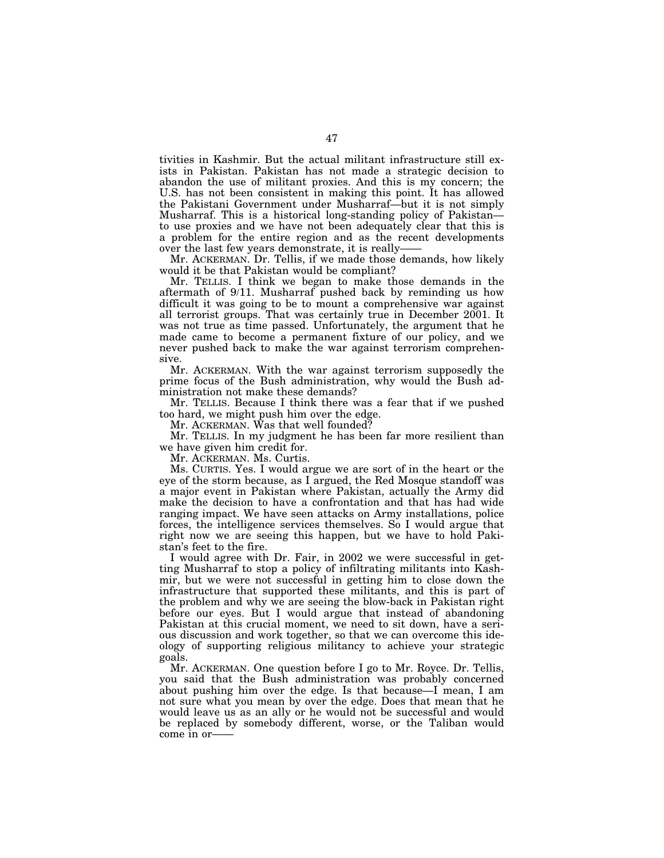tivities in Kashmir. But the actual militant infrastructure still exists in Pakistan. Pakistan has not made a strategic decision to abandon the use of militant proxies. And this is my concern; the U.S. has not been consistent in making this point. It has allowed the Pakistani Government under Musharraf—but it is not simply Musharraf. This is a historical long-standing policy of Pakistan to use proxies and we have not been adequately clear that this is a problem for the entire region and as the recent developments over the last few years demonstrate, it is really——

Mr. ACKERMAN. Dr. Tellis, if we made those demands, how likely would it be that Pakistan would be compliant?

Mr. TELLIS. I think we began to make those demands in the aftermath of 9/11. Musharraf pushed back by reminding us how difficult it was going to be to mount a comprehensive war against all terrorist groups. That was certainly true in December 2001. It was not true as time passed. Unfortunately, the argument that he made came to become a permanent fixture of our policy, and we never pushed back to make the war against terrorism comprehensive.

Mr. ACKERMAN. With the war against terrorism supposedly the prime focus of the Bush administration, why would the Bush administration not make these demands?

Mr. TELLIS. Because I think there was a fear that if we pushed too hard, we might push him over the edge.

Mr. ACKERMAN. Was that well founded?

Mr. TELLIS. In my judgment he has been far more resilient than we have given him credit for.

Mr. ACKERMAN. Ms. Curtis.

Ms. CURTIS. Yes. I would argue we are sort of in the heart or the eye of the storm because, as I argued, the Red Mosque standoff was a major event in Pakistan where Pakistan, actually the Army did make the decision to have a confrontation and that has had wide ranging impact. We have seen attacks on Army installations, police forces, the intelligence services themselves. So I would argue that right now we are seeing this happen, but we have to hold Pakistan's feet to the fire.

I would agree with Dr. Fair, in 2002 we were successful in getting Musharraf to stop a policy of infiltrating militants into Kashmir, but we were not successful in getting him to close down the infrastructure that supported these militants, and this is part of the problem and why we are seeing the blow-back in Pakistan right before our eyes. But I would argue that instead of abandoning Pakistan at this crucial moment, we need to sit down, have a serious discussion and work together, so that we can overcome this ideology of supporting religious militancy to achieve your strategic goals.

Mr. ACKERMAN. One question before I go to Mr. Royce. Dr. Tellis, you said that the Bush administration was probably concerned about pushing him over the edge. Is that because—I mean, I am not sure what you mean by over the edge. Does that mean that he would leave us as an ally or he would not be successful and would be replaced by somebody different, worse, or the Taliban would come in or-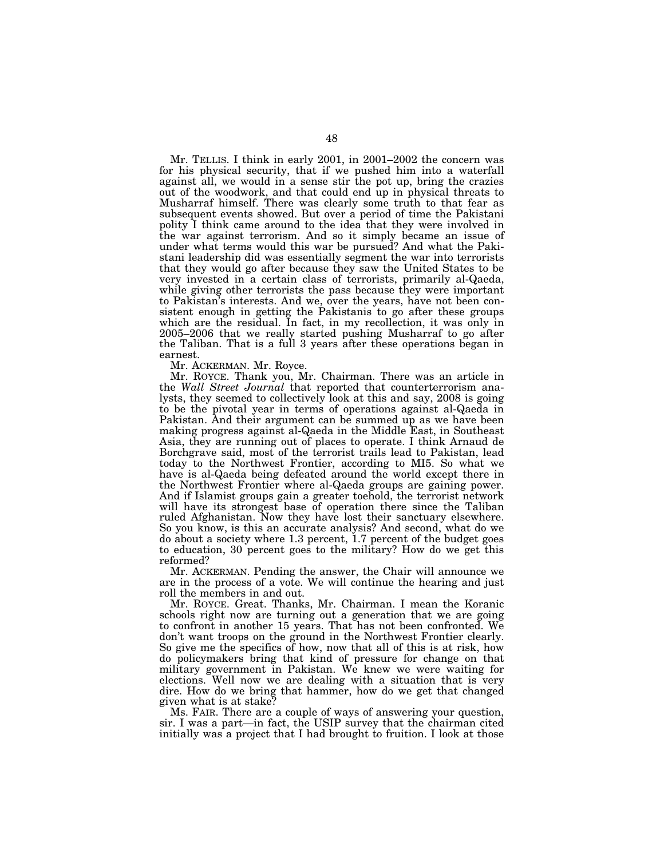Mr. TELLIS. I think in early 2001, in 2001–2002 the concern was for his physical security, that if we pushed him into a waterfall against all, we would in a sense stir the pot up, bring the crazies out of the woodwork, and that could end up in physical threats to Musharraf himself. There was clearly some truth to that fear as subsequent events showed. But over a period of time the Pakistani polity I think came around to the idea that they were involved in the war against terrorism. And so it simply became an issue of under what terms would this war be pursued? And what the Pakistani leadership did was essentially segment the war into terrorists that they would go after because they saw the United States to be very invested in a certain class of terrorists, primarily al-Qaeda, while giving other terrorists the pass because they were important to Pakistan's interests. And we, over the years, have not been consistent enough in getting the Pakistanis to go after these groups which are the residual. In fact, in my recollection, it was only in 2005–2006 that we really started pushing Musharraf to go after the Taliban. That is a full 3 years after these operations began in earnest.

Mr. ACKERMAN. Mr. Royce.

Mr. ROYCE. Thank you, Mr. Chairman. There was an article in the *Wall Street Journal* that reported that counterterrorism analysts, they seemed to collectively look at this and say, 2008 is going to be the pivotal year in terms of operations against al-Qaeda in Pakistan. And their argument can be summed up as we have been making progress against al-Qaeda in the Middle East, in Southeast Asia, they are running out of places to operate. I think Arnaud de Borchgrave said, most of the terrorist trails lead to Pakistan, lead today to the Northwest Frontier, according to MI5. So what we have is al-Qaeda being defeated around the world except there in the Northwest Frontier where al-Qaeda groups are gaining power. And if Islamist groups gain a greater toehold, the terrorist network will have its strongest base of operation there since the Taliban ruled Afghanistan. Now they have lost their sanctuary elsewhere. So you know, is this an accurate analysis? And second, what do we do about a society where 1.3 percent, 1.7 percent of the budget goes to education, 30 percent goes to the military? How do we get this reformed?

Mr. ACKERMAN. Pending the answer, the Chair will announce we are in the process of a vote. We will continue the hearing and just roll the members in and out.

Mr. ROYCE. Great. Thanks, Mr. Chairman. I mean the Koranic schools right now are turning out a generation that we are going to confront in another 15 years. That has not been confronted. We don't want troops on the ground in the Northwest Frontier clearly. So give me the specifics of how, now that all of this is at risk, how do policymakers bring that kind of pressure for change on that military government in Pakistan. We knew we were waiting for elections. Well now we are dealing with a situation that is very dire. How do we bring that hammer, how do we get that changed given what is at stake?

Ms. FAIR. There are a couple of ways of answering your question, sir. I was a part—in fact, the USIP survey that the chairman cited initially was a project that I had brought to fruition. I look at those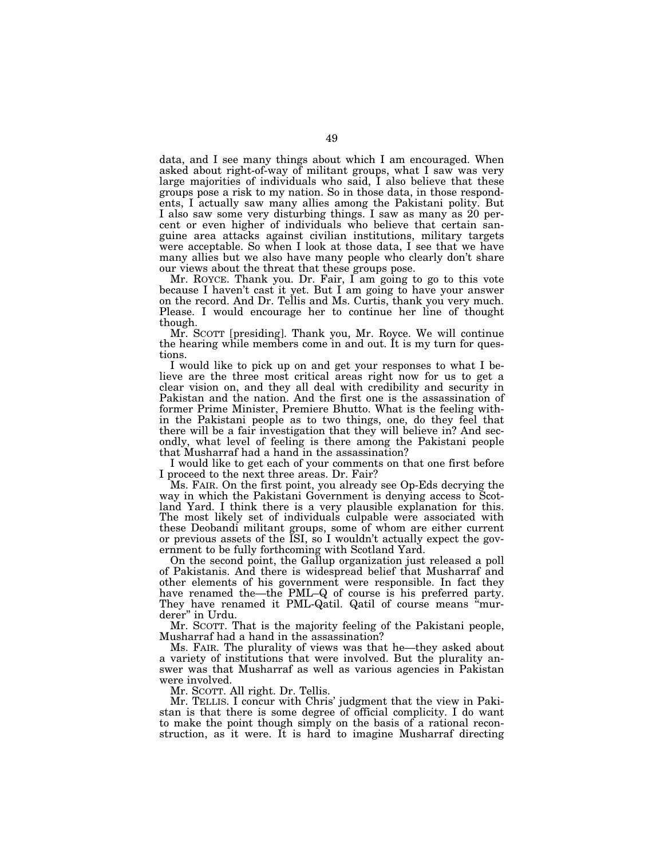data, and I see many things about which I am encouraged. When asked about right-of-way of militant groups, what I saw was very large majorities of individuals who said, I also believe that these groups pose a risk to my nation. So in those data, in those respondents, I actually saw many allies among the Pakistani polity. But I also saw some very disturbing things. I saw as many as 20 percent or even higher of individuals who believe that certain sanguine area attacks against civilian institutions, military targets were acceptable. So when I look at those data, I see that we have many allies but we also have many people who clearly don't share our views about the threat that these groups pose.

Mr. ROYCE. Thank you. Dr. Fair, I am going to go to this vote because I haven't cast it yet. But I am going to have your answer on the record. And Dr. Tellis and Ms. Curtis, thank you very much. Please. I would encourage her to continue her line of thought though.

Mr. SCOTT [presiding]. Thank you, Mr. Royce. We will continue the hearing while members come in and out. It is my turn for questions.

I would like to pick up on and get your responses to what I believe are the three most critical areas right now for us to get a clear vision on, and they all deal with credibility and security in Pakistan and the nation. And the first one is the assassination of former Prime Minister, Premiere Bhutto. What is the feeling within the Pakistani people as to two things, one, do they feel that there will be a fair investigation that they will believe in? And secondly, what level of feeling is there among the Pakistani people that Musharraf had a hand in the assassination?

I would like to get each of your comments on that one first before I proceed to the next three areas. Dr. Fair?

Ms. FAIR. On the first point, you already see Op-Eds decrying the way in which the Pakistani Government is denying access to Scotland Yard. I think there is a very plausible explanation for this. The most likely set of individuals culpable were associated with these Deobandi militant groups, some of whom are either current or previous assets of the ISI, so I wouldn't actually expect the government to be fully forthcoming with Scotland Yard.

On the second point, the Gallup organization just released a poll of Pakistanis. And there is widespread belief that Musharraf and other elements of his government were responsible. In fact they have renamed the—the PML–Q of course is his preferred party. They have renamed it PML-Qatil. Qatil of course means "murderer" in Urdu.

Mr. SCOTT. That is the majority feeling of the Pakistani people, Musharraf had a hand in the assassination?

Ms. FAIR. The plurality of views was that he—they asked about a variety of institutions that were involved. But the plurality answer was that Musharraf as well as various agencies in Pakistan were involved.

Mr. SCOTT. All right. Dr. Tellis.

Mr. TELLIS. I concur with Chris' judgment that the view in Pakistan is that there is some degree of official complicity. I do want to make the point though simply on the basis of a rational reconstruction, as it were. It is hard to imagine Musharraf directing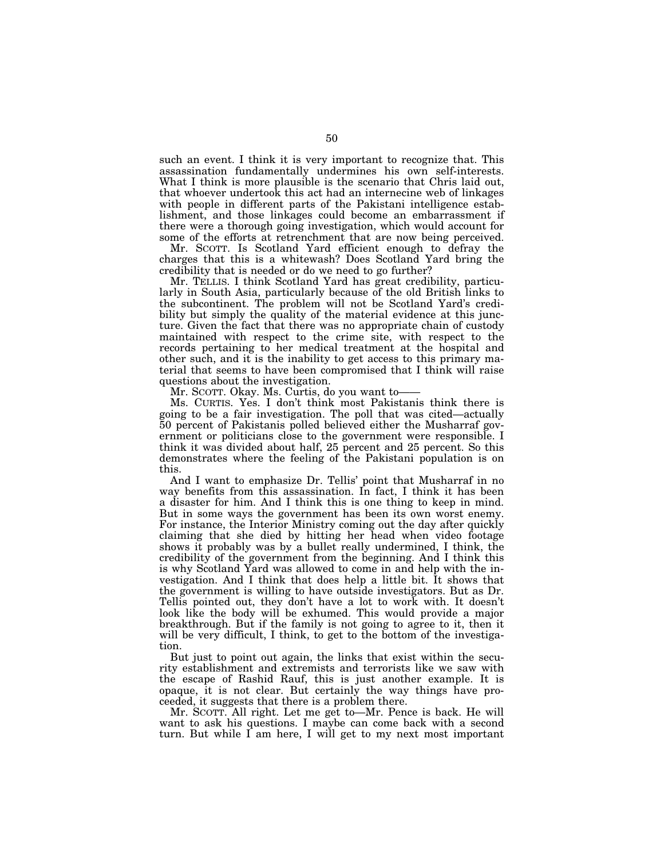such an event. I think it is very important to recognize that. This assassination fundamentally undermines his own self-interests. What I think is more plausible is the scenario that Chris laid out, that whoever undertook this act had an internecine web of linkages with people in different parts of the Pakistani intelligence establishment, and those linkages could become an embarrassment if there were a thorough going investigation, which would account for some of the efforts at retrenchment that are now being perceived.

Mr. SCOTT. Is Scotland Yard efficient enough to defray the charges that this is a whitewash? Does Scotland Yard bring the credibility that is needed or do we need to go further?

Mr. TELLIS. I think Scotland Yard has great credibility, particularly in South Asia, particularly because of the old British links to the subcontinent. The problem will not be Scotland Yard's credibility but simply the quality of the material evidence at this juncture. Given the fact that there was no appropriate chain of custody maintained with respect to the crime site, with respect to the records pertaining to her medical treatment at the hospital and other such, and it is the inability to get access to this primary material that seems to have been compromised that I think will raise questions about the investigation.

Mr. SCOTT. Okay. Ms. Curtis, do you want to——

Ms. CURTIS. Yes. I don't think most Pakistanis think there is going to be a fair investigation. The poll that was cited—actually 50 percent of Pakistanis polled believed either the Musharraf government or politicians close to the government were responsible. I think it was divided about half, 25 percent and 25 percent. So this demonstrates where the feeling of the Pakistani population is on this.

And I want to emphasize Dr. Tellis' point that Musharraf in no way benefits from this assassination. In fact, I think it has been a disaster for him. And I think this is one thing to keep in mind. But in some ways the government has been its own worst enemy. For instance, the Interior Ministry coming out the day after quickly claiming that she died by hitting her head when video footage shows it probably was by a bullet really undermined, I think, the credibility of the government from the beginning. And I think this is why Scotland Yard was allowed to come in and help with the investigation. And I think that does help a little bit. It shows that the government is willing to have outside investigators. But as Dr. Tellis pointed out, they don't have a lot to work with. It doesn't look like the body will be exhumed. This would provide a major breakthrough. But if the family is not going to agree to it, then it will be very difficult, I think, to get to the bottom of the investigation.

But just to point out again, the links that exist within the security establishment and extremists and terrorists like we saw with the escape of Rashid Rauf, this is just another example. It is opaque, it is not clear. But certainly the way things have proceeded, it suggests that there is a problem there.

Mr. SCOTT. All right. Let me get to—Mr. Pence is back. He will want to ask his questions. I maybe can come back with a second turn. But while I am here, I will get to my next most important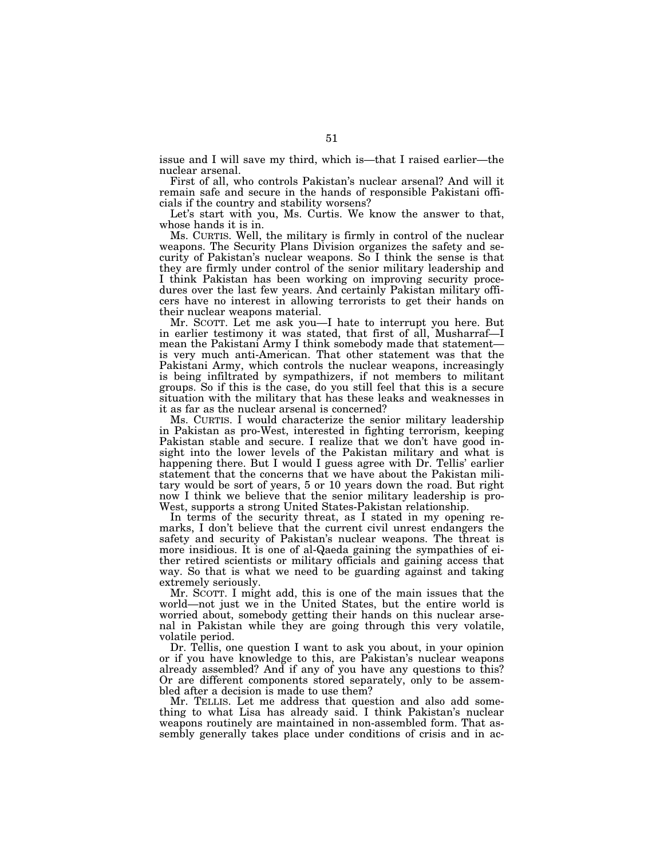issue and I will save my third, which is—that I raised earlier—the nuclear arsenal.

First of all, who controls Pakistan's nuclear arsenal? And will it remain safe and secure in the hands of responsible Pakistani officials if the country and stability worsens?

Let's start with you, Ms. Curtis. We know the answer to that, whose hands it is in.

Ms. CURTIS. Well, the military is firmly in control of the nuclear weapons. The Security Plans Division organizes the safety and security of Pakistan's nuclear weapons. So I think the sense is that they are firmly under control of the senior military leadership and I think Pakistan has been working on improving security procedures over the last few years. And certainly Pakistan military officers have no interest in allowing terrorists to get their hands on their nuclear weapons material.

Mr. SCOTT. Let me ask you—I hate to interrupt you here. But in earlier testimony it was stated, that first of all, Musharraf—I mean the Pakistani Army I think somebody made that statement is very much anti-American. That other statement was that the Pakistani Army, which controls the nuclear weapons, increasingly is being infiltrated by sympathizers, if not members to militant groups. So if this is the case, do you still feel that this is a secure situation with the military that has these leaks and weaknesses in it as far as the nuclear arsenal is concerned?

Ms. CURTIS. I would characterize the senior military leadership in Pakistan as pro-West, interested in fighting terrorism, keeping Pakistan stable and secure. I realize that we don't have good insight into the lower levels of the Pakistan military and what is happening there. But I would I guess agree with Dr. Tellis' earlier statement that the concerns that we have about the Pakistan military would be sort of years, 5 or 10 years down the road. But right now I think we believe that the senior military leadership is pro-West, supports a strong United States-Pakistan relationship.

In terms of the security threat, as I stated in my opening remarks, I don't believe that the current civil unrest endangers the safety and security of Pakistan's nuclear weapons. The threat is more insidious. It is one of al-Qaeda gaining the sympathies of either retired scientists or military officials and gaining access that way. So that is what we need to be guarding against and taking extremely seriously.

Mr. SCOTT. I might add, this is one of the main issues that the world—not just we in the United States, but the entire world is worried about, somebody getting their hands on this nuclear arsenal in Pakistan while they are going through this very volatile, volatile period.

Dr. Tellis, one question I want to ask you about, in your opinion or if you have knowledge to this, are Pakistan's nuclear weapons already assembled? And if any of you have any questions to this? Or are different components stored separately, only to be assembled after a decision is made to use them?

Mr. TELLIS. Let me address that question and also add something to what Lisa has already said. I think Pakistan's nuclear weapons routinely are maintained in non-assembled form. That assembly generally takes place under conditions of crisis and in ac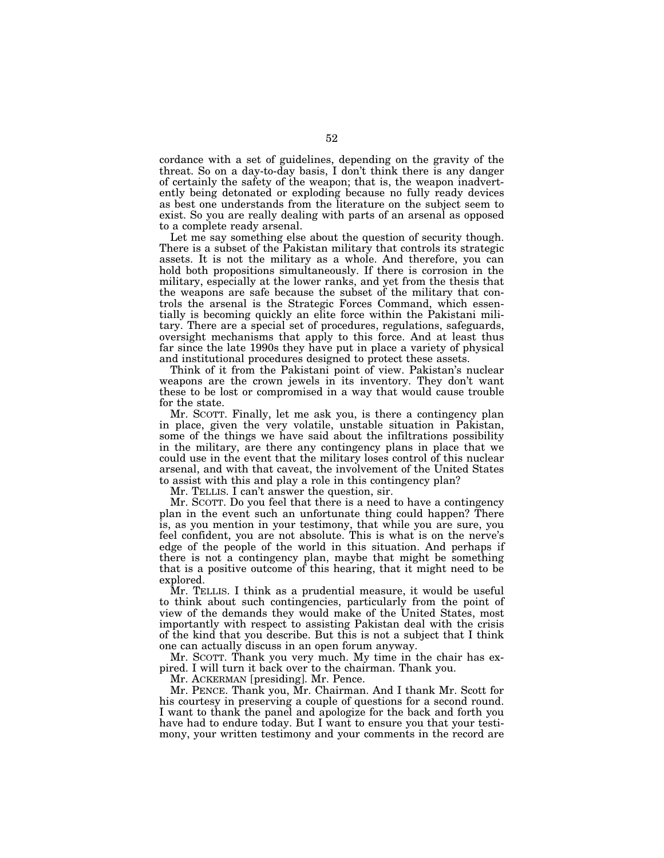cordance with a set of guidelines, depending on the gravity of the threat. So on a day-to-day basis, I don't think there is any danger of certainly the safety of the weapon; that is, the weapon inadvertently being detonated or exploding because no fully ready devices as best one understands from the literature on the subject seem to exist. So you are really dealing with parts of an arsenal as opposed to a complete ready arsenal.

Let me say something else about the question of security though. There is a subset of the Pakistan military that controls its strategic assets. It is not the military as a whole. And therefore, you can hold both propositions simultaneously. If there is corrosion in the military, especially at the lower ranks, and yet from the thesis that the weapons are safe because the subset of the military that controls the arsenal is the Strategic Forces Command, which essentially is becoming quickly an elite force within the Pakistani military. There are a special set of procedures, regulations, safeguards, oversight mechanisms that apply to this force. And at least thus far since the late 1990s they have put in place a variety of physical and institutional procedures designed to protect these assets.

Think of it from the Pakistani point of view. Pakistan's nuclear weapons are the crown jewels in its inventory. They don't want these to be lost or compromised in a way that would cause trouble for the state.

Mr. SCOTT. Finally, let me ask you, is there a contingency plan in place, given the very volatile, unstable situation in Pakistan, some of the things we have said about the infiltrations possibility in the military, are there any contingency plans in place that we could use in the event that the military loses control of this nuclear arsenal, and with that caveat, the involvement of the United States to assist with this and play a role in this contingency plan?

Mr. TELLIS. I can't answer the question, sir.

Mr. SCOTT. Do you feel that there is a need to have a contingency plan in the event such an unfortunate thing could happen? There is, as you mention in your testimony, that while you are sure, you feel confident, you are not absolute. This is what is on the nerve's edge of the people of the world in this situation. And perhaps if there is not a contingency plan, maybe that might be something that is a positive outcome of this hearing, that it might need to be explored.

Mr. TELLIS. I think as a prudential measure, it would be useful to think about such contingencies, particularly from the point of view of the demands they would make of the United States, most importantly with respect to assisting Pakistan deal with the crisis of the kind that you describe. But this is not a subject that I think one can actually discuss in an open forum anyway.

Mr. SCOTT. Thank you very much. My time in the chair has expired. I will turn it back over to the chairman. Thank you.

Mr. ACKERMAN [presiding]. Mr. Pence.

Mr. PENCE. Thank you, Mr. Chairman. And I thank Mr. Scott for his courtesy in preserving a couple of questions for a second round. I want to thank the panel and apologize for the back and forth you have had to endure today. But I want to ensure you that your testimony, your written testimony and your comments in the record are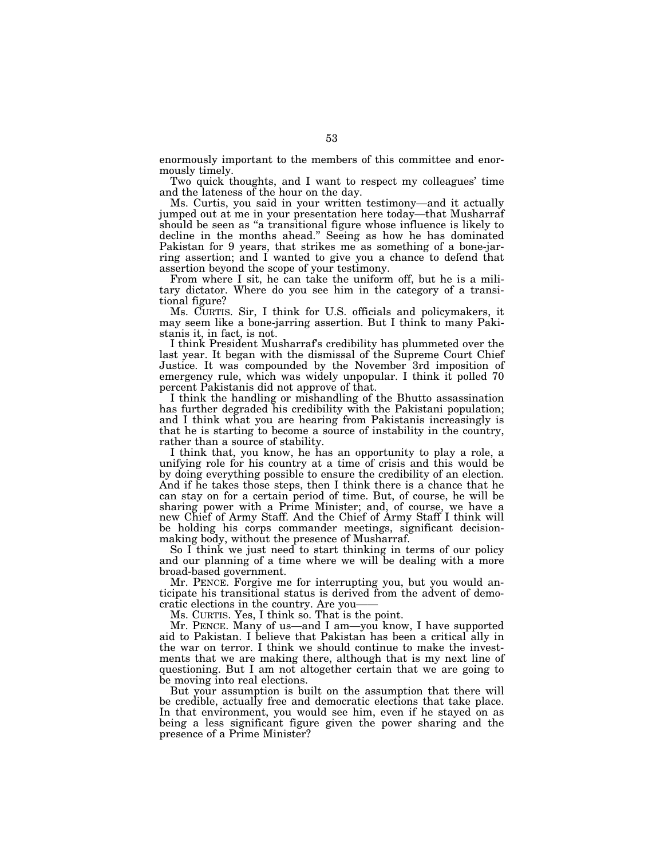enormously important to the members of this committee and enormously timely.

Two quick thoughts, and I want to respect my colleagues' time and the lateness of the hour on the day.

Ms. Curtis, you said in your written testimony—and it actually jumped out at me in your presentation here today—that Musharraf should be seen as "a transitional figure whose influence is likely to decline in the months ahead.'' Seeing as how he has dominated Pakistan for 9 years, that strikes me as something of a bone-jarring assertion; and I wanted to give you a chance to defend that assertion beyond the scope of your testimony.

From where I sit, he can take the uniform off, but he is a military dictator. Where do you see him in the category of a transitional figure?

Ms. CURTIS. Sir, I think for U.S. officials and policymakers, it may seem like a bone-jarring assertion. But I think to many Pakistanis it, in fact, is not.

I think President Musharraf's credibility has plummeted over the last year. It began with the dismissal of the Supreme Court Chief Justice. It was compounded by the November 3rd imposition of emergency rule, which was widely unpopular. I think it polled 70 percent Pakistanis did not approve of that.

I think the handling or mishandling of the Bhutto assassination has further degraded his credibility with the Pakistani population; and I think what you are hearing from Pakistanis increasingly is that he is starting to become a source of instability in the country, rather than a source of stability.

I think that, you know, he has an opportunity to play a role, a unifying role for his country at a time of crisis and this would be by doing everything possible to ensure the credibility of an election. And if he takes those steps, then I think there is a chance that he can stay on for a certain period of time. But, of course, he will be sharing power with a Prime Minister; and, of course, we have a new Chief of Army Staff. And the Chief of Army Staff I think will be holding his corps commander meetings, significant decisionmaking body, without the presence of Musharraf.

So I think we just need to start thinking in terms of our policy and our planning of a time where we will be dealing with a more broad-based government.

Mr. PENCE. Forgive me for interrupting you, but you would anticipate his transitional status is derived from the advent of democratic elections in the country. Are you——

Ms. CURTIS. Yes, I think so. That is the point.

Mr. PENCE. Many of us—and I am—you know, I have supported aid to Pakistan. I believe that Pakistan has been a critical ally in the war on terror. I think we should continue to make the investments that we are making there, although that is my next line of questioning. But I am not altogether certain that we are going to be moving into real elections.

But your assumption is built on the assumption that there will be credible, actually free and democratic elections that take place. In that environment, you would see him, even if he stayed on as being a less significant figure given the power sharing and the presence of a Prime Minister?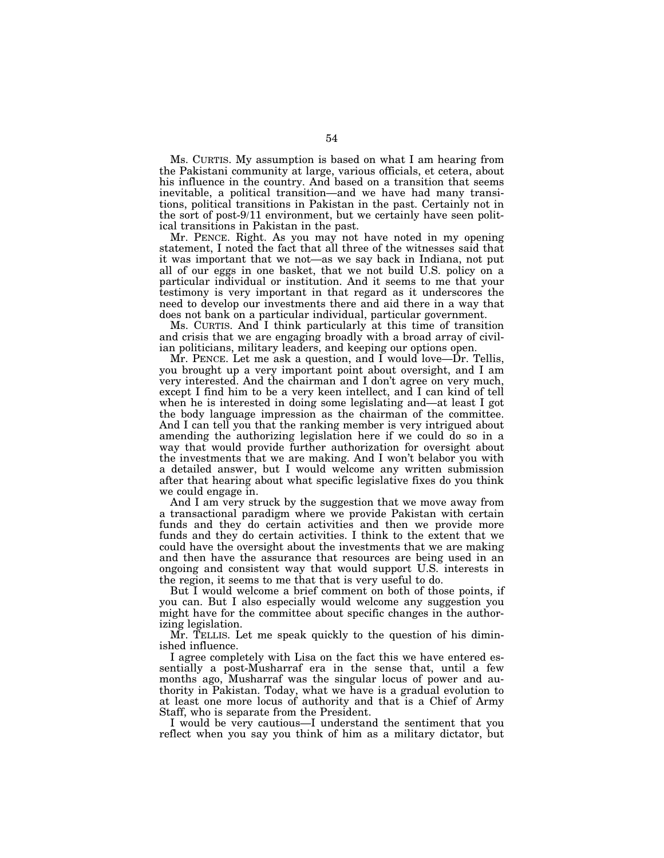Ms. CURTIS. My assumption is based on what I am hearing from the Pakistani community at large, various officials, et cetera, about his influence in the country. And based on a transition that seems inevitable, a political transition—and we have had many transitions, political transitions in Pakistan in the past. Certainly not in the sort of post-9/11 environment, but we certainly have seen political transitions in Pakistan in the past.

Mr. PENCE. Right. As you may not have noted in my opening statement, I noted the fact that all three of the witnesses said that it was important that we not—as we say back in Indiana, not put all of our eggs in one basket, that we not build U.S. policy on a particular individual or institution. And it seems to me that your testimony is very important in that regard as it underscores the need to develop our investments there and aid there in a way that does not bank on a particular individual, particular government.

Ms. CURTIS. And I think particularly at this time of transition and crisis that we are engaging broadly with a broad array of civilian politicians, military leaders, and keeping our options open.

Mr. PENCE. Let me ask a question, and  $\overline{I}$  would love—Dr. Tellis, you brought up a very important point about oversight, and I am very interested. And the chairman and I don't agree on very much, except I find him to be a very keen intellect, and I can kind of tell when he is interested in doing some legislating and—at least I got the body language impression as the chairman of the committee. And I can tell you that the ranking member is very intrigued about amending the authorizing legislation here if we could do so in a way that would provide further authorization for oversight about the investments that we are making. And I won't belabor you with a detailed answer, but I would welcome any written submission after that hearing about what specific legislative fixes do you think we could engage in.

And I am very struck by the suggestion that we move away from a transactional paradigm where we provide Pakistan with certain funds and they do certain activities and then we provide more funds and they do certain activities. I think to the extent that we could have the oversight about the investments that we are making and then have the assurance that resources are being used in an ongoing and consistent way that would support U.S. interests in the region, it seems to me that that is very useful to do.

But I would welcome a brief comment on both of those points, if you can. But I also especially would welcome any suggestion you might have for the committee about specific changes in the authorizing legislation.

Mr. TELLIS. Let me speak quickly to the question of his diminished influence.

I agree completely with Lisa on the fact this we have entered essentially a post-Musharraf era in the sense that, until a few months ago, Musharraf was the singular locus of power and authority in Pakistan. Today, what we have is a gradual evolution to at least one more locus of authority and that is a Chief of Army Staff, who is separate from the President.

I would be very cautious—I understand the sentiment that you reflect when you say you think of him as a military dictator, but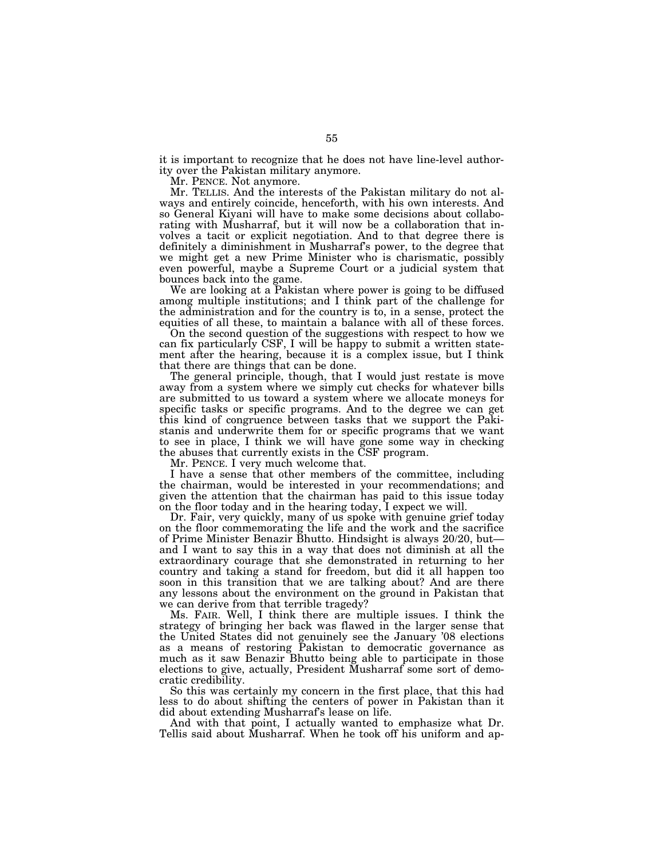it is important to recognize that he does not have line-level authority over the Pakistan military anymore.

Mr. PENCE. Not anymore.

Mr. TELLIS. And the interests of the Pakistan military do not always and entirely coincide, henceforth, with his own interests. And so General Kiyani will have to make some decisions about collaborating with Musharraf, but it will now be a collaboration that involves a tacit or explicit negotiation. And to that degree there is definitely a diminishment in Musharraf's power, to the degree that we might get a new Prime Minister who is charismatic, possibly even powerful, maybe a Supreme Court or a judicial system that bounces back into the game.

We are looking at a Pakistan where power is going to be diffused among multiple institutions; and I think part of the challenge for the administration and for the country is to, in a sense, protect the equities of all these, to maintain a balance with all of these forces.

On the second question of the suggestions with respect to how we can fix particularly CSF, I will be happy to submit a written statement after the hearing, because it is a complex issue, but I think that there are things that can be done.

The general principle, though, that I would just restate is move away from a system where we simply cut checks for whatever bills are submitted to us toward a system where we allocate moneys for specific tasks or specific programs. And to the degree we can get this kind of congruence between tasks that we support the Pakistanis and underwrite them for or specific programs that we want to see in place, I think we will have gone some way in checking the abuses that currently exists in the CSF program.

Mr. PENCE. I very much welcome that.

I have a sense that other members of the committee, including the chairman, would be interested in your recommendations; and given the attention that the chairman has paid to this issue today on the floor today and in the hearing today, I expect we will.

Dr. Fair, very quickly, many of us spoke with genuine grief today on the floor commemorating the life and the work and the sacrifice of Prime Minister Benazir Bhutto. Hindsight is always 20/20, but and I want to say this in a way that does not diminish at all the extraordinary courage that she demonstrated in returning to her country and taking a stand for freedom, but did it all happen too soon in this transition that we are talking about? And are there any lessons about the environment on the ground in Pakistan that we can derive from that terrible tragedy?

Ms. FAIR. Well, I think there are multiple issues. I think the strategy of bringing her back was flawed in the larger sense that the United States did not genuinely see the January '08 elections as a means of restoring Pakistan to democratic governance as much as it saw Benazir Bhutto being able to participate in those elections to give, actually, President Musharraf some sort of democratic credibility.

So this was certainly my concern in the first place, that this had less to do about shifting the centers of power in Pakistan than it did about extending Musharraf's lease on life.

And with that point, I actually wanted to emphasize what Dr. Tellis said about Musharraf. When he took off his uniform and ap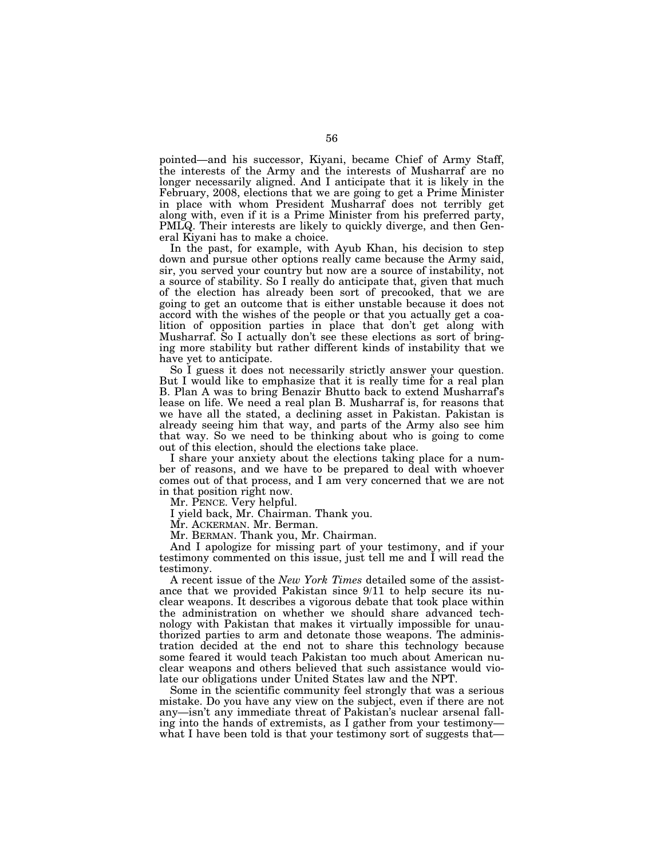pointed—and his successor, Kiyani, became Chief of Army Staff, the interests of the Army and the interests of Musharraf are no longer necessarily aligned. And I anticipate that it is likely in the February, 2008, elections that we are going to get a Prime Minister in place with whom President Musharraf does not terribly get along with, even if it is a Prime Minister from his preferred party, PMLQ. Their interests are likely to quickly diverge, and then General Kiyani has to make a choice.

In the past, for example, with Ayub Khan, his decision to step down and pursue other options really came because the Army said, sir, you served your country but now are a source of instability, not a source of stability. So I really do anticipate that, given that much of the election has already been sort of precooked, that we are going to get an outcome that is either unstable because it does not accord with the wishes of the people or that you actually get a coalition of opposition parties in place that don't get along with Musharraf. So I actually don't see these elections as sort of bringing more stability but rather different kinds of instability that we have yet to anticipate.

So I guess it does not necessarily strictly answer your question. But I would like to emphasize that it is really time for a real plan B. Plan A was to bring Benazir Bhutto back to extend Musharraf's lease on life. We need a real plan B. Musharraf is, for reasons that we have all the stated, a declining asset in Pakistan. Pakistan is already seeing him that way, and parts of the Army also see him that way. So we need to be thinking about who is going to come out of this election, should the elections take place.

I share your anxiety about the elections taking place for a number of reasons, and we have to be prepared to deal with whoever comes out of that process, and I am very concerned that we are not in that position right now.

Mr. PENCE. Very helpful.

I yield back, Mr. Chairman. Thank you.

Mr. ACKERMAN. Mr. Berman.

Mr. BERMAN. Thank you, Mr. Chairman.

And I apologize for missing part of your testimony, and if your testimony commented on this issue, just tell me and I will read the testimony.

A recent issue of the *New York Times* detailed some of the assistance that we provided Pakistan since 9/11 to help secure its nuclear weapons. It describes a vigorous debate that took place within the administration on whether we should share advanced technology with Pakistan that makes it virtually impossible for unauthorized parties to arm and detonate those weapons. The administration decided at the end not to share this technology because some feared it would teach Pakistan too much about American nuclear weapons and others believed that such assistance would violate our obligations under United States law and the NPT.

Some in the scientific community feel strongly that was a serious mistake. Do you have any view on the subject, even if there are not any—isn't any immediate threat of Pakistan's nuclear arsenal falling into the hands of extremists, as I gather from your testimony what I have been told is that your testimony sort of suggests that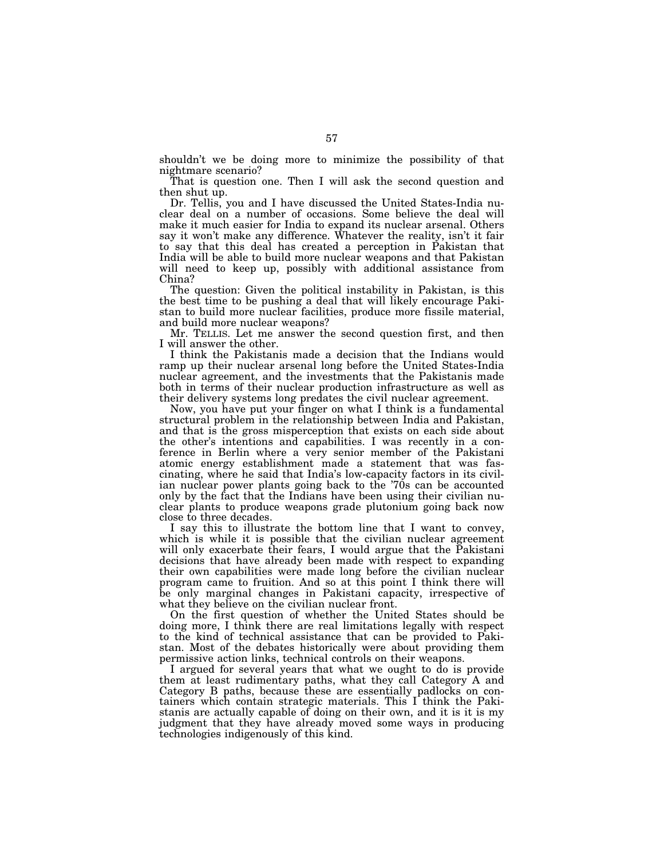shouldn't we be doing more to minimize the possibility of that nightmare scenario?

That is question one. Then I will ask the second question and then shut up.

Dr. Tellis, you and I have discussed the United States-India nuclear deal on a number of occasions. Some believe the deal will make it much easier for India to expand its nuclear arsenal. Others say it won't make any difference. Whatever the reality, isn't it fair to say that this deal has created a perception in Pakistan that India will be able to build more nuclear weapons and that Pakistan will need to keep up, possibly with additional assistance from China?

The question: Given the political instability in Pakistan, is this the best time to be pushing a deal that will likely encourage Pakistan to build more nuclear facilities, produce more fissile material, and build more nuclear weapons?

Mr. TELLIS. Let me answer the second question first, and then I will answer the other.

I think the Pakistanis made a decision that the Indians would ramp up their nuclear arsenal long before the United States-India nuclear agreement, and the investments that the Pakistanis made both in terms of their nuclear production infrastructure as well as their delivery systems long predates the civil nuclear agreement.

Now, you have put your finger on what I think is a fundamental structural problem in the relationship between India and Pakistan, and that is the gross misperception that exists on each side about the other's intentions and capabilities. I was recently in a conference in Berlin where a very senior member of the Pakistani atomic energy establishment made a statement that was fascinating, where he said that India's low-capacity factors in its civilian nuclear power plants going back to the '70s can be accounted only by the fact that the Indians have been using their civilian nuclear plants to produce weapons grade plutonium going back now close to three decades.

I say this to illustrate the bottom line that I want to convey, which is while it is possible that the civilian nuclear agreement will only exacerbate their fears, I would argue that the Pakistani decisions that have already been made with respect to expanding their own capabilities were made long before the civilian nuclear program came to fruition. And so at this point I think there will be only marginal changes in Pakistani capacity, irrespective of what they believe on the civilian nuclear front.

On the first question of whether the United States should be doing more, I think there are real limitations legally with respect to the kind of technical assistance that can be provided to Pakistan. Most of the debates historically were about providing them permissive action links, technical controls on their weapons.

I argued for several years that what we ought to do is provide them at least rudimentary paths, what they call Category A and Category B paths, because these are essentially padlocks on containers which contain strategic materials. This I think the Pakistanis are actually capable of doing on their own, and it is it is my judgment that they have already moved some ways in producing technologies indigenously of this kind.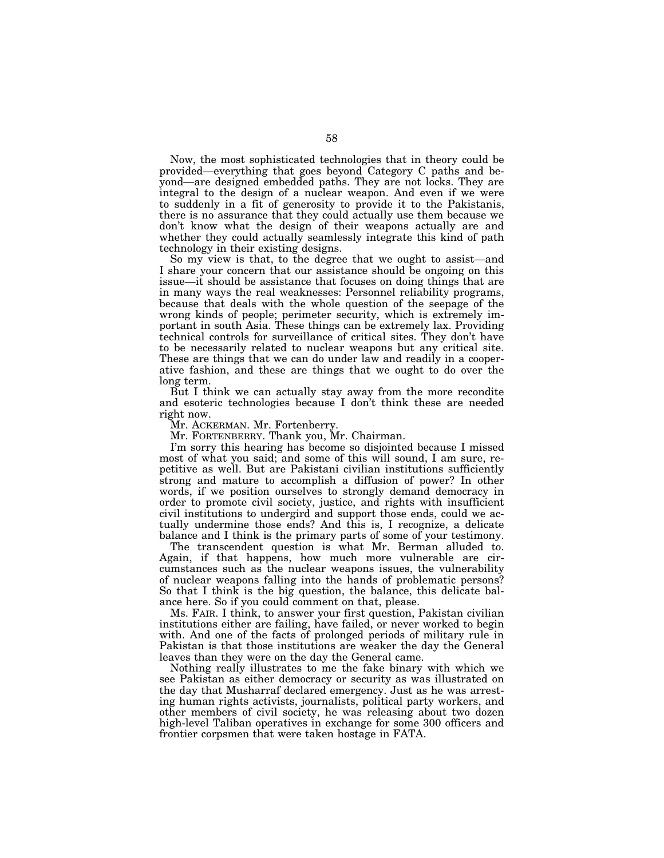Now, the most sophisticated technologies that in theory could be provided—everything that goes beyond Category C paths and beyond—are designed embedded paths. They are not locks. They are integral to the design of a nuclear weapon. And even if we were to suddenly in a fit of generosity to provide it to the Pakistanis, there is no assurance that they could actually use them because we don't know what the design of their weapons actually are and whether they could actually seamlessly integrate this kind of path technology in their existing designs.

So my view is that, to the degree that we ought to assist—and I share your concern that our assistance should be ongoing on this issue—it should be assistance that focuses on doing things that are in many ways the real weaknesses: Personnel reliability programs, because that deals with the whole question of the seepage of the wrong kinds of people; perimeter security, which is extremely important in south Asia. These things can be extremely lax. Providing technical controls for surveillance of critical sites. They don't have to be necessarily related to nuclear weapons but any critical site. These are things that we can do under law and readily in a cooperative fashion, and these are things that we ought to do over the long term.

But I think we can actually stay away from the more recondite and esoteric technologies because I don't think these are needed right now.

Mr. ACKERMAN. Mr. Fortenberry.

Mr. FORTENBERRY. Thank you, Mr. Chairman.

I'm sorry this hearing has become so disjointed because I missed most of what you said; and some of this will sound, I am sure, repetitive as well. But are Pakistani civilian institutions sufficiently strong and mature to accomplish a diffusion of power? In other words, if we position ourselves to strongly demand democracy in order to promote civil society, justice, and rights with insufficient civil institutions to undergird and support those ends, could we actually undermine those ends? And this is, I recognize, a delicate balance and I think is the primary parts of some of your testimony.

The transcendent question is what Mr. Berman alluded to. Again, if that happens, how much more vulnerable are circumstances such as the nuclear weapons issues, the vulnerability of nuclear weapons falling into the hands of problematic persons? So that I think is the big question, the balance, this delicate balance here. So if you could comment on that, please.

Ms. FAIR. I think, to answer your first question, Pakistan civilian institutions either are failing, have failed, or never worked to begin with. And one of the facts of prolonged periods of military rule in Pakistan is that those institutions are weaker the day the General leaves than they were on the day the General came.

Nothing really illustrates to me the fake binary with which we see Pakistan as either democracy or security as was illustrated on the day that Musharraf declared emergency. Just as he was arresting human rights activists, journalists, political party workers, and other members of civil society, he was releasing about two dozen high-level Taliban operatives in exchange for some 300 officers and frontier corpsmen that were taken hostage in FATA.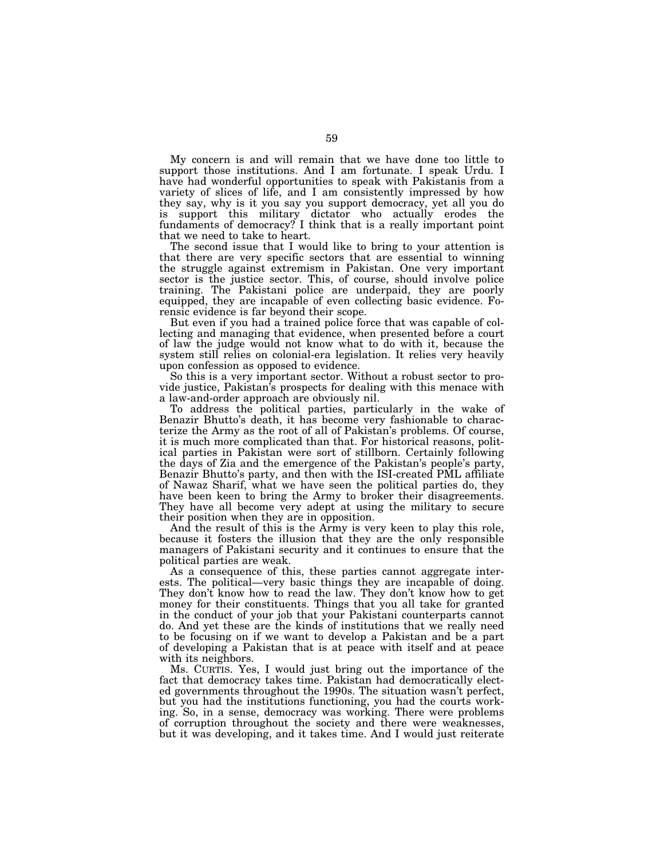My concern is and will remain that we have done too little to support those institutions. And I am fortunate. I speak Urdu. I have had wonderful opportunities to speak with Pakistanis from a variety of slices of life, and I am consistently impressed by how they say, why is it you say you support democracy, yet all you do is support this military dictator who actually erodes the fundaments of democracy? I think that is a really important point that we need to take to heart.

The second issue that I would like to bring to your attention is that there are very specific sectors that are essential to winning the struggle against extremism in Pakistan. One very important sector is the justice sector. This, of course, should involve police training. The Pakistani police are underpaid, they are poorly equipped, they are incapable of even collecting basic evidence. Forensic evidence is far beyond their scope.

But even if you had a trained police force that was capable of collecting and managing that evidence, when presented before a court of law the judge would not know what to do with it, because the system still relies on colonial-era legislation. It relies very heavily upon confession as opposed to evidence.

So this is a very important sector. Without a robust sector to provide justice, Pakistan's prospects for dealing with this menace with a law-and-order approach are obviously nil.

To address the political parties, particularly in the wake of Benazir Bhutto's death, it has become very fashionable to characterize the Army as the root of all of Pakistan's problems. Of course, it is much more complicated than that. For historical reasons, political parties in Pakistan were sort of stillborn. Certainly following the days of Zia and the emergence of the Pakistan's people's party, Benazir Bhutto's party, and then with the ISI-created PML affiliate of Nawaz Sharif, what we have seen the political parties do, they have been keen to bring the Army to broker their disagreements. They have all become very adept at using the military to secure their position when they are in opposition.

And the result of this is the Army is very keen to play this role, because it fosters the illusion that they are the only responsible managers of Pakistani security and it continues to ensure that the political parties are weak.

As a consequence of this, these parties cannot aggregate interests. The political—very basic things they are incapable of doing. They don't know how to read the law. They don't know how to get money for their constituents. Things that you all take for granted in the conduct of your job that your Pakistani counterparts cannot do. And yet these are the kinds of institutions that we really need to be focusing on if we want to develop a Pakistan and be a part of developing a Pakistan that is at peace with itself and at peace with its neighbors.

Ms. CURTIS. Yes, I would just bring out the importance of the fact that democracy takes time. Pakistan had democratically elected governments throughout the 1990s. The situation wasn't perfect, but you had the institutions functioning, you had the courts working. So, in a sense, democracy was working. There were problems of corruption throughout the society and there were weaknesses, but it was developing, and it takes time. And I would just reiterate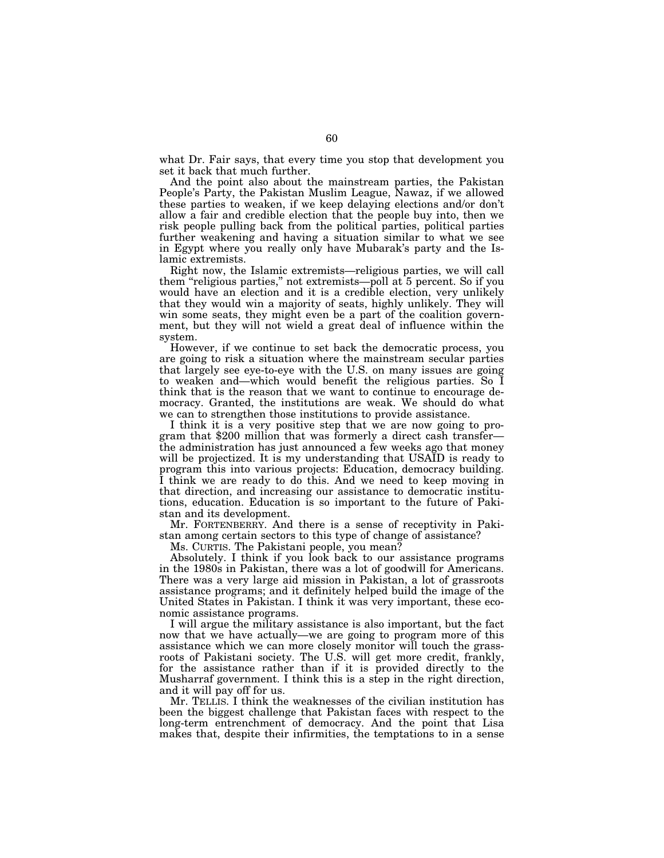what Dr. Fair says, that every time you stop that development you set it back that much further.

And the point also about the mainstream parties, the Pakistan People's Party, the Pakistan Muslim League, Nawaz, if we allowed these parties to weaken, if we keep delaying elections and/or don't allow a fair and credible election that the people buy into, then we risk people pulling back from the political parties, political parties further weakening and having a situation similar to what we see in Egypt where you really only have Mubarak's party and the Islamic extremists.

Right now, the Islamic extremists—religious parties, we will call them ''religious parties,'' not extremists—poll at 5 percent. So if you would have an election and it is a credible election, very unlikely that they would win a majority of seats, highly unlikely. They will win some seats, they might even be a part of the coalition government, but they will not wield a great deal of influence within the system.

However, if we continue to set back the democratic process, you are going to risk a situation where the mainstream secular parties that largely see eye-to-eye with the U.S. on many issues are going to weaken and—which would benefit the religious parties. So I think that is the reason that we want to continue to encourage democracy. Granted, the institutions are weak. We should do what we can to strengthen those institutions to provide assistance.

I think it is a very positive step that we are now going to program that \$200 million that was formerly a direct cash transfer the administration has just announced a few weeks ago that money will be projectized. It is my understanding that USAID is ready to program this into various projects: Education, democracy building. I think we are ready to do this. And we need to keep moving in that direction, and increasing our assistance to democratic institutions, education. Education is so important to the future of Pakistan and its development.

Mr. FORTENBERRY. And there is a sense of receptivity in Pakistan among certain sectors to this type of change of assistance?

Ms. CURTIS. The Pakistani people, you mean?

Absolutely. I think if you look back to our assistance programs in the 1980s in Pakistan, there was a lot of goodwill for Americans. There was a very large aid mission in Pakistan, a lot of grassroots assistance programs; and it definitely helped build the image of the United States in Pakistan. I think it was very important, these economic assistance programs.

I will argue the military assistance is also important, but the fact now that we have actually—we are going to program more of this assistance which we can more closely monitor will touch the grassroots of Pakistani society. The U.S. will get more credit, frankly, for the assistance rather than if it is provided directly to the Musharraf government. I think this is a step in the right direction, and it will pay off for us.

Mr. TELLIS. I think the weaknesses of the civilian institution has been the biggest challenge that Pakistan faces with respect to the long-term entrenchment of democracy. And the point that Lisa makes that, despite their infirmities, the temptations to in a sense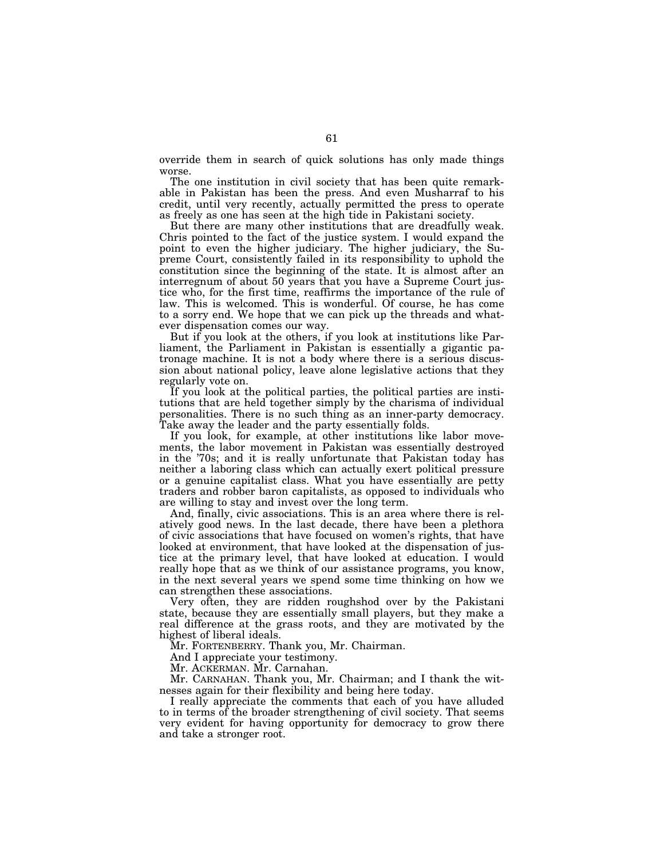override them in search of quick solutions has only made things worse.

The one institution in civil society that has been quite remarkable in Pakistan has been the press. And even Musharraf to his credit, until very recently, actually permitted the press to operate as freely as one has seen at the high tide in Pakistani society.

But there are many other institutions that are dreadfully weak. Chris pointed to the fact of the justice system. I would expand the point to even the higher judiciary. The higher judiciary, the Supreme Court, consistently failed in its responsibility to uphold the constitution since the beginning of the state. It is almost after an interregnum of about 50 years that you have a Supreme Court justice who, for the first time, reaffirms the importance of the rule of law. This is welcomed. This is wonderful. Of course, he has come to a sorry end. We hope that we can pick up the threads and whatever dispensation comes our way.

But if you look at the others, if you look at institutions like Parliament, the Parliament in Pakistan is essentially a gigantic patronage machine. It is not a body where there is a serious discussion about national policy, leave alone legislative actions that they regularly vote on.

If you look at the political parties, the political parties are institutions that are held together simply by the charisma of individual personalities. There is no such thing as an inner-party democracy. Take away the leader and the party essentially folds.

If you look, for example, at other institutions like labor movements, the labor movement in Pakistan was essentially destroyed in the '70s; and it is really unfortunate that Pakistan today has neither a laboring class which can actually exert political pressure or a genuine capitalist class. What you have essentially are petty traders and robber baron capitalists, as opposed to individuals who are willing to stay and invest over the long term.

And, finally, civic associations. This is an area where there is relatively good news. In the last decade, there have been a plethora of civic associations that have focused on women's rights, that have looked at environment, that have looked at the dispensation of justice at the primary level, that have looked at education. I would really hope that as we think of our assistance programs, you know, in the next several years we spend some time thinking on how we can strengthen these associations.

Very often, they are ridden roughshod over by the Pakistani state, because they are essentially small players, but they make a real difference at the grass roots, and they are motivated by the highest of liberal ideals.

Mr. FORTENBERRY. Thank you, Mr. Chairman.

And I appreciate your testimony.

Mr. ACKERMAN. Mr. Carnahan.

Mr. CARNAHAN. Thank you, Mr. Chairman; and I thank the witnesses again for their flexibility and being here today.

I really appreciate the comments that each of you have alluded to in terms of the broader strengthening of civil society. That seems very evident for having opportunity for democracy to grow there and take a stronger root.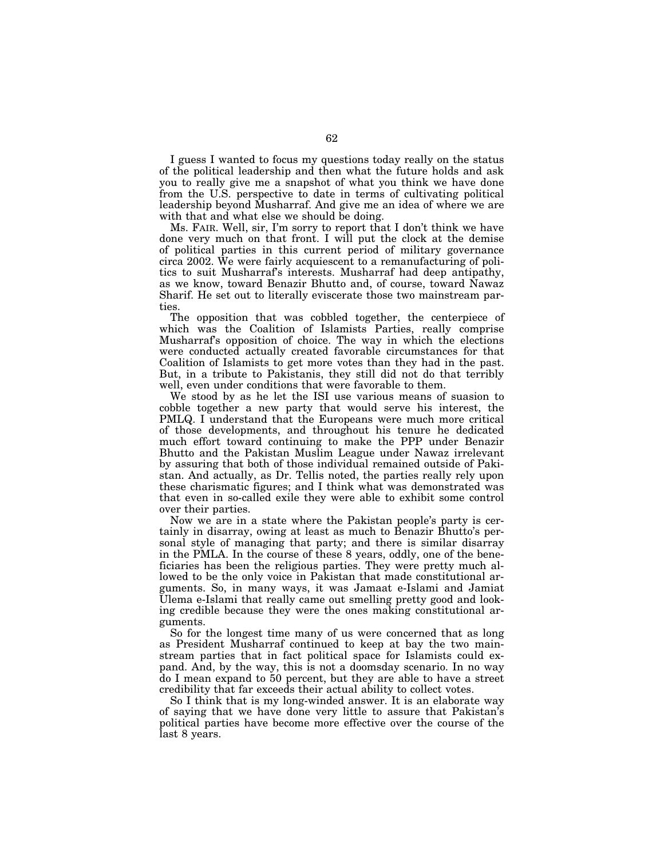I guess I wanted to focus my questions today really on the status of the political leadership and then what the future holds and ask you to really give me a snapshot of what you think we have done from the U.S. perspective to date in terms of cultivating political leadership beyond Musharraf. And give me an idea of where we are with that and what else we should be doing.

Ms. FAIR. Well, sir, I'm sorry to report that I don't think we have done very much on that front. I will put the clock at the demise of political parties in this current period of military governance circa 2002. We were fairly acquiescent to a remanufacturing of politics to suit Musharraf's interests. Musharraf had deep antipathy, as we know, toward Benazir Bhutto and, of course, toward Nawaz Sharif. He set out to literally eviscerate those two mainstream parties.

The opposition that was cobbled together, the centerpiece of which was the Coalition of Islamists Parties, really comprise Musharraf's opposition of choice. The way in which the elections were conducted actually created favorable circumstances for that Coalition of Islamists to get more votes than they had in the past. But, in a tribute to Pakistanis, they still did not do that terribly well, even under conditions that were favorable to them.

We stood by as he let the ISI use various means of suasion to cobble together a new party that would serve his interest, the PMLQ. I understand that the Europeans were much more critical of those developments, and throughout his tenure he dedicated much effort toward continuing to make the PPP under Benazir Bhutto and the Pakistan Muslim League under Nawaz irrelevant by assuring that both of those individual remained outside of Pakistan. And actually, as Dr. Tellis noted, the parties really rely upon these charismatic figures; and I think what was demonstrated was that even in so-called exile they were able to exhibit some control over their parties.

Now we are in a state where the Pakistan people's party is certainly in disarray, owing at least as much to Benazir Bhutto's personal style of managing that party; and there is similar disarray in the PMLA. In the course of these 8 years, oddly, one of the beneficiaries has been the religious parties. They were pretty much allowed to be the only voice in Pakistan that made constitutional arguments. So, in many ways, it was Jamaat e-Islami and Jamiat Ulema e-Islami that really came out smelling pretty good and looking credible because they were the ones making constitutional arguments.

So for the longest time many of us were concerned that as long as President Musharraf continued to keep at bay the two mainstream parties that in fact political space for Islamists could expand. And, by the way, this is not a doomsday scenario. In no way do I mean expand to 50 percent, but they are able to have a street credibility that far exceeds their actual ability to collect votes.

So I think that is my long-winded answer. It is an elaborate way of saying that we have done very little to assure that Pakistan's political parties have become more effective over the course of the last 8 years.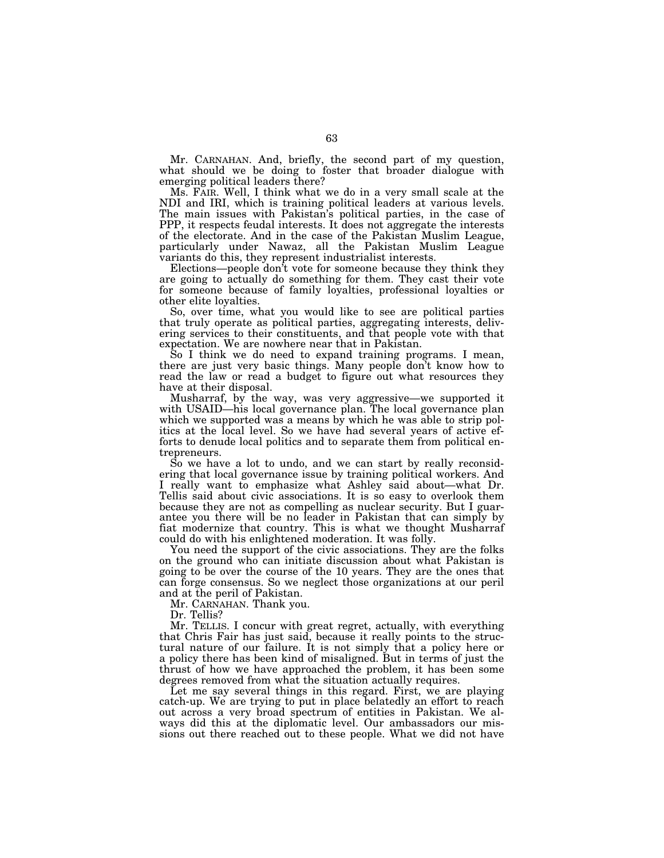Mr. CARNAHAN. And, briefly, the second part of my question, what should we be doing to foster that broader dialogue with emerging political leaders there?

Ms. FAIR. Well, I think what we do in a very small scale at the NDI and IRI, which is training political leaders at various levels. The main issues with Pakistan's political parties, in the case of PPP, it respects feudal interests. It does not aggregate the interests of the electorate. And in the case of the Pakistan Muslim League, particularly under Nawaz, all the Pakistan Muslim League variants do this, they represent industrialist interests.

Elections—people don't vote for someone because they think they are going to actually do something for them. They cast their vote for someone because of family loyalties, professional loyalties or other elite loyalties.

So, over time, what you would like to see are political parties that truly operate as political parties, aggregating interests, delivering services to their constituents, and that people vote with that expectation. We are nowhere near that in Pakistan.

So I think we do need to expand training programs. I mean, there are just very basic things. Many people don't know how to read the law or read a budget to figure out what resources they have at their disposal.

Musharraf, by the way, was very aggressive—we supported it with USAID—his local governance plan. The local governance plan which we supported was a means by which he was able to strip politics at the local level. So we have had several years of active efforts to denude local politics and to separate them from political entrepreneurs.

So we have a lot to undo, and we can start by really reconsidering that local governance issue by training political workers. And I really want to emphasize what Ashley said about—what Dr. Tellis said about civic associations. It is so easy to overlook them because they are not as compelling as nuclear security. But I guarantee you there will be no leader in Pakistan that can simply by fiat modernize that country. This is what we thought Musharraf could do with his enlightened moderation. It was folly.

You need the support of the civic associations. They are the folks on the ground who can initiate discussion about what Pakistan is going to be over the course of the 10 years. They are the ones that can forge consensus. So we neglect those organizations at our peril and at the peril of Pakistan.

Mr. CARNAHAN. Thank you.

Dr. Tellis?

Mr. TELLIS. I concur with great regret, actually, with everything that Chris Fair has just said, because it really points to the structural nature of our failure. It is not simply that a policy here or a policy there has been kind of misaligned. But in terms of just the thrust of how we have approached the problem, it has been some degrees removed from what the situation actually requires.

Let me say several things in this regard. First, we are playing catch-up. We are trying to put in place belatedly an effort to reach out across a very broad spectrum of entities in Pakistan. We always did this at the diplomatic level. Our ambassadors our missions out there reached out to these people. What we did not have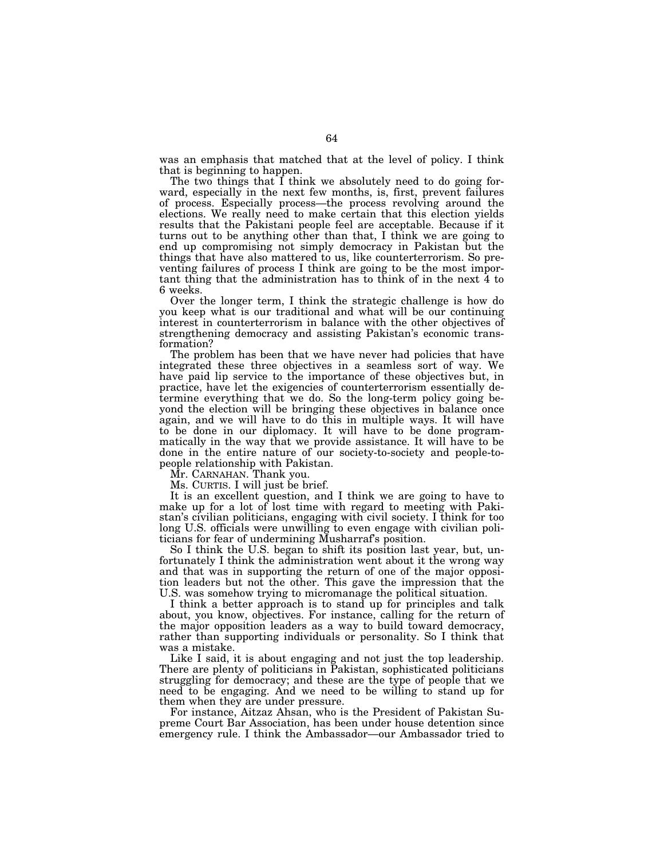was an emphasis that matched that at the level of policy. I think that is beginning to happen.

The two things that I think we absolutely need to do going forward, especially in the next few months, is, first, prevent failures of process. Especially process—the process revolving around the elections. We really need to make certain that this election yields results that the Pakistani people feel are acceptable. Because if it turns out to be anything other than that, I think we are going to end up compromising not simply democracy in Pakistan but the things that have also mattered to us, like counterterrorism. So preventing failures of process I think are going to be the most important thing that the administration has to think of in the next  $\overline{4}$  to 6 weeks.

Over the longer term, I think the strategic challenge is how do you keep what is our traditional and what will be our continuing interest in counterterrorism in balance with the other objectives of strengthening democracy and assisting Pakistan's economic transformation?

The problem has been that we have never had policies that have integrated these three objectives in a seamless sort of way. We have paid lip service to the importance of these objectives but, in practice, have let the exigencies of counterterrorism essentially determine everything that we do. So the long-term policy going beyond the election will be bringing these objectives in balance once again, and we will have to do this in multiple ways. It will have to be done in our diplomacy. It will have to be done programmatically in the way that we provide assistance. It will have to be done in the entire nature of our society-to-society and people-topeople relationship with Pakistan.

Mr. CARNAHAN. Thank you.

Ms. CURTIS. I will just be brief.

It is an excellent question, and I think we are going to have to make up for a lot of lost time with regard to meeting with Pakistan's civilian politicians, engaging with civil society. I think for too long U.S. officials were unwilling to even engage with civilian politicians for fear of undermining Musharraf's position.

So I think the U.S. began to shift its position last year, but, unfortunately I think the administration went about it the wrong way and that was in supporting the return of one of the major opposition leaders but not the other. This gave the impression that the U.S. was somehow trying to micromanage the political situation.

I think a better approach is to stand up for principles and talk about, you know, objectives. For instance, calling for the return of the major opposition leaders as a way to build toward democracy, rather than supporting individuals or personality. So I think that was a mistake.

Like I said, it is about engaging and not just the top leadership. There are plenty of politicians in Pakistan, sophisticated politicians struggling for democracy; and these are the type of people that we need to be engaging. And we need to be willing to stand up for them when they are under pressure.

For instance, Aitzaz Ahsan, who is the President of Pakistan Supreme Court Bar Association, has been under house detention since emergency rule. I think the Ambassador—our Ambassador tried to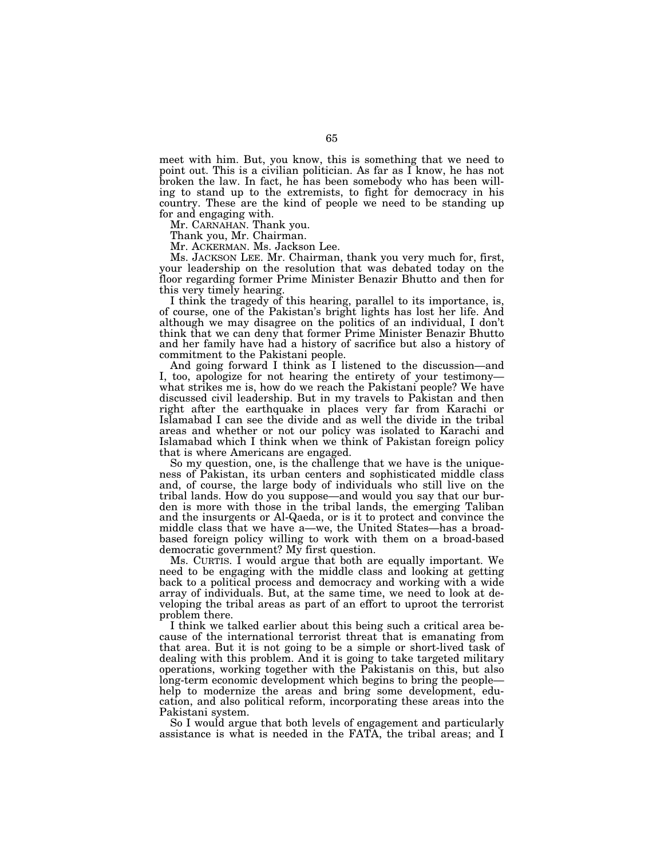meet with him. But, you know, this is something that we need to point out. This is a civilian politician. As far as I know, he has not broken the law. In fact, he has been somebody who has been willing to stand up to the extremists, to fight for democracy in his country. These are the kind of people we need to be standing up for and engaging with.

Mr. CARNAHAN. Thank you.

Thank you, Mr. Chairman.

Mr. ACKERMAN. Ms. Jackson Lee.

Ms. JACKSON LEE. Mr. Chairman, thank you very much for, first, your leadership on the resolution that was debated today on the floor regarding former Prime Minister Benazir Bhutto and then for this very timely hearing.

I think the tragedy of this hearing, parallel to its importance, is, of course, one of the Pakistan's bright lights has lost her life. And although we may disagree on the politics of an individual, I don't think that we can deny that former Prime Minister Benazir Bhutto and her family have had a history of sacrifice but also a history of commitment to the Pakistani people.

And going forward I think as I listened to the discussion—and I, too, apologize for not hearing the entirety of your testimony what strikes me is, how do we reach the Pakistani people? We have discussed civil leadership. But in my travels to Pakistan and then right after the earthquake in places very far from Karachi or Islamabad I can see the divide and as well the divide in the tribal areas and whether or not our policy was isolated to Karachi and Islamabad which I think when we think of Pakistan foreign policy that is where Americans are engaged.

So my question, one, is the challenge that we have is the uniqueness of Pakistan, its urban centers and sophisticated middle class and, of course, the large body of individuals who still live on the tribal lands. How do you suppose—and would you say that our burden is more with those in the tribal lands, the emerging Taliban and the insurgents or Al-Qaeda, or is it to protect and convince the middle class that we have a—we, the United States—has a broadbased foreign policy willing to work with them on a broad-based democratic government? My first question.

Ms. CURTIS. I would argue that both are equally important. We need to be engaging with the middle class and looking at getting back to a political process and democracy and working with a wide array of individuals. But, at the same time, we need to look at developing the tribal areas as part of an effort to uproot the terrorist problem there.

I think we talked earlier about this being such a critical area because of the international terrorist threat that is emanating from that area. But it is not going to be a simple or short-lived task of dealing with this problem. And it is going to take targeted military operations, working together with the Pakistanis on this, but also long-term economic development which begins to bring the people help to modernize the areas and bring some development, education, and also political reform, incorporating these areas into the Pakistani system.

So I would argue that both levels of engagement and particularly assistance is what is needed in the FATA, the tribal areas; and I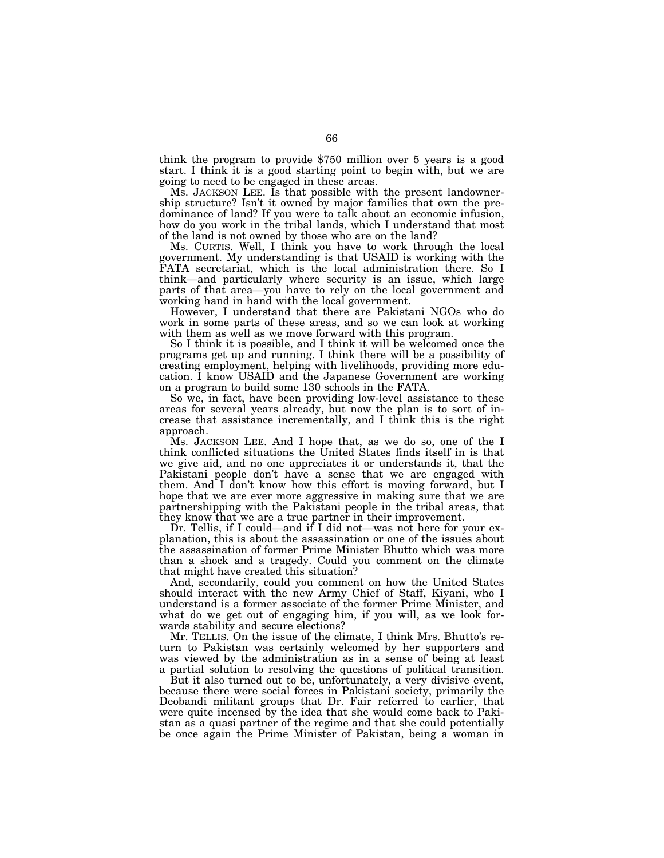think the program to provide \$750 million over 5 years is a good start. I think it is a good starting point to begin with, but we are going to need to be engaged in these areas.

Ms. JACKSON LEE. Is that possible with the present landownership structure? Isn't it owned by major families that own the predominance of land? If you were to talk about an economic infusion, how do you work in the tribal lands, which I understand that most of the land is not owned by those who are on the land?

Ms. CURTIS. Well, I think you have to work through the local government. My understanding is that USAID is working with the FATA secretariat, which is the local administration there. So I think—and particularly where security is an issue, which large parts of that area—you have to rely on the local government and working hand in hand with the local government.

However, I understand that there are Pakistani NGOs who do work in some parts of these areas, and so we can look at working with them as well as we move forward with this program.

So I think it is possible, and I think it will be welcomed once the programs get up and running. I think there will be a possibility of creating employment, helping with livelihoods, providing more education. I know USAID and the Japanese Government are working on a program to build some 130 schools in the FATA.

So we, in fact, have been providing low-level assistance to these areas for several years already, but now the plan is to sort of increase that assistance incrementally, and I think this is the right approach.

Ms. JACKSON LEE. And I hope that, as we do so, one of the I think conflicted situations the United States finds itself in is that we give aid, and no one appreciates it or understands it, that the Pakistani people don't have a sense that we are engaged with them. And I don't know how this effort is moving forward, but I hope that we are ever more aggressive in making sure that we are partnershipping with the Pakistani people in the tribal areas, that they know that we are a true partner in their improvement.

Dr. Tellis, if I could—and if I did not—was not here for your explanation, this is about the assassination or one of the issues about the assassination of former Prime Minister Bhutto which was more than a shock and a tragedy. Could you comment on the climate that might have created this situation?

And, secondarily, could you comment on how the United States should interact with the new Army Chief of Staff, Kiyani, who I understand is a former associate of the former Prime Minister, and what do we get out of engaging him, if you will, as we look forwards stability and secure elections?

Mr. TELLIS. On the issue of the climate, I think Mrs. Bhutto's return to Pakistan was certainly welcomed by her supporters and was viewed by the administration as in a sense of being at least a partial solution to resolving the questions of political transition.

But it also turned out to be, unfortunately, a very divisive event, because there were social forces in Pakistani society, primarily the Deobandi militant groups that Dr. Fair referred to earlier, that were quite incensed by the idea that she would come back to Pakistan as a quasi partner of the regime and that she could potentially be once again the Prime Minister of Pakistan, being a woman in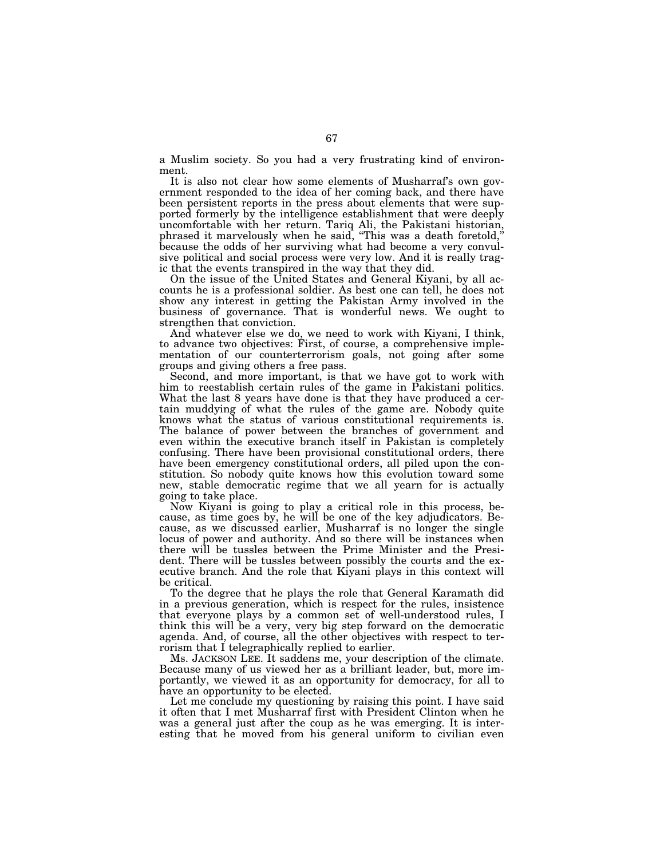a Muslim society. So you had a very frustrating kind of environment.

It is also not clear how some elements of Musharraf's own government responded to the idea of her coming back, and there have been persistent reports in the press about elements that were supported formerly by the intelligence establishment that were deeply uncomfortable with her return. Tariq Ali, the Pakistani historian, phrased it marvelously when he said, ''This was a death foretold,'' because the odds of her surviving what had become a very convulsive political and social process were very low. And it is really tragic that the events transpired in the way that they did.

On the issue of the United States and General Kiyani, by all accounts he is a professional soldier. As best one can tell, he does not show any interest in getting the Pakistan Army involved in the business of governance. That is wonderful news. We ought to strengthen that conviction.

And whatever else we do, we need to work with Kiyani, I think, to advance two objectives: First, of course, a comprehensive implementation of our counterterrorism goals, not going after some groups and giving others a free pass.

Second, and more important, is that we have got to work with him to reestablish certain rules of the game in Pakistani politics. What the last 8 years have done is that they have produced a certain muddying of what the rules of the game are. Nobody quite knows what the status of various constitutional requirements is. The balance of power between the branches of government and even within the executive branch itself in Pakistan is completely confusing. There have been provisional constitutional orders, there have been emergency constitutional orders, all piled upon the constitution. So nobody quite knows how this evolution toward some new, stable democratic regime that we all yearn for is actually going to take place.

Now Kiyani is going to play a critical role in this process, because, as time goes by, he will be one of the key adjudicators. Because, as we discussed earlier, Musharraf is no longer the single locus of power and authority. And so there will be instances when there will be tussles between the Prime Minister and the President. There will be tussles between possibly the courts and the executive branch. And the role that Kiyani plays in this context will be critical.

To the degree that he plays the role that General Karamath did in a previous generation, which is respect for the rules, insistence that everyone plays by a common set of well-understood rules, I think this will be a very, very big step forward on the democratic agenda. And, of course, all the other objectives with respect to terrorism that I telegraphically replied to earlier.

Ms. JACKSON LEE. It saddens me, your description of the climate. Because many of us viewed her as a brilliant leader, but, more importantly, we viewed it as an opportunity for democracy, for all to have an opportunity to be elected.

Let me conclude my questioning by raising this point. I have said it often that I met Musharraf first with President Clinton when he was a general just after the coup as he was emerging. It is interesting that he moved from his general uniform to civilian even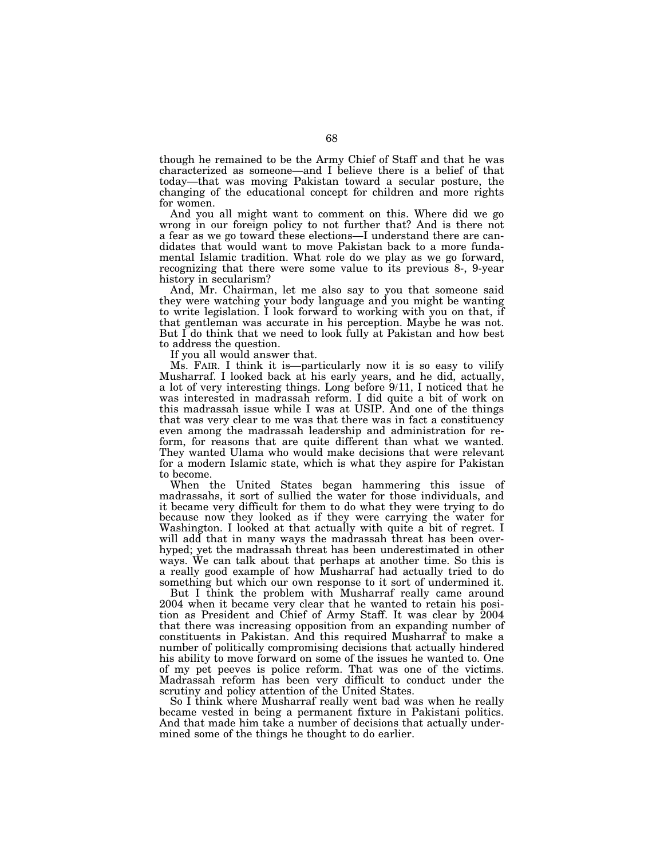though he remained to be the Army Chief of Staff and that he was characterized as someone—and I believe there is a belief of that today—that was moving Pakistan toward a secular posture, the changing of the educational concept for children and more rights for women.

And you all might want to comment on this. Where did we go wrong in our foreign policy to not further that? And is there not a fear as we go toward these elections—I understand there are candidates that would want to move Pakistan back to a more fundamental Islamic tradition. What role do we play as we go forward, recognizing that there were some value to its previous 8-, 9-year history in secularism?

And, Mr. Chairman, let me also say to you that someone said they were watching your body language and you might be wanting to write legislation. I look forward to working with you on that, if that gentleman was accurate in his perception. Maybe he was not. But I do think that we need to look fully at Pakistan and how best to address the question.

If you all would answer that.

Ms. FAIR. I think it is—particularly now it is so easy to vilify Musharraf. I looked back at his early years, and he did, actually, a lot of very interesting things. Long before 9/11, I noticed that he was interested in madrassah reform. I did quite a bit of work on this madrassah issue while I was at USIP. And one of the things that was very clear to me was that there was in fact a constituency even among the madrassah leadership and administration for reform, for reasons that are quite different than what we wanted. They wanted Ulama who would make decisions that were relevant for a modern Islamic state, which is what they aspire for Pakistan to become.

When the United States began hammering this issue of madrassahs, it sort of sullied the water for those individuals, and it became very difficult for them to do what they were trying to do because now they looked as if they were carrying the water for Washington. I looked at that actually with quite a bit of regret. I will add that in many ways the madrassah threat has been overhyped; yet the madrassah threat has been underestimated in other ways. We can talk about that perhaps at another time. So this is a really good example of how Musharraf had actually tried to do something but which our own response to it sort of undermined it.

But I think the problem with Musharraf really came around 2004 when it became very clear that he wanted to retain his position as President and Chief of Army Staff. It was clear by 2004 that there was increasing opposition from an expanding number of constituents in Pakistan. And this required Musharraf to make a number of politically compromising decisions that actually hindered his ability to move forward on some of the issues he wanted to. One of my pet peeves is police reform. That was one of the victims. Madrassah reform has been very difficult to conduct under the scrutiny and policy attention of the United States.

So I think where Musharraf really went bad was when he really became vested in being a permanent fixture in Pakistani politics. And that made him take a number of decisions that actually undermined some of the things he thought to do earlier.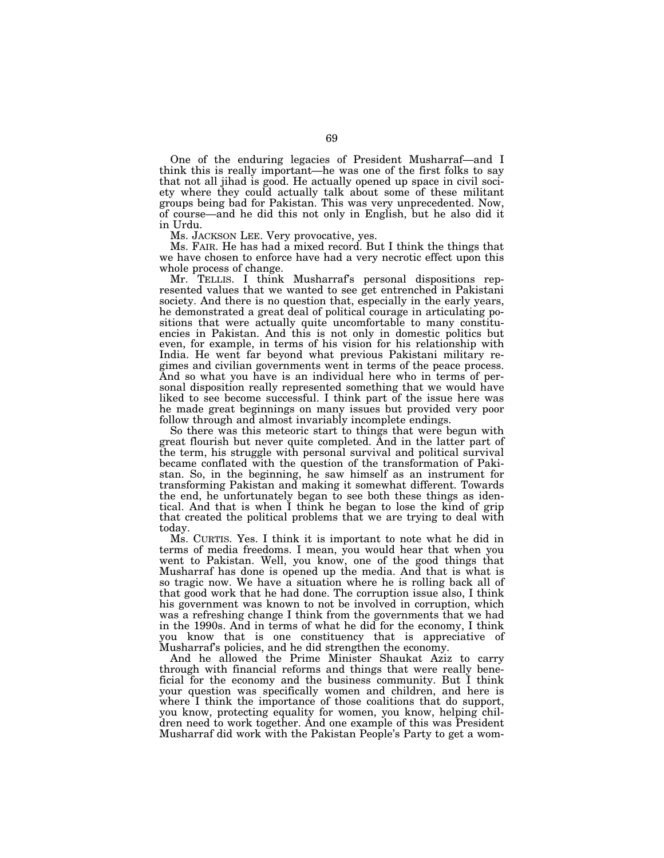One of the enduring legacies of President Musharraf—and I think this is really important—he was one of the first folks to say that not all jihad is good. He actually opened up space in civil society where they could actually talk about some of these militant groups being bad for Pakistan. This was very unprecedented. Now, of course—and he did this not only in English, but he also did it in Urdu.

Ms. JACKSON LEE. Very provocative, yes.

Ms. FAIR. He has had a mixed record. But I think the things that we have chosen to enforce have had a very necrotic effect upon this whole process of change.

Mr. TELLIS. I think Musharraf's personal dispositions represented values that we wanted to see get entrenched in Pakistani society. And there is no question that, especially in the early years, he demonstrated a great deal of political courage in articulating positions that were actually quite uncomfortable to many constituencies in Pakistan. And this is not only in domestic politics but even, for example, in terms of his vision for his relationship with India. He went far beyond what previous Pakistani military regimes and civilian governments went in terms of the peace process. And so what you have is an individual here who in terms of personal disposition really represented something that we would have liked to see become successful. I think part of the issue here was he made great beginnings on many issues but provided very poor follow through and almost invariably incomplete endings.

So there was this meteoric start to things that were begun with great flourish but never quite completed. And in the latter part of the term, his struggle with personal survival and political survival became conflated with the question of the transformation of Pakistan. So, in the beginning, he saw himself as an instrument for transforming Pakistan and making it somewhat different. Towards the end, he unfortunately began to see both these things as identical. And that is when I think he began to lose the kind of grip that created the political problems that we are trying to deal with today.

Ms. CURTIS. Yes. I think it is important to note what he did in terms of media freedoms. I mean, you would hear that when you went to Pakistan. Well, you know, one of the good things that Musharraf has done is opened up the media. And that is what is so tragic now. We have a situation where he is rolling back all of that good work that he had done. The corruption issue also, I think his government was known to not be involved in corruption, which was a refreshing change I think from the governments that we had in the 1990s. And in terms of what he did for the economy, I think you know that is one constituency that is appreciative of Musharraf's policies, and he did strengthen the economy.

And he allowed the Prime Minister Shaukat Aziz to carry through with financial reforms and things that were really beneficial for the economy and the business community. But I think your question was specifically women and children, and here is where I think the importance of those coalitions that do support, you know, protecting equality for women, you know, helping children need to work together. And one example of this was President Musharraf did work with the Pakistan People's Party to get a wom-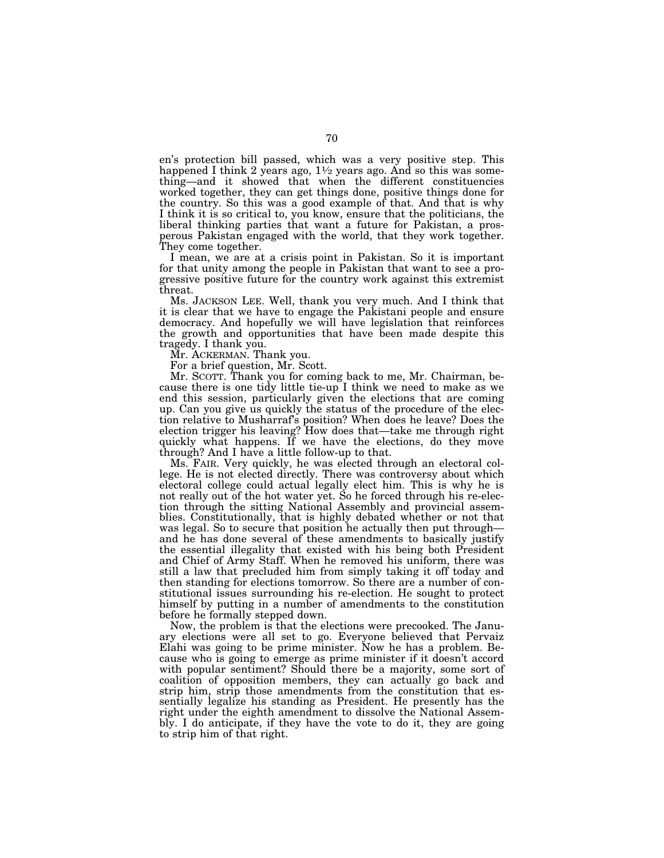en's protection bill passed, which was a very positive step. This happened I think 2 years ago,  $1\frac{1}{2}$  years ago. And so this was something—and it showed that when the different constituencies worked together, they can get things done, positive things done for the country. So this was a good example of that. And that is why I think it is so critical to, you know, ensure that the politicians, the liberal thinking parties that want a future for Pakistan, a prosperous Pakistan engaged with the world, that they work together. They come together.

I mean, we are at a crisis point in Pakistan. So it is important for that unity among the people in Pakistan that want to see a progressive positive future for the country work against this extremist threat.

Ms. JACKSON LEE. Well, thank you very much. And I think that it is clear that we have to engage the Pakistani people and ensure democracy. And hopefully we will have legislation that reinforces the growth and opportunities that have been made despite this tragedy. I thank you.

Mr. ACKERMAN. Thank you.

For a brief question, Mr. Scott.

Mr. SCOTT. Thank you for coming back to me, Mr. Chairman, because there is one tidy little tie-up I think we need to make as we end this session, particularly given the elections that are coming up. Can you give us quickly the status of the procedure of the election relative to Musharraf's position? When does he leave? Does the election trigger his leaving? How does that—take me through right quickly what happens. If we have the elections, do they move through? And I have a little follow-up to that.

Ms. FAIR. Very quickly, he was elected through an electoral college. He is not elected directly. There was controversy about which electoral college could actual legally elect him. This is why he is not really out of the hot water yet. So he forced through his re-election through the sitting National Assembly and provincial assemblies. Constitutionally, that is highly debated whether or not that was legal. So to secure that position he actually then put through and he has done several of these amendments to basically justify the essential illegality that existed with his being both President and Chief of Army Staff. When he removed his uniform, there was still a law that precluded him from simply taking it off today and then standing for elections tomorrow. So there are a number of constitutional issues surrounding his re-election. He sought to protect himself by putting in a number of amendments to the constitution before he formally stepped down.

Now, the problem is that the elections were precooked. The January elections were all set to go. Everyone believed that Pervaiz Elahi was going to be prime minister. Now he has a problem. Because who is going to emerge as prime minister if it doesn't accord with popular sentiment? Should there be a majority, some sort of coalition of opposition members, they can actually go back and strip him, strip those amendments from the constitution that essentially legalize his standing as President. He presently has the right under the eighth amendment to dissolve the National Assembly. I do anticipate, if they have the vote to do it, they are going to strip him of that right.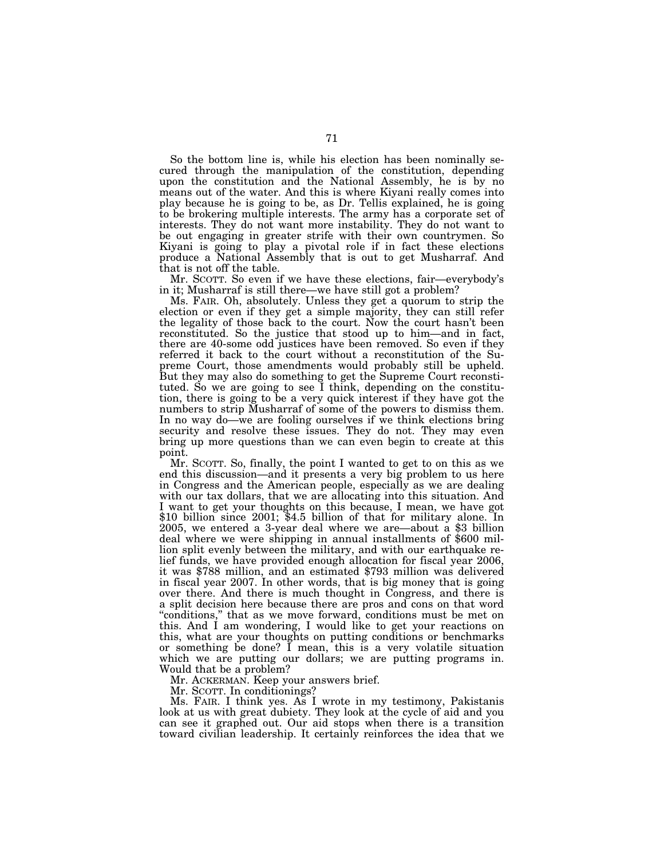So the bottom line is, while his election has been nominally secured through the manipulation of the constitution, depending upon the constitution and the National Assembly, he is by no means out of the water. And this is where Kiyani really comes into play because he is going to be, as Dr. Tellis explained, he is going to be brokering multiple interests. The army has a corporate set of interests. They do not want more instability. They do not want to be out engaging in greater strife with their own countrymen. So Kiyani is going to play a pivotal role if in fact these elections produce a National Assembly that is out to get Musharraf. And that is not off the table.

Mr. SCOTT. So even if we have these elections, fair—everybody's in it; Musharraf is still there—we have still got a problem?

Ms. FAIR. Oh, absolutely. Unless they get a quorum to strip the election or even if they get a simple majority, they can still refer the legality of those back to the court. Now the court hasn't been reconstituted. So the justice that stood up to him—and in fact, there are 40-some odd justices have been removed. So even if they referred it back to the court without a reconstitution of the Supreme Court, those amendments would probably still be upheld. But they may also do something to get the Supreme Court reconstituted. So we are going to see I think, depending on the constitution, there is going to be a very quick interest if they have got the numbers to strip Musharraf of some of the powers to dismiss them. In no way do—we are fooling ourselves if we think elections bring security and resolve these issues. They do not. They may even bring up more questions than we can even begin to create at this point.

Mr. SCOTT. So, finally, the point I wanted to get to on this as we end this discussion—and it presents a very big problem to us here in Congress and the American people, especially as we are dealing with our tax dollars, that we are allocating into this situation. And I want to get your thoughts on this because, I mean, we have got \$10 billion since 2001; \$4.5 billion of that for military alone. In 2005, we entered a 3-year deal where we are—about a \$3 billion deal where we were shipping in annual installments of \$600 million split evenly between the military, and with our earthquake relief funds, we have provided enough allocation for fiscal year 2006, it was \$788 million, and an estimated \$793 million was delivered in fiscal year 2007. In other words, that is big money that is going over there. And there is much thought in Congress, and there is a split decision here because there are pros and cons on that word ''conditions,'' that as we move forward, conditions must be met on this. And I am wondering, I would like to get your reactions on this, what are your thoughts on putting conditions or benchmarks or something be done?  $\bar{I}$  mean, this is a very volatile situation which we are putting our dollars; we are putting programs in. Would that be a problem?

Mr. ACKERMAN. Keep your answers brief.

Mr. SCOTT. In conditionings?

Ms. FAIR. I think yes. As I wrote in my testimony, Pakistanis look at us with great dubiety. They look at the cycle of aid and you can see it graphed out. Our aid stops when there is a transition toward civilian leadership. It certainly reinforces the idea that we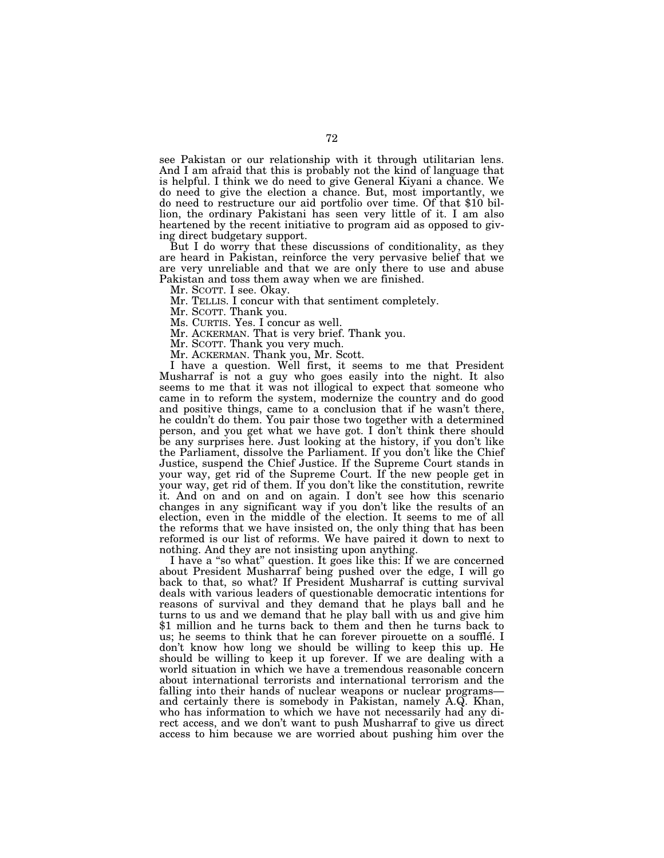see Pakistan or our relationship with it through utilitarian lens. And I am afraid that this is probably not the kind of language that is helpful. I think we do need to give General Kiyani a chance. We do need to give the election a chance. But, most importantly, we do need to restructure our aid portfolio over time. Of that \$10 billion, the ordinary Pakistani has seen very little of it. I am also heartened by the recent initiative to program aid as opposed to giving direct budgetary support.

But I do worry that these discussions of conditionality, as they are heard in Pakistan, reinforce the very pervasive belief that we are very unreliable and that we are only there to use and abuse Pakistan and toss them away when we are finished.

Mr. SCOTT. I see. Okay.

Mr. TELLIS. I concur with that sentiment completely.

Mr. SCOTT. Thank you.

Ms. CURTIS. Yes. I concur as well.

Mr. ACKERMAN. That is very brief. Thank you.

Mr. SCOTT. Thank you very much.

Mr. ACKERMAN. Thank you, Mr. Scott.

I have a question. Well first, it seems to me that President Musharraf is not a guy who goes easily into the night. It also seems to me that it was not illogical to expect that someone who came in to reform the system, modernize the country and do good and positive things, came to a conclusion that if he wasn't there, he couldn't do them. You pair those two together with a determined person, and you get what we have got. I don't think there should be any surprises here. Just looking at the history, if you don't like the Parliament, dissolve the Parliament. If you don't like the Chief Justice, suspend the Chief Justice. If the Supreme Court stands in your way, get rid of the Supreme Court. If the new people get in your way, get rid of them. If you don't like the constitution, rewrite it. And on and on and on again. I don't see how this scenario changes in any significant way if you don't like the results of an election, even in the middle of the election. It seems to me of all the reforms that we have insisted on, the only thing that has been reformed is our list of reforms. We have paired it down to next to nothing. And they are not insisting upon anything.

I have a ''so what'' question. It goes like this: If we are concerned about President Musharraf being pushed over the edge, I will go back to that, so what? If President Musharraf is cutting survival deals with various leaders of questionable democratic intentions for reasons of survival and they demand that he plays ball and he turns to us and we demand that he play ball with us and give him \$1 million and he turns back to them and then he turns back to us; he seems to think that he can forever pirouette on a soufflé. I don't know how long we should be willing to keep this up. He should be willing to keep it up forever. If we are dealing with a world situation in which we have a tremendous reasonable concern about international terrorists and international terrorism and the falling into their hands of nuclear weapons or nuclear programs and certainly there is somebody in Pakistan, namely A.Q. Khan, who has information to which we have not necessarily had any direct access, and we don't want to push Musharraf to give us direct access to him because we are worried about pushing him over the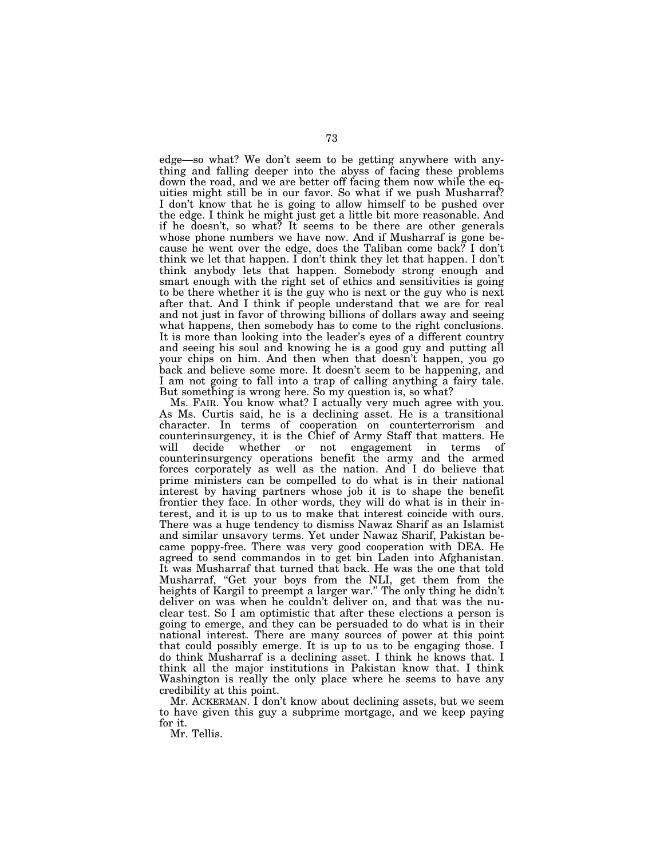edge—so what? We don't seem to be getting anywhere with anything and falling deeper into the abyss of facing these problems down the road, and we are better off facing them now while the equities might still be in our favor. So what if we push Musharraf? I don't know that he is going to allow himself to be pushed over the edge. I think he might just get a little bit more reasonable. And if he doesn't, so what? It seems to be there are other generals whose phone numbers we have now. And if Musharraf is gone because he went over the edge, does the Taliban come back? I don't think we let that happen. I don't think they let that happen. I don't think anybody lets that happen. Somebody strong enough and smart enough with the right set of ethics and sensitivities is going to be there whether it is the guy who is next or the guy who is next after that. And I think if people understand that we are for real and not just in favor of throwing billions of dollars away and seeing what happens, then somebody has to come to the right conclusions. It is more than looking into the leader's eyes of a different country and seeing his soul and knowing he is a good guy and putting all your chips on him. And then when that doesn't happen, you go back and believe some more. It doesn't seem to be happening, and I am not going to fall into a trap of calling anything a fairy tale. But something is wrong here. So my question is, so what?

Ms. FAIR. You know what? I actually very much agree with you. As Ms. Curtis said, he is a declining asset. He is a transitional character. In terms of cooperation on counterterrorism and counterinsurgency, it is the Chief of Army Staff that matters. He will decide whether or not engagement in terms of counterinsurgency operations benefit the army and the armed forces corporately as well as the nation. And I do believe that prime ministers can be compelled to do what is in their national interest by having partners whose job it is to shape the benefit frontier they face. In other words, they will do what is in their interest, and it is up to us to make that interest coincide with ours. There was a huge tendency to dismiss Nawaz Sharif as an Islamist and similar unsavory terms. Yet under Nawaz Sharif, Pakistan became poppy-free. There was very good cooperation with DEA. He agreed to send commandos in to get bin Laden into Afghanistan. It was Musharraf that turned that back. He was the one that told Musharraf, ''Get your boys from the NLI, get them from the heights of Kargil to preempt a larger war.'' The only thing he didn't deliver on was when he couldn't deliver on, and that was the nuclear test. So I am optimistic that after these elections a person is going to emerge, and they can be persuaded to do what is in their national interest. There are many sources of power at this point that could possibly emerge. It is up to us to be engaging those. I do think Musharraf is a declining asset. I think he knows that. I think all the major institutions in Pakistan know that. I think Washington is really the only place where he seems to have any credibility at this point.

Mr. ACKERMAN. I don't know about declining assets, but we seem to have given this guy a subprime mortgage, and we keep paying for it.

Mr. Tellis.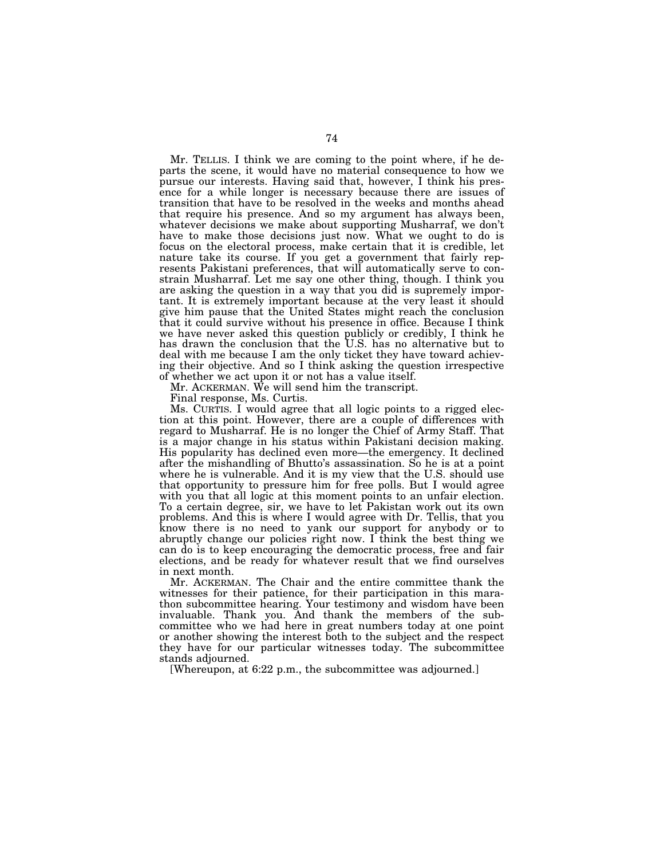Mr. TELLIS. I think we are coming to the point where, if he departs the scene, it would have no material consequence to how we pursue our interests. Having said that, however, I think his presence for a while longer is necessary because there are issues of transition that have to be resolved in the weeks and months ahead that require his presence. And so my argument has always been, whatever decisions we make about supporting Musharraf, we don't have to make those decisions just now. What we ought to do is focus on the electoral process, make certain that it is credible, let nature take its course. If you get a government that fairly represents Pakistani preferences, that will automatically serve to constrain Musharraf. Let me say one other thing, though. I think you are asking the question in a way that you did is supremely important. It is extremely important because at the very least it should give him pause that the United States might reach the conclusion that it could survive without his presence in office. Because I think we have never asked this question publicly or credibly, I think he has drawn the conclusion that the U.S. has no alternative but to deal with me because I am the only ticket they have toward achieving their objective. And so I think asking the question irrespective of whether we act upon it or not has a value itself.

Mr. ACKERMAN. We will send him the transcript.

Final response, Ms. Curtis.

Ms. CURTIS. I would agree that all logic points to a rigged election at this point. However, there are a couple of differences with regard to Musharraf. He is no longer the Chief of Army Staff. That is a major change in his status within Pakistani decision making. His popularity has declined even more—the emergency. It declined after the mishandling of Bhutto's assassination. So he is at a point where he is vulnerable. And it is my view that the U.S. should use that opportunity to pressure him for free polls. But I would agree with you that all logic at this moment points to an unfair election. To a certain degree, sir, we have to let Pakistan work out its own problems. And this is where I would agree with Dr. Tellis, that you know there is no need to yank our support for anybody or to abruptly change our policies right now. I think the best thing we can do is to keep encouraging the democratic process, free and fair elections, and be ready for whatever result that we find ourselves in next month.

Mr. ACKERMAN. The Chair and the entire committee thank the witnesses for their patience, for their participation in this marathon subcommittee hearing. Your testimony and wisdom have been invaluable. Thank you. And thank the members of the subcommittee who we had here in great numbers today at one point or another showing the interest both to the subject and the respect they have for our particular witnesses today. The subcommittee stands adjourned.

[Whereupon, at 6:22 p.m., the subcommittee was adjourned.]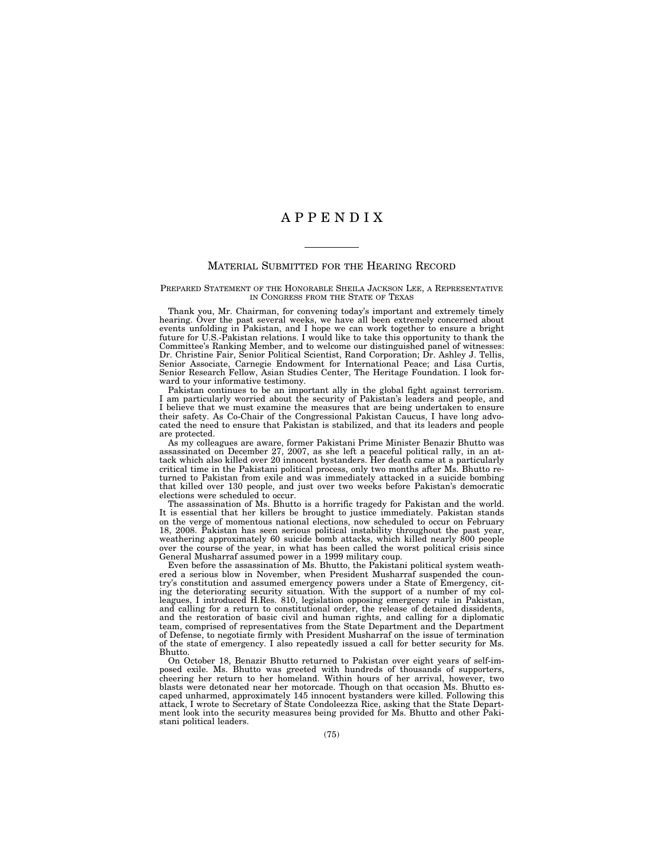## A P P E N D I X

## MATERIAL SUBMITTED FOR THE HEARING RECORD

## PREPARED STATEMENT OF THE HONORABLE SHEILA JACKSON LEE, A REPRESENTATIVE IN CONGRESS FROM THE STATE OF TEXAS

Thank you, Mr. Chairman, for convening today's important and extremely timely hearing. Over the past several weeks, we have all been extremely concerned about events unfolding in Pakistan, and I hope we can work together to ensure a bright future for U.S.-Pakistan relations. I would like to take this opportunity to thank the Committee's Ranking Member, and to welcome our distinguished panel of witnesses: Dr. Christine Fair, Senior Political Scientist, Rand Corporation; Dr. Ashley J. Tellis, Senior Associate, Carnegie Endowment for International Peace; and Lisa Curtis, Senior Research Fellow, Asian Studies Center, The Heritage Foundation. I look forward to your informative testimony.

Pakistan continues to be an important ally in the global fight against terrorism. I am particularly worried about the security of Pakistan's leaders and people, and I believe that we must examine the measures that are being undertaken to ensure their safety. As Co-Chair of the Congressional Pakistan Caucus, I have long advocated the need to ensure that Pakistan is stabilized, and that its leaders and people are protected.

As my colleagues are aware, former Pakistani Prime Minister Benazir Bhutto was assassinated on December 27, 2007, as she left a peaceful political rally, in an attack which also killed over 20 innocent bystanders. Her death came at a particularly critical time in the Pakistani political process, only two months after Ms. Bhutto returned to Pakistan from exile and was immediately attacked in a suicide bombing that killed over 130 people, and just over two weeks before Pakistan's democratic elections were scheduled to occur.

The assassination of Ms. Bhutto is a horrific tragedy for Pakistan and the world. It is essential that her killers be brought to justice immediately. Pakistan stands on the verge of momentous national elections, now scheduled to occur on February 18, 2008. Pakistan has seen serious political instability throughout the past year, weathering approximately 60 suicide bomb attacks, which killed nearly 800 people over the course of the year, in what has been called the worst political crisis since General Musharraf assumed power in a 1999 military coup.

Even before the assassination of Ms. Bhutto, the Pakistani political system weathered a serious blow in November, when President Musharraf suspended the country's constitution and assumed emergency powers under a State of Emergency, citing the deteriorating security situation. With the support of a number of my colleagues, I introduced H.Res. 810, legislation opposing emergency rule in Pakistan, and calling for a return to constitutional order, the release of detained dissidents, and the restoration of basic civil and human rights, and calling for a diplomatic team, comprised of representatives from the State Department and the Department of Defense, to negotiate firmly with President Musharraf on the issue of termination of the state of emergency. I also repeatedly issued a call for better security for Ms. Bhutto.

On October 18, Benazir Bhutto returned to Pakistan over eight years of self-imposed exile. Ms. Bhutto was greeted with hundreds of thousands of supporters, cheering her return to her homeland. Within hours of her arrival, however, two blasts were detonated near her motorcade. Though on that occasion Ms. Bhutto escaped unharmed, approximately 145 innocent bystanders were killed. Following this attack, I wrote to Secretary of State Condoleezza Rice, asking that the State Department look into the security measures being provided for Ms. Bhutto and other Pakistani political leaders.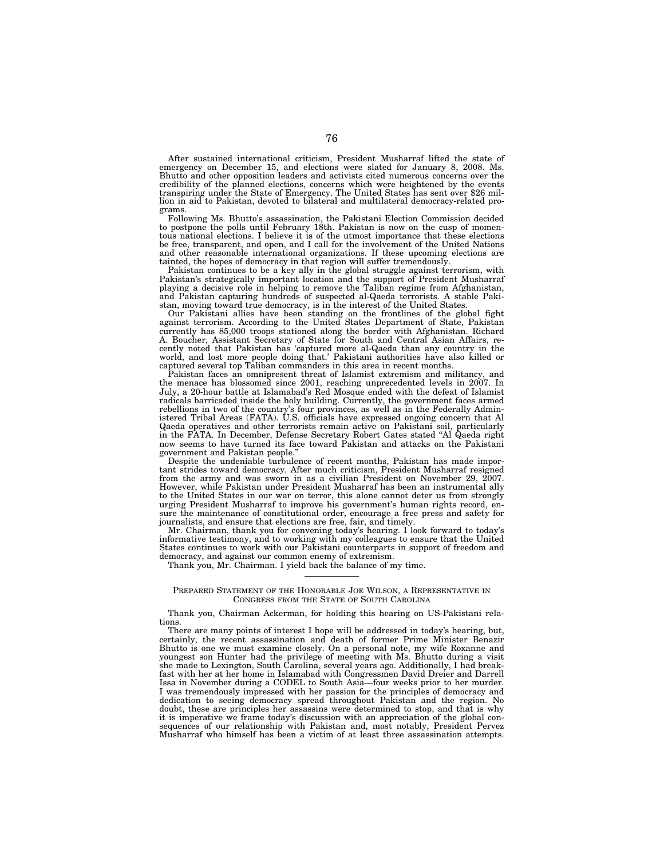After sustained international criticism, President Musharraf lifted the state of emergency on December 15, and elections were slated for January 8, 2008. Ms. Bhutto and other opposition leaders and activists cited numerous concerns over the credibility of the planned elections, concerns which were heightened by the events transpiring under the State of Emergency. The United States has sent over \$26 million in aid to Pakistan, devoted to bilateral and multilateral democracy-related programs.

Following Ms. Bhutto's assassination, the Pakistani Election Commission decided to postpone the polls until February 18th. Pakistan is now on the cusp of momentous national elections. I believe it is of the utmost importance that these elections be free, transparent, and open, and I call for the involvement of the United Nations and other reasonable international organizations. If these upcoming elections are tainted, the hopes of democracy in that region will suffer tremendously.

Pakistan continues to be a key ally in the global struggle against terrorism, with Pakistan's strategically important location and the support of President Musharraf playing a decisive role in helping to remove the Taliban regime from Afghanistan, and Pakistan capturing hundreds of suspected al-Qaeda terrorists. A stable Pakistan, moving toward true democracy, is in the interest of the United States.

Our Pakistani allies have been standing on the frontlines of the global fight against terrorism. According to the United States Department of State, Pakistan currently has 85,000 troops stationed along the border with Afghanistan. Richard A. Boucher, Assistant Secretary of State for South and Central Asian Affairs, recently noted that Pakistan has 'captured more al-Qaeda than any country in the world, and lost more people doing that.' Pakistani authorities have also killed or captured several top Taliban commanders in this area in recent months.

Pakistan faces an omnipresent threat of Islamist extremism and militancy, and the menace has blossomed since 2001, reaching unprecedented levels in 2007. In July, a 20-hour battle at Islamabad's Red Mosque ended with the defeat of Islamist radicals barricaded inside the holy building. Currently, the government faces armed rebellions in two of the country's four provinces, as well as in the Federally Administered Tribal Areas (FATA). U.S. officials have expressed ongoing concern that Al Qaeda operatives and other terrorists remain active on Pakistani soil, particularly in the FATA. In December, Defense Secretary Robert Gates stated ''Al Qaeda right now seems to have turned its face toward Pakistan and attacks on the Pakistani government and Pakistan people.''

Despite the undeniable turbulence of recent months, Pakistan has made important strides toward democracy. After much criticism, President Musharraf resigned from the army and was sworn in as a civilian President on November 29, 2007. However, while Pakistan under President Musharraf has been an instrumental ally to the United States in our war on terror, this alone cannot deter us from strongly urging President Musharraf to improve his government's human rights record, ensure the maintenance of constitutional order, encourage a free press and safety for journalists, and ensure that elections are free, fair, and timely.

Mr. Chairman, thank you for convening today's hearing. I look forward to today's informative testimony, and to working with my colleagues to ensure that the United States continues to work with our Pakistani counterparts in support of freedom and democracy, and against our common enemy of extremism.

Thank you, Mr. Chairman. I yield back the balance of my time.

## PREPARED STATEMENT OF THE HONORABLE JOE WILSON, A REPRESENTATIVE IN CONGRESS FROM THE STATE OF SOUTH CAROLINA

Thank you, Chairman Ackerman, for holding this hearing on US-Pakistani relations.

There are many points of interest I hope will be addressed in today's hearing, but, certainly, the recent assassination and death of former Prime Minister Benazir Bhutto is one we must examine closely. On a personal note, my wife Roxanne and youngest son Hunter had the privilege of meeting with Ms. Bhutto during a visit she made to Lexington, South Carolina, several years ago. Additionally, I had breakfast with her at her home in Islamabad with Congressmen David Dreier and Darrell Issa in November during a CODEL to South Asia—four weeks prior to her murder. I was tremendously impressed with her passion for the principles of democracy and dedication to seeing democracy spread throughout Pakistan and the region. No doubt, these are principles her assassins were determined to stop, and that is why it is imperative we frame today's discussion with an appreciation of the global consequences of our relationship with Pakistan and, most notably, President Pervez Musharraf who himself has been a victim of at least three assassination attempts.